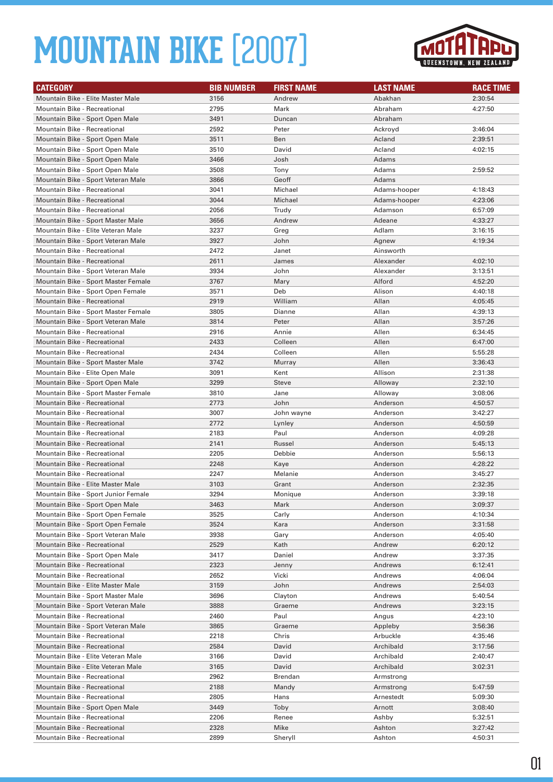

| <b>CATEGORY</b>                     | <b>BIB NUMBER</b> | <b>FIRST NAME</b> | <b>LAST NAME</b> | <b>RACE TIME</b> |
|-------------------------------------|-------------------|-------------------|------------------|------------------|
| Mountain Bike - Elite Master Male   | 3156              | Andrew            | Abakhan          | 2:30:54          |
| Mountain Bike - Recreational        | 2795              | Mark              | Abraham          | 4:27:50          |
| Mountain Bike - Sport Open Male     | 3491              | Duncan            | Abraham          |                  |
| Mountain Bike - Recreational        | 2592              | Peter             | Ackroyd          | 3:46:04          |
| Mountain Bike - Sport Open Male     | 3511              | Ben               | Acland           | 2:39:51          |
| Mountain Bike - Sport Open Male     | 3510              | David             | Acland           | 4:02:15          |
| Mountain Bike - Sport Open Male     | 3466              | Josh              | Adams            |                  |
| Mountain Bike - Sport Open Male     | 3508              | Tony              | Adams            | 2:59:52          |
| Mountain Bike - Sport Veteran Male  | 3866              | Geoff             | Adams            |                  |
| Mountain Bike - Recreational        | 3041              | Michael           | Adams-hooper     | 4:18:43          |
| Mountain Bike - Recreational        | 3044              | Michael           | Adams-hooper     | 4:23:06          |
| Mountain Bike - Recreational        | 2056              | Trudy             | Adamson          | 6:57:09          |
| Mountain Bike - Sport Master Male   | 3656              | Andrew            | Adeane           | 4:33:27          |
| Mountain Bike - Elite Veteran Male  | 3237              | Greg              | Adlam            | 3:16:15          |
| Mountain Bike - Sport Veteran Male  | 3927              | John              | Agnew            | 4:19:34          |
| Mountain Bike - Recreational        | 2472              | Janet             | Ainsworth        |                  |
| <b>Mountain Bike - Recreational</b> | 2611              | James             | Alexander        | 4:02:10          |
| Mountain Bike - Sport Veteran Male  | 3934              | John              | Alexander        | 3:13:51          |
| Mountain Bike - Sport Master Female | 3767              | Mary              | Alford           | 4:52:20          |
| Mountain Bike - Sport Open Female   | 3571              | Deb               | Alison           | 4:40:18          |
| <b>Mountain Bike - Recreational</b> | 2919              | William           | Allan            | 4:05:45          |
| Mountain Bike - Sport Master Female | 3805              | Dianne            | Allan            | 4:39:13          |
| Mountain Bike - Sport Veteran Male  | 3814              | Peter             | Allan            | 3:57:26          |
| <b>Mountain Bike - Recreational</b> | 2916              | Annie             | Allen            | 6:34:45          |
| Mountain Bike - Recreational        | 2433              | Colleen           | Allen            | 6:47:00          |
| Mountain Bike - Recreational        | 2434              | Colleen           | Allen            | 5:55:28          |
| Mountain Bike - Sport Master Male   | 3742              | Murray            | Allen            | 3:36:43          |
| Mountain Bike - Elite Open Male     | 3091              | Kent              | Allison          | 2:31:38          |
| Mountain Bike - Sport Open Male     | 3299              | <b>Steve</b>      | Alloway          | 2:32:10          |
| Mountain Bike - Sport Master Female | 3810              | Jane              | Alloway          | 3:08:06          |
| Mountain Bike - Recreational        | 2773              | John              | Anderson         | 4:50:57          |
| Mountain Bike - Recreational        | 3007              | John wayne        | Anderson         | 3:42:27          |
| Mountain Bike - Recreational        | 2772              | Lynley            | Anderson         | 4:50:59          |
| Mountain Bike - Recreational        | 2183              | Paul              | Anderson         | 4:09:28          |
| <b>Mountain Bike - Recreational</b> | 2141              | Russel            | Anderson         | 5:45:13          |
| Mountain Bike - Recreational        | 2205              | Debbie            | Anderson         | 5:56:13          |
| <b>Mountain Bike - Recreational</b> | 2248              | Kaye              | Anderson         | 4:28:22          |
| Mountain Bike - Recreational        | 2247              | Melanie           | Anderson         | 3:45:27          |
| Mountain Bike - Elite Master Male   | 3103              | Grant             | Anderson         | 2:32:35          |
| Mountain Bike - Sport Junior Female | 3294              | Monique           | Anderson         | 3:39:18          |
| Mountain Bike - Sport Open Male     | 3463              | Mark              | Anderson         | 3:09:37          |
| Mountain Bike - Sport Open Female   | 3525              | Carly             | Anderson         | 4:10:34          |
| Mountain Bike - Sport Open Female   | 3524              | Kara              | Anderson         | 3:31:58          |
| Mountain Bike - Sport Veteran Male  | 3938              | Gary              | Anderson         | 4:05:40          |
| <b>Mountain Bike - Recreational</b> | 2529              | Kath              | Andrew           | 6:20:12          |
| Mountain Bike - Sport Open Male     | 3417              | Daniel            | Andrew           | 3:37:35          |
| Mountain Bike - Recreational        | 2323              | Jenny             | Andrews          | 6:12:41          |
| Mountain Bike - Recreational        | 2652              | Vicki             | Andrews          | 4:06:04          |
| Mountain Bike - Elite Master Male   | 3159              | John              | Andrews          | 2:54:03          |
| Mountain Bike - Sport Master Male   | 3696              | Clayton           | Andrews          | 5:40:54          |
| Mountain Bike - Sport Veteran Male  | 3888              | Graeme            | Andrews          | 3:23:15          |
| Mountain Bike - Recreational        | 2460              | Paul              | Angus            | 4:23:10          |
| Mountain Bike - Sport Veteran Male  | 3865              | Graeme            | Appleby          | 3:56:36          |
| Mountain Bike - Recreational        | 2218              | Chris             | Arbuckle         | 4:35:46          |
| Mountain Bike - Recreational        | 2584              | David             | Archibald        | 3:17:56          |
| Mountain Bike - Elite Veteran Male  | 3166              | David             | Archibald        | 2:40:47          |
| Mountain Bike - Elite Veteran Male  | 3165              | David             | Archibald        | 3:02:31          |
| Mountain Bike - Recreational        | 2962              | Brendan           | Armstrong        |                  |
| Mountain Bike - Recreational        | 2188              | Mandy             | Armstrong        | 5:47:59          |
| Mountain Bike - Recreational        | 2805              | Hans              | Arnestedt        | 5:09:30          |
| Mountain Bike - Sport Open Male     | 3449              | Toby              | Arnott           | 3:08:40          |
| Mountain Bike - Recreational        | 2206              | Renee             | Ashby            | 5:32:51          |
| Mountain Bike - Recreational        | 2328              | Mike              | Ashton           | 3:27:42          |
| Mountain Bike - Recreational        | 2899              | Sheryll           | Ashton           | 4:50:31          |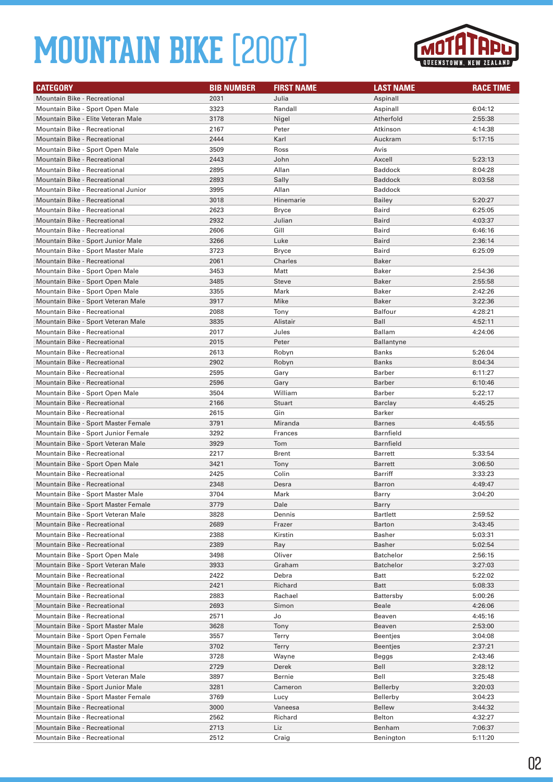

| <b>CATEGORY</b>                                                 | <b>BIB NUMBER</b> | <b>FIRST NAME</b> | <b>LAST NAME</b>              | <b>RACE TIME</b>   |
|-----------------------------------------------------------------|-------------------|-------------------|-------------------------------|--------------------|
| Mountain Bike - Recreational                                    | 2031              | Julia             | Aspinall                      |                    |
| Mountain Bike - Sport Open Male                                 | 3323              | Randall           | Aspinall                      | 6:04:12            |
| Mountain Bike - Elite Veteran Male                              | 3178              | Nigel             | Atherfold                     | 2:55:38            |
| Mountain Bike - Recreational                                    | 2167              | Peter             | Atkinson                      | 4:14:38            |
| <b>Mountain Bike - Recreational</b>                             | 2444              | Karl              | Auckram                       | 5:17:15            |
| Mountain Bike - Sport Open Male                                 | 3509              | Ross              | Avis                          |                    |
| Mountain Bike - Recreational                                    | 2443              | John              | Axcell                        | 5:23:13            |
| Mountain Bike - Recreational                                    | 2895              | Allan             | <b>Baddock</b>                | 8:04:28            |
| <b>Mountain Bike - Recreational</b>                             | 2893              | Sally             | <b>Baddock</b>                | 8:03:58            |
| Mountain Bike - Recreational Junior                             | 3995              | Allan             | Baddock                       |                    |
| <b>Mountain Bike - Recreational</b>                             | 3018              | Hinemarie         | Bailey                        | 5:20:27            |
| Mountain Bike - Recreational                                    | 2623              | Bryce             | Baird                         | 6:25:05            |
| <b>Mountain Bike - Recreational</b>                             | 2932              | Julian            | Baird                         | 4:03:37            |
| Mountain Bike - Recreational                                    | 2606              | Gill              | Baird                         | 6:46:16            |
| Mountain Bike - Sport Junior Male                               | 3266              | Luke              | Baird                         | 2:36:14            |
| Mountain Bike - Sport Master Male                               | 3723              | <b>Bryce</b>      | Baird                         | 6:25:09            |
| Mountain Bike - Recreational                                    | 2061              | Charles           | Baker                         |                    |
| Mountain Bike - Sport Open Male                                 | 3453              | Matt              | Baker                         | 2:54:36            |
| Mountain Bike - Sport Open Male                                 | 3485              | <b>Steve</b>      | Baker                         | 2:55:58            |
| Mountain Bike - Sport Open Male                                 | 3355              | Mark              | Baker                         | 2:42:26            |
| Mountain Bike - Sport Veteran Male                              | 3917              | Mike              | Baker                         | 3:22:36            |
| Mountain Bike - Recreational                                    | 2088              | Tony              | Balfour                       | 4:28:21            |
| Mountain Bike - Sport Veteran Male                              | 3835              | Alistair          | Ball                          | 4:52:11            |
| <b>Mountain Bike - Recreational</b>                             | 2017              | Jules             | Ballam                        | 4:24:06            |
| Mountain Bike - Recreational                                    | 2015              | Peter             | <b>Ballantyne</b>             |                    |
| Mountain Bike - Recreational                                    | 2613              | Robyn             | Banks                         | 5:26:04            |
| <b>Mountain Bike - Recreational</b>                             | 2902              | Robyn             | Banks                         | 8:04:34            |
| Mountain Bike - Recreational                                    | 2595              | Gary              | Barber                        | 6:11:27            |
| <b>Mountain Bike - Recreational</b>                             | 2596              | Gary              | Barber                        | 6:10:46            |
| Mountain Bike - Sport Open Male                                 | 3504              | William           | Barber                        | 5:22:17            |
| Mountain Bike - Recreational                                    | 2166              | Stuart            | Barclay                       | 4:45:25            |
| Mountain Bike - Recreational                                    | 2615              | Gin               | Barker                        |                    |
| Mountain Bike - Sport Master Female                             | 3791              | Miranda           | <b>Barnes</b>                 | 4:45:55            |
| Mountain Bike - Sport Junior Female                             | 3292              | Frances           | Barnfield                     |                    |
| Mountain Bike - Sport Veteran Male                              | 3929              | Tom               | Barnfield                     |                    |
| Mountain Bike - Recreational                                    | 2217              | Brent             | Barrett                       | 5:33:54            |
| Mountain Bike - Sport Open Male                                 | 3421              | Tony              | Barrett                       | 3:06:50            |
| Mountain Bike - Recreational                                    | 2425              | Colin             | Barriff                       | 3:33:23            |
| <b>Mountain Bike - Recreational</b>                             | 2348              | Desra             | <b>Barron</b>                 | 4:49:47            |
| Mountain Bike - Sport Master Male                               | 3704              | Mark              | Barry                         | 3:04:20            |
| Mountain Bike - Sport Master Female                             | 3779              | Dale              | Barry                         |                    |
| Mountain Bike - Sport Veteran Male                              | 3828              | Dennis            | Bartlett                      | 2:59:52            |
| <b>Mountain Bike - Recreational</b>                             | 2689              | Frazer            | Barton                        | 3:43:45            |
| Mountain Bike - Recreational                                    | 2388              | Kirstin           | Basher                        | 5:03:31            |
| Mountain Bike - Recreational<br>Mountain Bike - Sport Open Male | 2389              | Ray               | Basher                        | 5:02:54            |
| Mountain Bike - Sport Veteran Male                              | 3498<br>3933      | Oliver<br>Graham  | Batchelor<br><b>Batchelor</b> | 2:56:15            |
| Mountain Bike - Recreational                                    | 2422              | Debra             | Batt                          | 3:27:03<br>5:22:02 |
| Mountain Bike - Recreational                                    | 2421              | Richard           | Batt                          | 5:08:33            |
| Mountain Bike - Recreational                                    | 2883              | Rachael           | Battersby                     | 5:00:26            |
| <b>Mountain Bike - Recreational</b>                             | 2693              | Simon             | Beale                         | 4:26:06            |
| Mountain Bike - Recreational                                    | 2571              | Jo                | Beaven                        | 4:45:16            |
| Mountain Bike - Sport Master Male                               | 3628              | Tony              | Beaven                        | 2:53:00            |
| Mountain Bike - Sport Open Female                               | 3557              | Terry             | Beentjes                      | 3:04:08            |
| Mountain Bike - Sport Master Male                               | 3702              | Terry             | <b>Beentjes</b>               | 2:37:21            |
| Mountain Bike - Sport Master Male                               | 3728              | Wayne             | Beggs                         | 2:43:46            |
| Mountain Bike - Recreational                                    | 2729              | Derek             | Bell                          | 3:28:12            |
| Mountain Bike - Sport Veteran Male                              | 3897              | Bernie            | Bell                          | 3:25:48            |
| Mountain Bike - Sport Junior Male                               | 3281              | Cameron           | Bellerby                      | 3:20:03            |
| Mountain Bike - Sport Master Female                             | 3769              | Lucy              | Bellerby                      | 3:04:23            |
| Mountain Bike - Recreational                                    | 3000              | Vaneesa           | <b>Bellew</b>                 | 3:44:32            |
| Mountain Bike - Recreational                                    | 2562              | Richard           | Belton                        | 4:32:27            |
| Mountain Bike - Recreational                                    | 2713              | Liz               | Benham                        | 7:06:37            |
| Mountain Bike - Recreational                                    | 2512              | Craig             | Benington                     | 5:11:20            |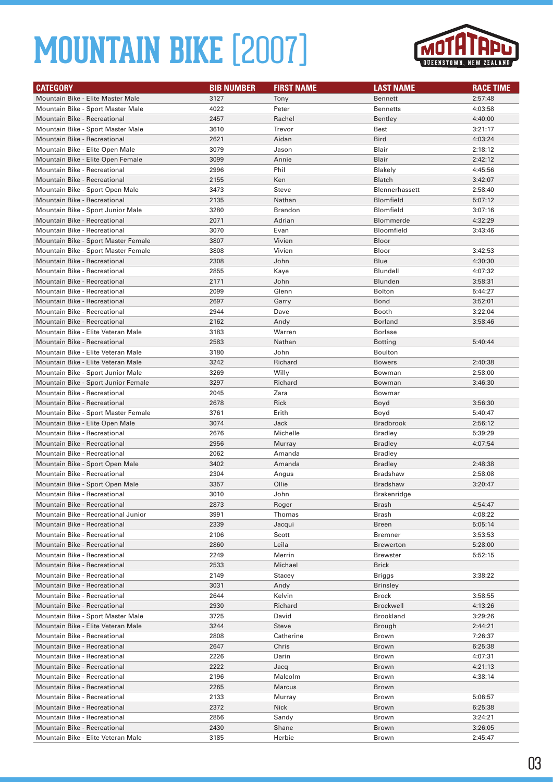

| <b>CATEGORY</b>                                                 | <b>BIB NUMBER</b> | <b>FIRST NAME</b> | <b>LAST NAME</b>      | <b>RACE TIME</b>   |
|-----------------------------------------------------------------|-------------------|-------------------|-----------------------|--------------------|
| Mountain Bike - Elite Master Male                               | 3127              | Tony              | <b>Bennett</b>        | 2:57:48            |
| Mountain Bike - Sport Master Male                               | 4022              | Peter             | <b>Bennetts</b>       | 4:03:58            |
| Mountain Bike - Recreational                                    | 2457              | Rachel            | Bentley               | 4:40:00            |
| Mountain Bike - Sport Master Male                               | 3610              | Trevor            | Best                  | 3:21:17            |
| <b>Mountain Bike - Recreational</b>                             | 2621              | Aidan             | <b>Bird</b>           | 4:03:24            |
| Mountain Bike - Elite Open Male                                 | 3079              | Jason             | Blair                 | 2:18:12            |
| Mountain Bike - Elite Open Female                               | 3099              | Annie             | Blair                 | 2:42:12            |
| Mountain Bike - Recreational                                    | 2996              | Phil              | Blakely               | 4:45:56            |
| <b>Mountain Bike - Recreational</b>                             | 2155              | Ken               | <b>Blatch</b>         | 3:42:07            |
| Mountain Bike - Sport Open Male                                 | 3473              | Steve             | <b>Blennerhassett</b> | 2:58:40            |
| <b>Mountain Bike - Recreational</b>                             | 2135              | Nathan            | <b>Blomfield</b>      | 5:07:12            |
| Mountain Bike - Sport Junior Male                               | 3280              | Brandon           | <b>Blomfield</b>      | 3:07:16            |
| <b>Mountain Bike - Recreational</b>                             | 2071              | Adrian            | <b>Blommerde</b>      | 4:32:29            |
| Mountain Bike - Recreational                                    | 3070              | Evan              | Bloomfield            | 3:43:46            |
| Mountain Bike - Sport Master Female                             | 3807              | Vivien            | Bloor                 |                    |
| Mountain Bike - Sport Master Female                             | 3808              | Vivien            | Bloor                 | 3:42:53            |
| <b>Mountain Bike - Recreational</b>                             | 2308              | John              | Blue                  | 4:30:30            |
| Mountain Bike - Recreational                                    | 2855              | Kaye              | Blundell              | 4:07:32            |
| <b>Mountain Bike - Recreational</b>                             | 2171              | John              | Blunden               | 3:58:31            |
| Mountain Bike - Recreational                                    | 2099              | Glenn             | <b>Bolton</b>         | 5:44:27            |
| <b>Mountain Bike - Recreational</b>                             | 2697              | Garry             | Bond                  | 3:52:01            |
| Mountain Bike - Recreational                                    | 2944              | Dave              | Booth                 | 3:22:04            |
| <b>Mountain Bike - Recreational</b>                             | 2162              | Andy              | <b>Borland</b>        | 3:58:46            |
| Mountain Bike - Elite Veteran Male                              | 3183              | Warren            | <b>Borlase</b>        |                    |
| Mountain Bike - Recreational                                    | 2583              | Nathan            | <b>Botting</b>        | 5:40:44            |
| Mountain Bike - Elite Veteran Male                              | 3180              | John              | <b>Boulton</b>        |                    |
| Mountain Bike - Elite Veteran Male                              | 3242              | Richard           | <b>Bowers</b>         | 2:40:38            |
| Mountain Bike - Sport Junior Male                               | 3269              | Willy             | Bowman                | 2:58:00            |
| Mountain Bike - Sport Junior Female                             | 3297              | Richard           | Bowman                | 3:46:30            |
| Mountain Bike - Recreational                                    | 2045              | Zara              | Bowmar                |                    |
| <b>Mountain Bike - Recreational</b>                             | 2678              | Rick              | Boyd                  | 3:56:30            |
| Mountain Bike - Sport Master Female                             | 3761              | Erith             | Boyd                  | 5:40:47            |
| Mountain Bike - Elite Open Male                                 | 3074              | Jack              | <b>Bradbrook</b>      | 2:56:12            |
| Mountain Bike - Recreational                                    | 2676              | Michelle          | <b>Bradley</b>        | 5:39:29            |
| <b>Mountain Bike - Recreational</b>                             | 2956              | Murray            | <b>Bradley</b>        | 4:07:54            |
| Mountain Bike - Recreational                                    | 2062              | Amanda            | <b>Bradley</b>        |                    |
| Mountain Bike - Sport Open Male                                 | 3402              | Amanda            | <b>Bradley</b>        | 2:48:38            |
| Mountain Bike - Recreational                                    | 2304<br>3357      | Angus             | Bradshaw              | 2:58:08<br>3:20:47 |
| Mountain Bike - Sport Open Male<br>Mountain Bike - Recreational | 3010              | Ollie<br>John     | <b>Bradshaw</b>       |                    |
| <b>Mountain Bike - Recreational</b>                             |                   |                   | Brakenridge           |                    |
| Mountain Bike - Recreational Junior                             | 2873<br>3991      | Roger<br>Thomas   | Brash<br>Brash        | 4:54:47<br>4:08:22 |
| Mountain Bike - Recreational                                    | 2339              | Jacqui            | <b>Breen</b>          | 5:05:14            |
| Mountain Bike - Recreational                                    | 2106              | Scott             | <b>Bremner</b>        | 3:53:53            |
| Mountain Bike - Recreational                                    | 2860              | Leila             | <b>Brewerton</b>      | 5:28:00            |
| Mountain Bike - Recreational                                    | 2249              | Merrin            | <b>Brewster</b>       | 5:52:15            |
| Mountain Bike - Recreational                                    | 2533              | Michael           | <b>Brick</b>          |                    |
| Mountain Bike - Recreational                                    | 2149              | Stacey            | Briggs                | 3:38:22            |
| Mountain Bike - Recreational                                    | 3031              | Andy              | <b>Brinsley</b>       |                    |
| Mountain Bike - Recreational                                    | 2644              | Kelvin            | Brock                 | 3:58:55            |
| Mountain Bike - Recreational                                    | 2930              | Richard           | Brockwell             | 4:13:26            |
| Mountain Bike - Sport Master Male                               | 3725              | David             | <b>Brookland</b>      | 3:29:26            |
| Mountain Bike - Elite Veteran Male                              | 3244              | <b>Steve</b>      | Brough                | 2:44:21            |
| Mountain Bike - Recreational                                    | 2808              | Catherine         | Brown                 | 7:26:37            |
| Mountain Bike - Recreational                                    | 2647              | Chris             | <b>Brown</b>          | 6:25:38            |
| Mountain Bike - Recreational                                    | 2226              | Darin             | Brown                 | 4:07:31            |
| Mountain Bike - Recreational                                    | 2222              | Jacq              | <b>Brown</b>          | 4:21:13            |
| Mountain Bike - Recreational                                    | 2196              | Malcolm           | Brown                 | 4:38:14            |
| Mountain Bike - Recreational                                    | 2265              | Marcus            | Brown                 |                    |
| Mountain Bike - Recreational                                    | 2133              | Murray            | Brown                 | 5:06:57            |
| Mountain Bike - Recreational                                    | 2372              | <b>Nick</b>       | <b>Brown</b>          | 6:25:38            |
| Mountain Bike - Recreational                                    | 2856              | Sandy             | Brown                 | 3:24:21            |
| Mountain Bike - Recreational                                    | 2430              | Shane             | <b>Brown</b>          | 3:26:05            |
| Mountain Bike - Elite Veteran Male                              | 3185              | Herbie            | Brown                 | 2:45:47            |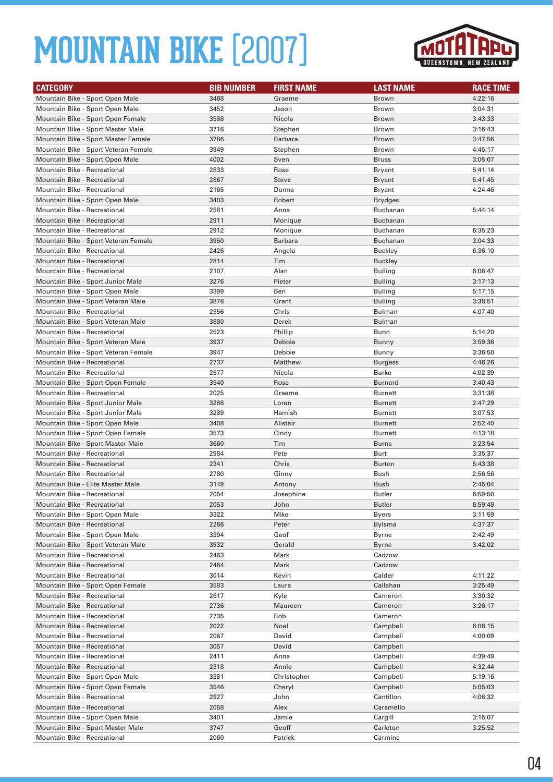

| <b>CATEGORY</b>                                                       | <b>BIB NUMBER</b> | <b>FIRST NAME</b> | <b>LAST NAME</b> | <b>RACE TIME</b> |
|-----------------------------------------------------------------------|-------------------|-------------------|------------------|------------------|
| Mountain Bike - Sport Open Male                                       | 3468              | Graeme            | Brown            | 4:22:16          |
| Mountain Bike - Sport Open Male                                       | 3452              | Jason             | Brown            | 3:04:31          |
| Mountain Bike - Sport Open Female                                     | 3588              | Nicola            | Brown            | 3:43:33          |
| Mountain Bike - Sport Master Male                                     | 3716              | Stephen           | Brown            | 3:16:43          |
| Mountain Bike - Sport Master Female                                   | 3786              | <b>Barbara</b>    | <b>Brown</b>     | 3:47:56          |
| Mountain Bike - Sport Veteran Female                                  | 3949              | Stephen           | Brown            | 4:45:17          |
| Mountain Bike - Sport Open Male                                       | 4002              | Sven              | <b>Bruss</b>     | 3:05:07          |
| Mountain Bike - Recreational                                          | 2833              | Rose              | Bryant           | 5:41:14          |
| Mountain Bike - Recreational                                          | 2867              | <b>Steve</b>      | Bryant           | 5:41:45          |
| Mountain Bike - Recreational                                          | 2165              | Donna             | Bryant           | 4:24:46          |
| Mountain Bike - Sport Open Male                                       | 3403              | Robert            | Brydges          |                  |
| Mountain Bike - Recreational                                          | 2581              | Anna              | Buchanan         | 5:44:14          |
| <b>Mountain Bike - Recreational</b>                                   | 2911              | Monique           | Buchanan         |                  |
| Mountain Bike - Recreational                                          | 2912              | Monique           | Buchanan         | 6:35:23          |
| Mountain Bike - Sport Veteran Female                                  | 3950              | Barbara           | Buchanan         | 3:04:33          |
| Mountain Bike - Recreational                                          | 2426              | Angela            | Buckley          | 6:36:10          |
| <b>Mountain Bike - Recreational</b>                                   | 2814              | Tim               | <b>Buckley</b>   |                  |
| Mountain Bike - Recreational                                          | 2107              | Alan              | Bulling          | 6:06:47          |
| Mountain Bike - Sport Junior Male                                     | 3276              | Pieter            | <b>Bulling</b>   | 3:17:13          |
| Mountain Bike - Sport Open Male                                       | 3399              | Ben               | Bulling          | 5:17:15          |
| Mountain Bike - Sport Veteran Male                                    | 3876              | Grant             | Bulling          | 3:38:51          |
| Mountain Bike - Recreational                                          | 2356              | Chris             | Bulman           | 4:07:40          |
| Mountain Bike - Sport Veteran Male                                    | 3880              | Derek             | Bulman           |                  |
| <b>Mountain Bike - Recreational</b>                                   | 2523              | Phillip           | Bunn             | 5:14:20          |
| Mountain Bike - Sport Veteran Male                                    | 3937              | Debbie            | Bunny            | 3:59:36          |
| Mountain Bike - Sport Veteran Female                                  | 3947              | Debbie            | Bunny            | 3:36:50          |
| <b>Mountain Bike - Recreational</b>                                   | 2737              | Matthew           | Burgess          | 4:46:26          |
| Mountain Bike - Recreational                                          | 2577              | Nicola            | Burke            | 4:02:39          |
| Mountain Bike - Sport Open Female                                     | 3540              | Rose              | <b>Burnard</b>   | 3:40:43          |
| Mountain Bike - Recreational                                          | 2025              | Graeme            | <b>Burnett</b>   | 3:31:38          |
| Mountain Bike - Sport Junior Male                                     | 3288              | Loren             | <b>Burnett</b>   | 2:47:29          |
| Mountain Bike - Sport Junior Male                                     | 3289              | Hamish            | Burnett          | 3:07:53          |
| Mountain Bike - Sport Open Male                                       | 3408              | Alistair          | <b>Burnett</b>   | 2:52:40          |
| Mountain Bike - Sport Open Female                                     | 3573              | Cindy             | Burnett          | 4:13:18          |
| Mountain Bike - Sport Master Male                                     | 3660              | Tim               | <b>Burns</b>     | 3:23:54          |
| Mountain Bike - Recreational                                          | 2984              | Pete              | Burt             | 3:35:37          |
| Mountain Bike - Recreational                                          | 2341              | Chris             | Burton           | 5:43:38          |
| Mountain Bike - Recreational                                          | 2780              | Ginny             | Bush             | 2:56:56          |
| Mountain Bike - Elite Master Male                                     | 3149              | Antony            | Bush             | 2:45:04          |
| <b>Mountain Bike - Recreational</b>                                   | 2054              | Josephine         | <b>Butler</b>    | 6:59:50          |
| Mountain Bike - Recreational                                          | 2053              | John              | Butler           | 6:59:49          |
| Mountain Bike - Sport Open Male                                       | 3322              | Mike              | Byers            | 3:11:59          |
| Mountain Bike - Recreational                                          | 2266              | Peter             | Bylsma           | 4:37:37          |
| Mountain Bike - Sport Open Male<br>Mountain Bike - Sport Veteran Male | 3394<br>3932      | Geof<br>Gerald    | Byrne            | 2:42:49          |
| Mountain Bike - Recreational                                          |                   |                   | Byrne            | 3:42:02          |
|                                                                       | 2463              | Mark              | Cadzow           |                  |
| Mountain Bike - Recreational<br>Mountain Bike - Recreational          | 2464<br>3014      | Mark<br>Kevin     | Cadzow<br>Calder | 4:11:22          |
| Mountain Bike - Sport Open Female                                     | 3593              | Laura             | Callahan         | 3:25:49          |
| Mountain Bike - Recreational                                          | 2617              | Kyle              | Cameron          | 3:30:32          |
| <b>Mountain Bike - Recreational</b>                                   | 2736              | Maureen           | Cameron          | 3:26:17          |
| Mountain Bike - Recreational                                          | 2735              | Rob               | Cameron          |                  |
| Mountain Bike - Recreational                                          | 2022              | Noel              | Campbell         | 6:06:15          |
| Mountain Bike - Recreational                                          | 2067              | David             | Campbell         | 4:00:09          |
| Mountain Bike - Recreational                                          | 3057              | David             | Campbell         |                  |
| Mountain Bike - Recreational                                          | 2411              | Anna              | Campbell         | 4:39:49          |
| Mountain Bike - Recreational                                          | 2318              | Annie             | Campbell         | 4:32:44          |
| Mountain Bike - Sport Open Male                                       | 3381              | Christopher       | Campbell         | 5:19:16          |
| Mountain Bike - Sport Open Female                                     | 3546              | Cheryl            | Campbell         | 5:05:03          |
| Mountain Bike - Recreational                                          | 2927              | John              | Cantillon        | 4:06:32          |
| Mountain Bike - Recreational                                          | 2058              | Alex              | Caramello        |                  |
| Mountain Bike - Sport Open Male                                       | 3401              | Jamie             | Cargill          | 3:15:07          |
| Mountain Bike - Sport Master Male                                     | 3747              | Geoff             | Carleton         | 3:25:52          |
| Mountain Bike - Recreational                                          | 2060              | Patrick           | Carmine          |                  |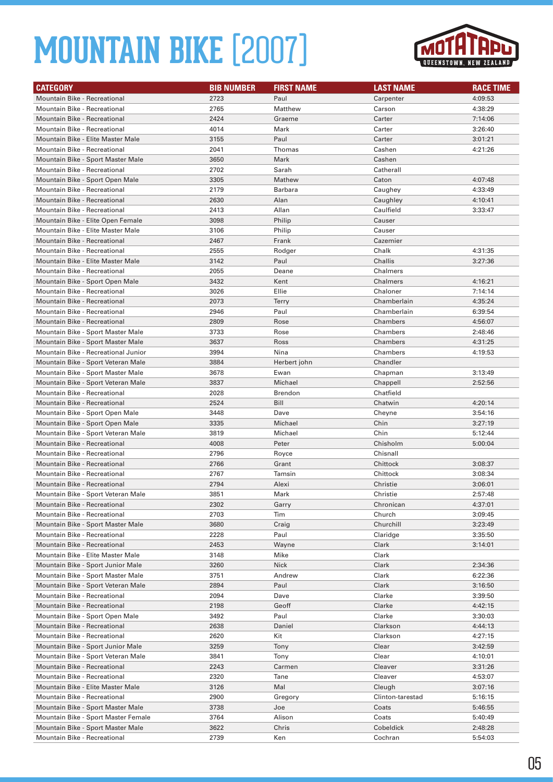

| <b>CATEGORY</b>                                                   | <b>BIB NUMBER</b> | <b>FIRST NAME</b> | <b>LAST NAME</b>      | <b>RACE TIME</b>   |
|-------------------------------------------------------------------|-------------------|-------------------|-----------------------|--------------------|
| <b>Mountain Bike - Recreational</b>                               | 2723              | Paul              | Carpenter             | 4:09:53            |
| Mountain Bike - Recreational                                      | 2765              | Matthew           | Carson                | 4:38:29            |
| <b>Mountain Bike - Recreational</b>                               | 2424              | Graeme            | Carter                | 7:14:06            |
| Mountain Bike - Recreational                                      | 4014              | Mark              | Carter                | 3:26:40            |
| Mountain Bike - Elite Master Male                                 | 3155              | Paul              | Carter                | 3:01:21            |
| Mountain Bike - Recreational                                      | 2041              | Thomas            | Cashen                | 4:21:26            |
| Mountain Bike - Sport Master Male                                 | 3650              | Mark              | Cashen                |                    |
| Mountain Bike - Recreational                                      | 2702              | Sarah             | Catherall             |                    |
| Mountain Bike - Sport Open Male                                   | 3305              | Mathew            | Caton                 | 4:07:48            |
| Mountain Bike - Recreational                                      | 2179              | Barbara           | Caughey               | 4:33:49            |
| <b>Mountain Bike - Recreational</b>                               | 2630              | Alan              | Caughley              | 4:10:41            |
| <b>Mountain Bike - Recreational</b>                               | 2413              | Allan             | Caulfield             | 3:33:47            |
| Mountain Bike - Elite Open Female                                 | 3098              | Philip            | Causer                |                    |
| Mountain Bike - Elite Master Male                                 | 3106              | Philip            | Causer                |                    |
| <b>Mountain Bike - Recreational</b>                               | 2467              | Frank             | Cazemier              |                    |
| <b>Mountain Bike - Recreational</b>                               | 2555              | Rodger            | Chalk                 | 4:31:35            |
| Mountain Bike - Elite Master Male                                 | 3142              | Paul              | Challis               | 3:27:36            |
| <b>Mountain Bike - Recreational</b>                               | 2055              | Deane             | Chalmers              |                    |
| Mountain Bike - Sport Open Male                                   | 3432              | Kent              | Chalmers              | 4:16:21            |
| Mountain Bike - Recreational                                      | 3026              | Ellie             | Chaloner              | 7:14:14            |
| <b>Mountain Bike - Recreational</b>                               | 2073              | <b>Terry</b>      | Chamberlain           | 4:35:24            |
| <b>Mountain Bike - Recreational</b>                               | 2946              | Paul              | Chamberlain           | 6:39:54            |
| <b>Mountain Bike - Recreational</b>                               | 2809              | Rose              | Chambers              | 4:56:07            |
| Mountain Bike - Sport Master Male                                 | 3733              | Rose              | Chambers              | 2:48:46            |
| Mountain Bike - Sport Master Male                                 | 3637              | Ross              | Chambers              | 4:31:25            |
| Mountain Bike - Recreational Junior                               | 3994              | Nina              | Chambers              | 4:19:53            |
| Mountain Bike - Sport Veteran Male                                | 3884              | Herbert john      | Chandler              |                    |
| Mountain Bike - Sport Master Male                                 | 3678              | Ewan              | Chapman               | 3:13:49            |
| Mountain Bike - Sport Veteran Male                                | 3837              | Michael           | Chappell              | 2:52:56            |
| <b>Mountain Bike - Recreational</b>                               | 2028              | Brendon           | Chatfield             |                    |
| <b>Mountain Bike - Recreational</b>                               | 2524              | Bill              | Chatwin               | 4:20:14            |
| Mountain Bike - Sport Open Male                                   | 3448              | Dave              | Cheyne                | 3:54:16            |
| Mountain Bike - Sport Open Male                                   | 3335              | Michael           | Chin                  | 3:27:19            |
| Mountain Bike - Sport Veteran Male                                | 3819              | Michael           | Chin                  | 5:12:44            |
| <b>Mountain Bike - Recreational</b>                               | 4008              | Peter             | Chisholm              | 5:00:04            |
| <b>Mountain Bike - Recreational</b>                               | 2796              | Royce             | Chisnall              |                    |
| <b>Mountain Bike - Recreational</b>                               | 2766              | Grant             | Chittock              | 3:08:37            |
| <b>Mountain Bike - Recreational</b>                               | 2767              | Tamsin            | Chittock              | 3:08:34            |
| <b>Mountain Bike - Recreational</b>                               | 2794<br>3851      | Alexi<br>Mark     | Christie              | 3:06:01<br>2:57:48 |
| Mountain Bike - Sport Veteran Male                                |                   |                   | Christie              |                    |
| Mountain Bike - Recreational                                      | 2302              | Garry<br>Tim      | Chronican             | 4:37:01            |
| Mountain Bike - Recreational                                      | 2703              |                   | Church                | 3:09:45            |
| Mountain Bike - Sport Master Male<br>Mountain Bike - Recreational | 3680<br>2228      | Craig<br>Paul     | Churchill<br>Claridge | 3:23:49<br>3:35:50 |
| Mountain Bike - Recreational                                      | 2453              | Wayne             | Clark                 | 3:14:01            |
| Mountain Bike - Elite Master Male                                 | 3148              | Mike              | Clark                 |                    |
| Mountain Bike - Sport Junior Male                                 | 3260              | <b>Nick</b>       | Clark                 | 2:34:36            |
| Mountain Bike - Sport Master Male                                 | 3751              | Andrew            | Clark                 | 6:22:36            |
| Mountain Bike - Sport Veteran Male                                | 2894              | Paul              | Clark                 | 3:16:50            |
| Mountain Bike - Recreational                                      | 2094              | Dave              | Clarke                | 3:39:50            |
| Mountain Bike - Recreational                                      | 2198              | Geoff             | Clarke                | 4:42:15            |
| Mountain Bike - Sport Open Male                                   | 3492              | Paul              | Clarke                | 3:30:03            |
| Mountain Bike - Recreational                                      | 2638              | Daniel            | Clarkson              | 4:44:13            |
| Mountain Bike - Recreational                                      | 2620              | Kit               | Clarkson              | 4:27:15            |
| Mountain Bike - Sport Junior Male                                 | 3259              | Tony              | Clear                 | 3:42:59            |
| Mountain Bike - Sport Veteran Male                                | 3841              | Tony              | Clear                 | 4:10:01            |
| Mountain Bike - Recreational                                      | 2243              | Carmen            | Cleaver               | 3:31:26            |
| Mountain Bike - Recreational                                      | 2320              | Tane              | Cleaver               | 4:53:07            |
| Mountain Bike - Elite Master Male                                 | 3126              | Mal               | Cleugh                | 3:07:16            |
| Mountain Bike - Recreational                                      | 2900              | Gregory           | Clinton-tarestad      | 5:16:15            |
| Mountain Bike - Sport Master Male                                 | 3738              | Joe               | Coats                 | 5:46:55            |
| Mountain Bike - Sport Master Female                               | 3764              | Alison            | Coats                 | 5:40:49            |
| Mountain Bike - Sport Master Male                                 | 3622              | Chris             | Cobeldick             | 2:48:28            |
| Mountain Bike - Recreational                                      | 2739              | Ken               | Cochran               | 5:54:03            |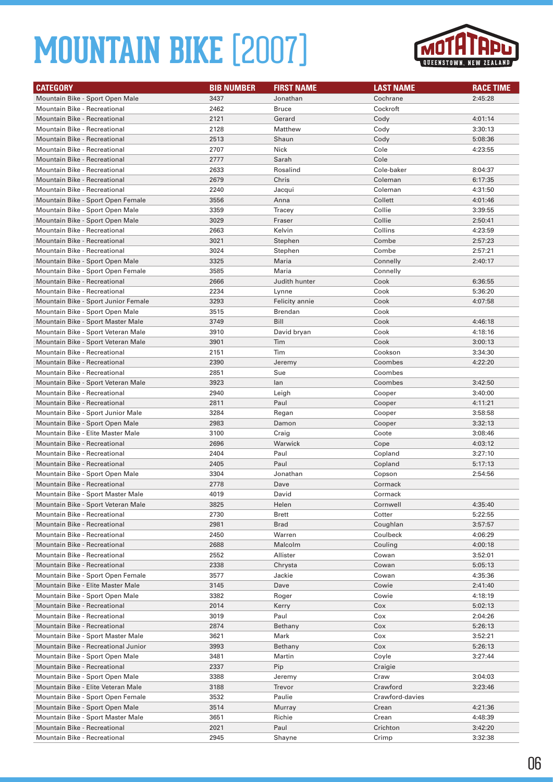

| <b>CATEGORY</b>                     | <b>BIB NUMBER</b> | <b>FIRST NAME</b> | <b>LAST NAME</b> | <b>RACE TIME</b> |
|-------------------------------------|-------------------|-------------------|------------------|------------------|
| Mountain Bike - Sport Open Male     | 3437              | Jonathan          | Cochrane         | 2:45:28          |
| Mountain Bike - Recreational        | 2462              | <b>Bruce</b>      | Cockroft         |                  |
| <b>Mountain Bike - Recreational</b> | 2121              | Gerard            | Cody             | 4:01:14          |
| Mountain Bike - Recreational        | 2128              | Matthew           | Cody             | 3:30:13          |
| Mountain Bike - Recreational        | 2513              | Shaun             | Cody             | 5:08:36          |
| <b>Mountain Bike - Recreational</b> | 2707              | Nick              | Cole             | 4:23:55          |
| <b>Mountain Bike - Recreational</b> | 2777              | Sarah             | Cole             |                  |
| Mountain Bike - Recreational        | 2633              | Rosalind          | Cole-baker       | 8:04:37          |
| <b>Mountain Bike - Recreational</b> | 2679              | Chris             | Coleman          | 6:17:35          |
| Mountain Bike - Recreational        | 2240              | Jacqui            | Coleman          | 4:31:50          |
| Mountain Bike - Sport Open Female   | 3556              | Anna              | Collett          | 4:01:46          |
| Mountain Bike - Sport Open Male     | 3359              | Tracey            | Collie           | 3:39:55          |
| Mountain Bike - Sport Open Male     | 3029              | Fraser            | Collie           | 2:50:41          |
| Mountain Bike - Recreational        | 2663              | Kelvin            | Collins          | 4:23:59          |
| <b>Mountain Bike - Recreational</b> | 3021              | Stephen           | Combe            | 2:57:23          |
| Mountain Bike - Recreational        | 3024              | Stephen           | Combe            | 2:57:21          |
| Mountain Bike - Sport Open Male     | 3325              | Maria             | Connelly         | 2:40:17          |
| Mountain Bike - Sport Open Female   | 3585              | Maria             | Connelly         |                  |
| <b>Mountain Bike - Recreational</b> | 2666              | Judith hunter     | Cook             | 6:36:55          |
| <b>Mountain Bike - Recreational</b> | 2234              | Lynne             | Cook             | 5:36:20          |
| Mountain Bike - Sport Junior Female | 3293              | Felicity annie    | Cook             | 4:07:58          |
| Mountain Bike - Sport Open Male     | 3515              | <b>Brendan</b>    | Cook             |                  |
| Mountain Bike - Sport Master Male   | 3749              | Bill              | Cook             | 4:46:18          |
| Mountain Bike - Sport Veteran Male  | 3910              | David bryan       | Cook             | 4:18:16          |
| Mountain Bike - Sport Veteran Male  | 3901              | Tim               | Cook             | 3:00:13          |
| <b>Mountain Bike - Recreational</b> | 2151              | Tim               | Cookson          | 3:34:30          |
| <b>Mountain Bike - Recreational</b> | 2390              | Jeremy            | Coombes          | 4:22:20          |
| Mountain Bike - Recreational        | 2851              | Sue               | Coombes          |                  |
| Mountain Bike - Sport Veteran Male  | 3923              | lan               | Coombes          | 3:42:50          |
| Mountain Bike - Recreational        | 2940              | Leigh             | Cooper           | 3:40:00          |
| Mountain Bike - Recreational        | 2811              | Paul              | Cooper           | 4:11:21          |
| Mountain Bike - Sport Junior Male   | 3284              | Regan             | Cooper           | 3:58:58          |
| Mountain Bike - Sport Open Male     | 2983              | Damon             | Cooper           | 3:32:13          |
| Mountain Bike - Elite Master Male   | 3100              | Craig             | Coote            | 3:08:46          |
| <b>Mountain Bike - Recreational</b> | 2696              | Warwick           | Cope             | 4:03:12          |
| Mountain Bike - Recreational        | 2404              | Paul              | Copland          | 3:27:10          |
| Mountain Bike - Recreational        | 2405              | Paul              | Copland          | 5:17:13          |
| Mountain Bike - Sport Open Male     | 3304              | Jonathan          | Copson           | 2:54:56          |
| Mountain Bike - Recreational        | 2778              | Dave              | Cormack          |                  |
| Mountain Bike - Sport Master Male   | 4019              | David             | Cormack          |                  |
| Mountain Bike - Sport Veteran Male  | 3825              | Helen             | Cornwell         | 4:35:40          |
| Mountain Bike - Recreational        | 2730              | Brett             | Cotter           | 5:22:55          |
| Mountain Bike - Recreational        | 2981              | Brad              | Coughlan         | 3:57:57          |
| Mountain Bike - Recreational        | 2450              | Warren            | Coulbeck         | 4:06:29          |
| Mountain Bike - Recreational        | 2688              | Malcolm           | Couling          | 4:00:18          |
| Mountain Bike - Recreational        | 2552              | Allister          | Cowan            | 3:52:01          |
| <b>Mountain Bike - Recreational</b> | 2338              | Chrysta           | Cowan            | 5:05:13          |
| Mountain Bike - Sport Open Female   | 3577              | Jackie            | Cowan            | 4:35:36          |
| Mountain Bike - Elite Master Male   | 3145              | Dave              | Cowie            | 2:41:40          |
| Mountain Bike - Sport Open Male     | 3382              | Roger             | Cowie            | 4:18:19          |
| Mountain Bike - Recreational        | 2014              | Kerry             | Cox              | 5:02:13          |
| Mountain Bike - Recreational        | 3019              | Paul              | Cox              | 2:04:26          |
| Mountain Bike - Recreational        | 2874              | Bethany           | Cox              | 5:26:13          |
| Mountain Bike - Sport Master Male   | 3621              | Mark              | Cox              | 3:52:21          |
| Mountain Bike - Recreational Junior | 3993              | Bethany           | Cox              | 5:26:13          |
| Mountain Bike - Sport Open Male     | 3481              | Martin            | Coyle            | 3:27:44          |
| Mountain Bike - Recreational        | 2337              | Pip               | Craigie          |                  |
| Mountain Bike - Sport Open Male     | 3388              | Jeremy            | Craw             | 3:04:03          |
| Mountain Bike - Elite Veteran Male  | 3188              | Trevor            | Crawford         | 3:23:46          |
| Mountain Bike - Sport Open Female   | 3532              | Paulie            | Crawford-davies  |                  |
| Mountain Bike - Sport Open Male     | 3514              | Murray            | Crean            | 4:21:36          |
| Mountain Bike - Sport Master Male   | 3651              | Richie            | Crean            | 4:48:39          |
| Mountain Bike - Recreational        | 2021              | Paul              | Crichton         | 3:42:20          |
| Mountain Bike - Recreational        | 2945              | Shayne            | Crimp            | 3:32:38          |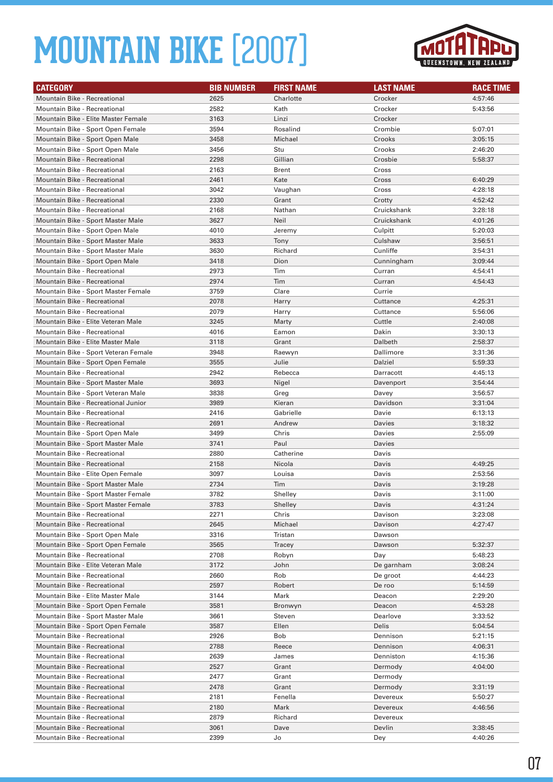

| <b>CATEGORY</b>                                                        | <b>BIB NUMBER</b> | <b>FIRST NAME</b> | <b>LAST NAME</b>       | <b>RACE TIME</b>   |
|------------------------------------------------------------------------|-------------------|-------------------|------------------------|--------------------|
| <b>Mountain Bike - Recreational</b>                                    | 2625              | Charlotte         | Crocker                | 4:57:46            |
| <b>Mountain Bike - Recreational</b>                                    | 2582              | Kath              | Crocker                | 5:43:56            |
| Mountain Bike - Elite Master Female                                    | 3163              | Linzi             | Crocker                |                    |
| Mountain Bike - Sport Open Female                                      | 3594              | Rosalind          | Crombie                | 5:07:01            |
| Mountain Bike - Sport Open Male                                        | 3458              | Michael           | Crooks                 | 3:05:15            |
| Mountain Bike - Sport Open Male                                        | 3456              | Stu               | Crooks                 | 2:46:20            |
| <b>Mountain Bike - Recreational</b>                                    | 2298              | Gillian           | Crosbie                | 5:58:37            |
| <b>Mountain Bike - Recreational</b>                                    | 2163              | <b>Brent</b>      | Cross                  |                    |
| <b>Mountain Bike - Recreational</b>                                    | 2461              | Kate              | Cross                  | 6:40:29            |
| <b>Mountain Bike - Recreational</b>                                    | 3042              | Vaughan           | Cross                  | 4:28:18            |
| <b>Mountain Bike - Recreational</b>                                    | 2330              | Grant             | Crotty                 | 4:52:42            |
| Mountain Bike - Recreational                                           | 2168              | Nathan            | Cruickshank            | 3:28:18            |
| Mountain Bike - Sport Master Male                                      | 3627              | Neil              | Cruickshank            | 4:01:26            |
| Mountain Bike - Sport Open Male                                        | 4010              | Jeremy            | Culpitt                | 5:20:03            |
| Mountain Bike - Sport Master Male                                      | 3633              | Tony              | Culshaw                | 3:56:51            |
| Mountain Bike - Sport Master Male                                      | 3630              | Richard           | Cunliffe               | 3:54:31            |
| Mountain Bike - Sport Open Male                                        | 3418              | Dion              | Cunningham             | 3:09:44            |
| Mountain Bike - Recreational                                           | 2973              | Tim               | Curran                 | 4:54:41            |
| <b>Mountain Bike - Recreational</b>                                    | 2974              | Tim               | Curran                 | 4:54:43            |
| Mountain Bike - Sport Master Female                                    | 3759              | Clare             | Currie                 |                    |
| <b>Mountain Bike - Recreational</b>                                    | 2078              | Harry             | Cuttance               | 4:25:31            |
| <b>Mountain Bike - Recreational</b>                                    | 2079              | Harry             | Cuttance               | 5:56:06            |
| Mountain Bike - Elite Veteran Male                                     | 3245              | Marty             | Cuttle                 | 2:40:08            |
| <b>Mountain Bike - Recreational</b>                                    | 4016              | Eamon             | Dakin                  | 3:30:13            |
| Mountain Bike - Elite Master Male                                      | 3118              | Grant             | Dalbeth                | 2:58:37            |
| Mountain Bike - Sport Veteran Female                                   | 3948              | Raewyn            | Dallimore              | 3:31:36            |
| Mountain Bike - Sport Open Female                                      | 3555              | Julie             | Dalziel                | 5:59:33            |
| Mountain Bike - Recreational                                           | 2942              | Rebecca           | Darracott              | 4:45:13            |
| Mountain Bike - Sport Master Male                                      | 3693              | Nigel             | Davenport              | 3:54:44            |
| Mountain Bike - Sport Veteran Male                                     | 3838              | Greg              | Davey                  | 3:56:57            |
| Mountain Bike - Recreational Junior                                    | 3989              | Kieran            | Davidson               | 3:31:04            |
| Mountain Bike - Recreational                                           | 2416              | Gabrielle         | Davie                  | 6:13:13            |
| Mountain Bike - Recreational                                           | 2691              | Andrew            | Davies                 | 3:18:32            |
| Mountain Bike - Sport Open Male                                        | 3499              | Chris             | Davies                 | 2:55:09            |
| Mountain Bike - Sport Master Male                                      | 3741              | Paul              | Davies                 |                    |
| Mountain Bike - Recreational                                           | 2880              | Catherine         | Davis                  |                    |
| Mountain Bike - Recreational                                           | 2158              | Nicola            | Davis                  | 4:49:25            |
| Mountain Bike - Elite Open Female                                      | 3097              | Louisa            | Davis                  | 2:53:56            |
| Mountain Bike - Sport Master Male                                      | 2734              | Tim               | Davis                  | 3:19:28            |
| Mountain Bike - Sport Master Female                                    | 3782              | Shelley           | Davis                  | 3:11:00            |
| Mountain Bike - Sport Master Female                                    | 3783              | Shelley           | Davis                  | 4:31:24            |
| Mountain Bike - Recreational                                           | 2271              | Chris             | Davison                | 3:23:08            |
| Mountain Bike - Recreational                                           | 2645              | Michael           | Davison                | 4:27:47            |
| Mountain Bike - Sport Open Male                                        | 3316              | Tristan           | Dawson                 |                    |
| Mountain Bike - Sport Open Female                                      | 3565              | Tracey            | Dawson                 | 5:32:37            |
| Mountain Bike - Recreational                                           | 2708              | Robyn             | Day                    | 5:48:23            |
| Mountain Bike - Elite Veteran Male                                     | 3172              | John              | De garnham<br>De groot | 3:08:24            |
| Mountain Bike - Recreational                                           | 2660              | Rob               |                        | 4:44:23            |
| Mountain Bike - Recreational                                           | 2597              | Robert            | De roo                 | 5:14:59            |
| Mountain Bike - Elite Master Male<br>Mountain Bike - Sport Open Female | 3144              | Mark              | Deacon                 | 2:29:20            |
| Mountain Bike - Sport Master Male                                      | 3581<br>3661      | Bronwyn<br>Steven | Deacon<br>Dearlove     | 4:53:28<br>3:33:52 |
| Mountain Bike - Sport Open Female                                      | 3587              | Ellen             | <b>Delis</b>           | 5:04:54            |
| Mountain Bike - Recreational                                           | 2926              | Bob               |                        |                    |
| Mountain Bike - Recreational                                           | 2788              | Reece             | Dennison<br>Dennison   | 5:21:15<br>4:06:31 |
| Mountain Bike - Recreational                                           | 2639              | James             | Denniston              | 4:15:36            |
| Mountain Bike - Recreational                                           | 2527              | Grant             | Dermody                | 4:04:00            |
| Mountain Bike - Recreational                                           | 2477              | Grant             | Dermody                |                    |
| Mountain Bike - Recreational                                           | 2478              | Grant             | Dermody                | 3:31:19            |
| Mountain Bike - Recreational                                           | 2181              | Fenella           | Devereux               | 5:50:27            |
| Mountain Bike - Recreational                                           | 2180              | Mark              | Devereux               | 4:46:56            |
| Mountain Bike - Recreational                                           | 2879              | Richard           | Devereux               |                    |
| Mountain Bike - Recreational                                           | 3061              | Dave              | Devlin                 | 3:38:45            |
| Mountain Bike - Recreational                                           | 2399              | Jo                | Dey                    | 4:40:26            |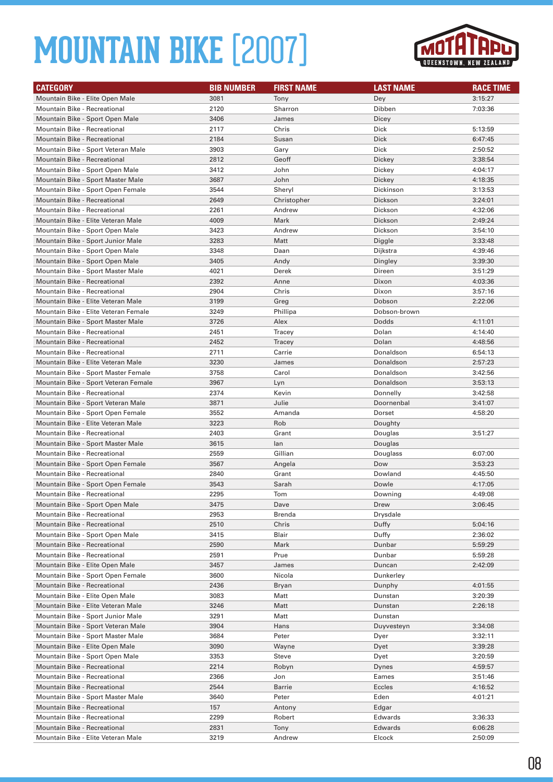

| <b>CATEGORY</b>                      | <b>BIB NUMBER</b> | <b>FIRST NAME</b> | <b>LAST NAME</b> | <b>RACE TIME</b> |
|--------------------------------------|-------------------|-------------------|------------------|------------------|
| Mountain Bike - Elite Open Male      | 3081              | Tony              | Dey              | 3:15:27          |
| Mountain Bike - Recreational         | 2120              | Sharron           | Dibben           | 7:03:36          |
| Mountain Bike - Sport Open Male      | 3406              | James             | Dicey            |                  |
| Mountain Bike - Recreational         | 2117              | Chris             | Dick             | 5:13:59          |
| <b>Mountain Bike - Recreational</b>  | 2184              | Susan             | <b>Dick</b>      | 6:47:45          |
| Mountain Bike - Sport Veteran Male   | 3903              | Gary              | Dick             | 2:50:52          |
| <b>Mountain Bike - Recreational</b>  | 2812              | Geoff             | Dickey           | 3:38:54          |
| Mountain Bike - Sport Open Male      | 3412              | John              | Dickey           | 4:04:17          |
| Mountain Bike - Sport Master Male    | 3687              | John              | Dickey           | 4:18:35          |
| Mountain Bike - Sport Open Female    | 3544              | Sheryl            | Dickinson        | 3:13:53          |
| <b>Mountain Bike - Recreational</b>  | 2649              | Christopher       | Dickson          | 3:24:01          |
| Mountain Bike - Recreational         | 2261              | Andrew            | Dickson          | 4:32:06          |
| Mountain Bike - Elite Veteran Male   | 4009              | Mark              | Dickson          | 2:49:24          |
| Mountain Bike - Sport Open Male      | 3423              | Andrew            | Dickson          | 3:54:10          |
| Mountain Bike - Sport Junior Male    | 3283              | Matt              | Diggle           | 3:33:48          |
| Mountain Bike - Sport Open Male      | 3348              | Daan              | Dijkstra         | 4:39:46          |
| Mountain Bike - Sport Open Male      | 3405              | Andy              | Dingley          | 3:39:30          |
| Mountain Bike - Sport Master Male    | 4021              | Derek             | Direen           | 3:51:29          |
| <b>Mountain Bike - Recreational</b>  | 2392              | Anne              | Dixon            | 4:03:36          |
| <b>Mountain Bike - Recreational</b>  | 2904              | Chris             | Dixon            | 3:57:16          |
| Mountain Bike - Elite Veteran Male   | 3199              | Greg              | Dobson           | 2:22:06          |
| Mountain Bike - Elite Veteran Female | 3249              | Phillipa          | Dobson-brown     |                  |
| Mountain Bike - Sport Master Male    | 3726              | Alex              | Dodds            | 4:11:01          |
| Mountain Bike - Recreational         | 2451              | Tracey            | Dolan            | 4:14:40          |
| <b>Mountain Bike - Recreational</b>  | 2452              | Tracey            | Dolan            | 4:48:56          |
| Mountain Bike - Recreational         | 2711              | Carrie            | Donaldson        | 6:54:13          |
| Mountain Bike - Elite Veteran Male   | 3230              | James             | Donaldson        | 2:57:23          |
| Mountain Bike - Sport Master Female  | 3758              | Carol             | Donaldson        | 3:42:56          |
| Mountain Bike - Sport Veteran Female | 3967              | Lyn               | Donaldson        | 3:53:13          |
| Mountain Bike - Recreational         | 2374              | Kevin             | Donnelly         | 3:42:58          |
| Mountain Bike - Sport Veteran Male   | 3871              | Julie             | Doornenbal       | 3:41:07          |
| Mountain Bike - Sport Open Female    | 3552              | Amanda            | Dorset           | 4:58:20          |
| Mountain Bike - Elite Veteran Male   | 3223              | Rob               | Doughty          |                  |
| Mountain Bike - Recreational         | 2403              | Grant             | Douglas          | 3:51:27          |
| Mountain Bike - Sport Master Male    | 3615              | lan               | Douglas          |                  |
| <b>Mountain Bike - Recreational</b>  | 2559              | Gillian           | Douglass         | 6:07:00          |
| Mountain Bike - Sport Open Female    | 3567              | Angela            | Dow              | 3:53:23          |
| Mountain Bike - Recreational         | 2840              | Grant             | Dowland          | 4:45:50          |
| Mountain Bike - Sport Open Female    | 3543              | Sarah             | Dowle            | 4:17:05          |
| <b>Mountain Bike - Recreational</b>  | 2295              | Tom               | Downing          | 4:49:08          |
| Mountain Bike - Sport Open Male      | 3475              | Dave              | Drew             | 3:06:45          |
| Mountain Bike - Recreational         | 2953              | Brenda            | Drysdale         |                  |
| Mountain Bike - Recreational         | 2510              | Chris             | Duffy            | 5:04:16          |
| Mountain Bike - Sport Open Male      | 3415              | Blair             | Duffy            | 2:36:02          |
| Mountain Bike - Recreational         | 2590              | Mark              | Dunbar           | 5:59:29          |
| Mountain Bike - Recreational         | 2591              | Prue              | Dunbar           | 5:59:28          |
| Mountain Bike - Elite Open Male      | 3457              | James             | Duncan           | 2:42:09          |
| Mountain Bike - Sport Open Female    | 3600              | Nicola            | Dunkerley        |                  |
| Mountain Bike - Recreational         | 2436              | Bryan             | Dunphy           | 4:01:55          |
| Mountain Bike - Elite Open Male      | 3083              | Matt              | Dunstan          | 3:20:39          |
| Mountain Bike - Elite Veteran Male   | 3246              | Matt              | Dunstan          | 2:26:18          |
| Mountain Bike - Sport Junior Male    | 3291              | Matt              | Dunstan          |                  |
| Mountain Bike - Sport Veteran Male   | 3904              | Hans              | Duyvesteyn       | 3:34:08          |
| Mountain Bike - Sport Master Male    | 3684              | Peter             | Dyer             | 3:32:11          |
| Mountain Bike - Elite Open Male      | 3090              | Wayne             | Dyet             | 3:39:28          |
| Mountain Bike - Sport Open Male      | 3353              | Steve             | Dyet             | 3:20:59          |
| Mountain Bike - Recreational         | 2214              | Robyn             | Dynes            | 4:59:57          |
| Mountain Bike - Recreational         | 2366              | Jon               | Eames            | 3:51:46          |
| Mountain Bike - Recreational         | 2544              | Barrie            | Eccles           | 4:16:52          |
| Mountain Bike - Sport Master Male    | 3640              | Peter             | Eden             | 4:01:21          |
| Mountain Bike - Recreational         | 157               | Antony            | Edgar            |                  |
| Mountain Bike - Recreational         | 2299              | Robert            | Edwards          | 3:36:33          |
| Mountain Bike - Recreational         | 2831              | Tony              | Edwards          | 6:06:28          |
| Mountain Bike - Elite Veteran Male   | 3219              | Andrew            | Elcock           | 2:50:09          |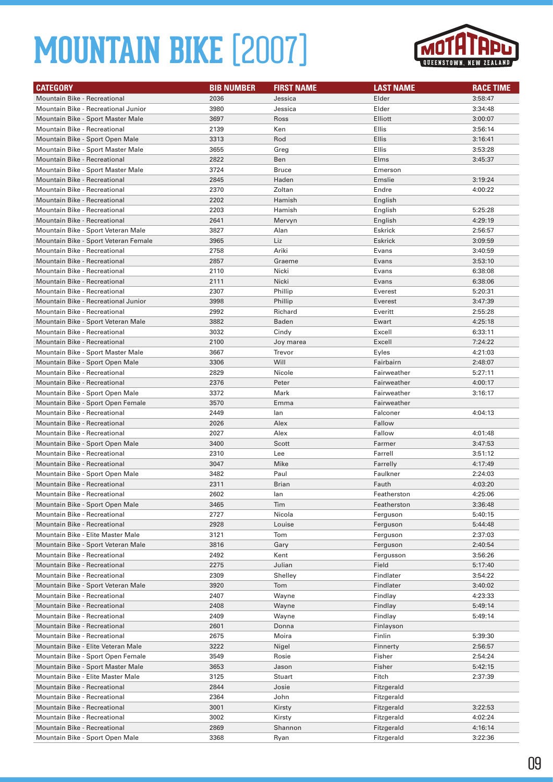

| <b>CATEGORY</b>                      | <b>BIB NUMBER</b> | <b>FIRST NAME</b> | <b>LAST NAME</b> | <b>RACE TIME</b> |
|--------------------------------------|-------------------|-------------------|------------------|------------------|
| <b>Mountain Bike - Recreational</b>  | 2036              | Jessica           | Elder            | 3:58:47          |
| Mountain Bike - Recreational Junior  | 3980              | Jessica           | Elder            | 3:34:48          |
| Mountain Bike - Sport Master Male    | 3697              | Ross              | Elliott          | 3:00:07          |
| Mountain Bike - Recreational         | 2139              | Ken               | Ellis            | 3:56:14          |
| Mountain Bike - Sport Open Male      | 3313              | Rod               | Ellis            | 3:16:41          |
| Mountain Bike - Sport Master Male    | 3655              | Greg              | Ellis            | 3:53:28          |
| <b>Mountain Bike - Recreational</b>  | 2822              | Ben               | Elms             | 3:45:37          |
| Mountain Bike - Sport Master Male    | 3724              | <b>Bruce</b>      | Emerson          |                  |
| Mountain Bike - Recreational         | 2845              | Haden             | Emslie           | 3:19:24          |
| <b>Mountain Bike - Recreational</b>  | 2370              | Zoltan            | Endre            | 4:00:22          |
| Mountain Bike - Recreational         | 2202              | Hamish            | English          |                  |
| <b>Mountain Bike - Recreational</b>  | 2203              | Hamish            | English          | 5:25:28          |
| <b>Mountain Bike - Recreational</b>  | 2641              | Mervyn            | English          | 4:29:19          |
| Mountain Bike - Sport Veteran Male   | 3827              | Alan              | Eskrick          | 2:56:57          |
| Mountain Bike - Sport Veteran Female | 3965              | Liz               | <b>Eskrick</b>   | 3:09:59          |
| <b>Mountain Bike - Recreational</b>  | 2758              | Ariki             | Evans            | 3:40:59          |
| <b>Mountain Bike - Recreational</b>  | 2857              | Graeme            | Evans            | 3:53:10          |
| <b>Mountain Bike - Recreational</b>  | 2110              | Nicki             | Evans            | 6:38:08          |
| <b>Mountain Bike - Recreational</b>  | 2111              | Nicki             | Evans            | 6:38:06          |
| Mountain Bike - Recreational         | 2307              | Phillip           | Everest          | 5:20:31          |
| Mountain Bike - Recreational Junior  | 3998              | Phillip           | Everest          | 3:47:39          |
| Mountain Bike - Recreational         | 2992              | Richard           | Everitt          | 2:55:28          |
| Mountain Bike - Sport Veteran Male   | 3882              | Baden             | Ewart            | 4:25:18          |
| Mountain Bike - Recreational         | 3032              | Cindy             | Excell           | 6:33:11          |
| Mountain Bike - Recreational         | 2100              | Joy marea         | Excell           | 7:24:22          |
| Mountain Bike - Sport Master Male    | 3667              | Trevor            | Eyles            | 4:21:03          |
| Mountain Bike - Sport Open Male      | 3306              | Will              | Fairbairn        | 2:48:07          |
| Mountain Bike - Recreational         | 2829              | Nicole            | Fairweather      | 5:27:11          |
| <b>Mountain Bike - Recreational</b>  | 2376              | Peter             | Fairweather      | 4:00:17          |
| Mountain Bike - Sport Open Male      | 3372              | Mark              | Fairweather      | 3:16:17          |
| Mountain Bike - Sport Open Female    | 3570              | Emma              | Fairweather      |                  |
| <b>Mountain Bike - Recreational</b>  | 2449              | lan               | Falconer         | 4:04:13          |
| Mountain Bike - Recreational         | 2026              | Alex              | Fallow           |                  |
| Mountain Bike - Recreational         | 2027              | Alex              | Fallow           | 4:01:48          |
| Mountain Bike - Sport Open Male      | 3400              | Scott             | Farmer           | 3:47:53          |
| Mountain Bike - Recreational         | 2310              | Lee               | Farrell          | 3:51:12          |
| <b>Mountain Bike - Recreational</b>  | 3047              | Mike              | Farrelly         | 4:17:49          |
| Mountain Bike - Sport Open Male      | 3482              | Paul              | Faulkner         | 2:24:03          |
| <b>Mountain Bike - Recreational</b>  | 2311              | <b>Brian</b>      | Fauth            | 4:03:20          |
| <b>Mountain Bike - Recreational</b>  | 2602              | lan               | Featherston      | 4:25:06          |
| Mountain Bike - Sport Open Male      | 3465              | Tim               | Featherston      | 3:36:48          |
| Mountain Bike - Recreational         | 2727              | Nicola            | Ferguson         | 5:40:15          |
| Mountain Bike - Recreational         | 2928              | Louise            | Ferguson         | 5:44:48          |
| Mountain Bike - Elite Master Male    | 3121              | Tom               | Ferguson         | 2:37:03          |
| Mountain Bike - Sport Veteran Male   | 3816              | Gary              | Ferguson         | 2:40:54          |
| Mountain Bike - Recreational         | 2492              | Kent              | Fergusson        | 3:56:26          |
| Mountain Bike - Recreational         | 2275              | Julian            | Field            | 5:17:40          |
| Mountain Bike - Recreational         | 2309              | Shelley           | Findlater        | 3:54:22          |
| Mountain Bike - Sport Veteran Male   | 3920              | Tom               | Findlater        | 3:40:02          |
| Mountain Bike - Recreational         | 2407              | Wayne             | Findlay          | 4:23:33          |
| Mountain Bike - Recreational         | 2408              | Wayne             | Findlay          | 5:49:14          |
| Mountain Bike - Recreational         | 2409              | Wayne             | Findlay          | 5:49:14          |
| Mountain Bike - Recreational         | 2601              | Donna             | Finlayson        |                  |
| Mountain Bike - Recreational         | 2675              | Moira             | Finlin           | 5:39:30          |
| Mountain Bike - Elite Veteran Male   | 3222              | Nigel             | Finnerty         | 2:56:57          |
| Mountain Bike - Sport Open Female    | 3549              | Rosie             | Fisher           | 2:54:24          |
| Mountain Bike - Sport Master Male    | 3653              | Jason             | Fisher           | 5:42:15          |
| Mountain Bike - Elite Master Male    | 3125              | Stuart            | Fitch            | 2:37:39          |
| Mountain Bike - Recreational         | 2844              | Josie             | Fitzgerald       |                  |
| Mountain Bike - Recreational         | 2364              | John              | Fitzgerald       |                  |
| Mountain Bike - Recreational         | 3001              | Kirsty            | Fitzgerald       | 3:22:53          |
| Mountain Bike - Recreational         | 3002              | Kirsty            | Fitzgerald       | 4:02:24          |
| Mountain Bike - Recreational         | 2869              | Shannon           | Fitzgerald       | 4:16:14          |
| Mountain Bike - Sport Open Male      | 3368              | Ryan              | Fitzgerald       | 3:22:36          |
|                                      |                   |                   |                  |                  |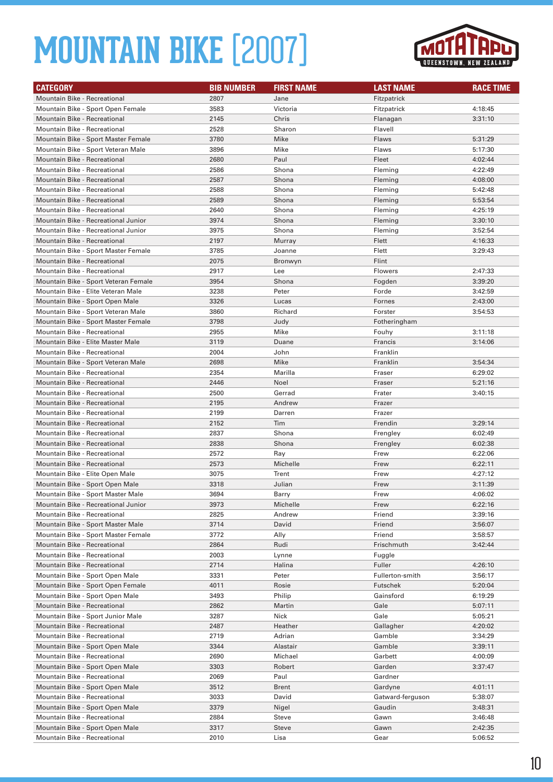

| <b>CATEGORY</b>                                                 | <b>BIB NUMBER</b> | <b>FIRST NAME</b> | <b>LAST NAME</b>          | <b>RACE TIME</b>   |
|-----------------------------------------------------------------|-------------------|-------------------|---------------------------|--------------------|
| <b>Mountain Bike - Recreational</b>                             | 2807              | Jane              | Fitzpatrick               |                    |
| Mountain Bike - Sport Open Female                               | 3583              | Victoria          | Fitzpatrick               | 4:18:45            |
| Mountain Bike - Recreational                                    | 2145              | Chris             | Flanagan                  | 3:31:10            |
| Mountain Bike - Recreational                                    | 2528              | Sharon            | Flavell                   |                    |
| Mountain Bike - Sport Master Female                             | 3780              | Mike              | Flaws                     | 5:31:29            |
| Mountain Bike - Sport Veteran Male                              | 3896              | Mike              | Flaws                     | 5:17:30            |
| <b>Mountain Bike - Recreational</b>                             | 2680              | Paul              | Fleet                     | 4:02:44            |
| Mountain Bike - Recreational                                    | 2586              | Shona             | Fleming                   | 4:22:49            |
| <b>Mountain Bike - Recreational</b>                             | 2587              | Shona             | Fleming                   | 4:08:00            |
| Mountain Bike - Recreational                                    | 2588              | Shona             | Fleming                   | 5:42:48            |
| <b>Mountain Bike - Recreational</b>                             | 2589              | Shona             | Fleming                   | 5:53:54            |
| Mountain Bike - Recreational                                    | 2640              | Shona             | Fleming                   | 4:25:19            |
| Mountain Bike - Recreational Junior                             | 3974              | Shona             | Fleming                   | 3:30:10            |
| Mountain Bike - Recreational Junior                             | 3975              | Shona             | Fleming                   | 3:52:54            |
| <b>Mountain Bike - Recreational</b>                             | 2197              | Murray            | Flett                     | 4:16:33            |
| Mountain Bike - Sport Master Female                             | 3785              | Joanne            | Flett                     | 3:29:43            |
| Mountain Bike - Recreational                                    | 2075              | Bronwyn           | Flint                     |                    |
| <b>Mountain Bike - Recreational</b>                             | 2917              | Lee               | Flowers                   | 2:47:33            |
| Mountain Bike - Sport Veteran Female                            | 3954              | Shona             | Fogden                    | 3:39:20            |
| Mountain Bike - Elite Veteran Male                              | 3238              | Peter             | Forde                     | 3:42:59            |
| Mountain Bike - Sport Open Male                                 | 3326              | Lucas             | Fornes                    | 2:43:00            |
| Mountain Bike - Sport Veteran Male                              | 3860              | Richard           | Forster                   | 3:54:53            |
| Mountain Bike - Sport Master Female                             | 3798              | Judy              | Fotheringham              |                    |
| Mountain Bike - Recreational                                    | 2955              | Mike              | Fouhy                     | 3:11:18            |
| Mountain Bike - Elite Master Male                               | 3119              | Duane             | Francis                   | 3:14:06            |
| Mountain Bike - Recreational                                    | 2004              | John              | Franklin                  |                    |
| Mountain Bike - Sport Veteran Male                              | 2698              | Mike              | Franklin                  | 3:54:34            |
| Mountain Bike - Recreational                                    | 2354              | Marilla           | Fraser                    | 6:29:02            |
| <b>Mountain Bike - Recreational</b>                             | 2446              | Noel              | Fraser                    | 5:21:16            |
| Mountain Bike - Recreational                                    | 2500              | Gerrad            | Frater                    | 3:40:15            |
| <b>Mountain Bike - Recreational</b>                             | 2195              | Andrew            | Frazer                    |                    |
| Mountain Bike - Recreational                                    | 2199              | Darren            | Frazer                    |                    |
| <b>Mountain Bike - Recreational</b>                             | 2152              | Tim               | Frendin                   | 3:29:14            |
| Mountain Bike - Recreational                                    | 2837              | Shona             | Frengley                  | 6:02:49            |
| <b>Mountain Bike - Recreational</b>                             | 2838              | Shona             | Frengley                  | 6:02:38            |
| Mountain Bike - Recreational                                    | 2572              | Ray               | Frew                      | 6:22:06            |
| <b>Mountain Bike - Recreational</b>                             | 2573              | Michelle          | Frew                      | 6:22:11            |
| Mountain Bike - Elite Open Male                                 | 3075              | Trent             | Frew                      | 4:27:12            |
| Mountain Bike - Sport Open Male                                 | 3318              | Julian            | Frew                      | 3:11:39            |
| Mountain Bike - Sport Master Male                               | 3694              | Barry             | Frew                      | 4:06:02            |
| Mountain Bike - Recreational Junior                             | 3973              | Michelle          | Frew                      | 6:22:16            |
| Mountain Bike - Recreational                                    | 2825              | Andrew            | Friend                    | 3:39:16            |
| Mountain Bike - Sport Master Male                               | 3714              | David             | Friend                    | 3:56:07            |
| Mountain Bike - Sport Master Female                             | 3772              | Ally              | Friend                    | 3:58:57            |
| <b>Mountain Bike - Recreational</b>                             | 2864              | Rudi              | Frischmuth                | 3:42:44            |
| Mountain Bike - Recreational                                    | 2003              | Lynne             | Fuggle                    |                    |
| Mountain Bike - Recreational<br>Mountain Bike - Sport Open Male | 2714<br>3331      | Halina<br>Peter   | Fuller<br>Fullerton-smith | 4:26:10<br>3:56:17 |
| Mountain Bike - Sport Open Female                               |                   | Rosie             |                           |                    |
| Mountain Bike - Sport Open Male                                 | 4011<br>3493      | Philip            | Futschek<br>Gainsford     | 5:20:04<br>6:19:29 |
| Mountain Bike - Recreational                                    | 2862              | Martin            | Gale                      | 5:07:11            |
| Mountain Bike - Sport Junior Male                               | 3287              | Nick              | Gale                      | 5:05:21            |
| Mountain Bike - Recreational                                    | 2487              | Heather           | Gallagher                 | 4:20:02            |
| Mountain Bike - Recreational                                    | 2719              | Adrian            | Gamble                    | 3:34:29            |
| Mountain Bike - Sport Open Male                                 | 3344              | Alastair          | Gamble                    | 3:39:11            |
| Mountain Bike - Recreational                                    | 2690              | Michael           | Garbett                   | 4:00:09            |
| Mountain Bike - Sport Open Male                                 | 3303              | Robert            | Garden                    | 3:37:47            |
| Mountain Bike - Recreational                                    | 2069              | Paul              | Gardner                   |                    |
| Mountain Bike - Sport Open Male                                 | 3512              | Brent             | Gardyne                   | 4:01:11            |
| Mountain Bike - Recreational                                    | 3033              | David             | Gatward-ferguson          | 5:38:07            |
| Mountain Bike - Sport Open Male                                 | 3379              | Nigel             | Gaudin                    | 3:48:31            |
| Mountain Bike - Recreational                                    | 2884              | Steve             | Gawn                      | 3:46:48            |
| Mountain Bike - Sport Open Male                                 | 3317              | Steve             | Gawn                      | 2:42:35            |
| Mountain Bike - Recreational                                    | 2010              | Lisa              | Gear                      | 5:06:52            |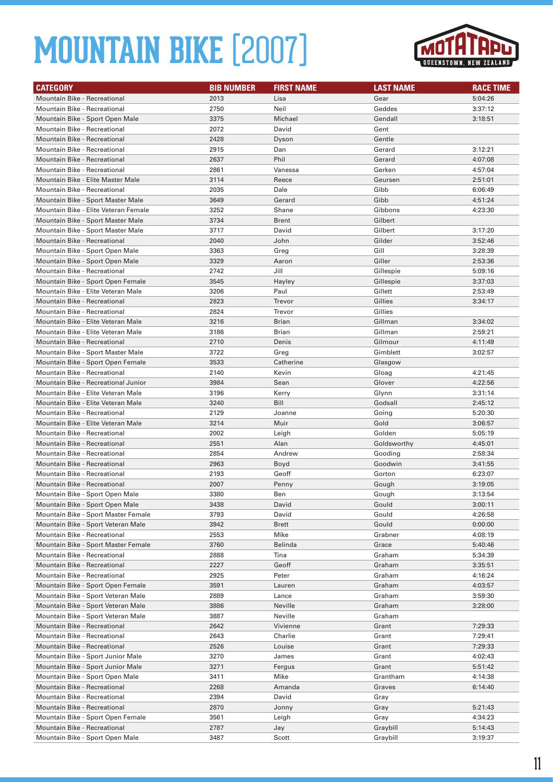

| <b>CATEGORY</b>                                                    | <b>BIB NUMBER</b> | <b>FIRST NAME</b> | <b>LAST NAME</b> | <b>RACE TIME</b>   |
|--------------------------------------------------------------------|-------------------|-------------------|------------------|--------------------|
| Mountain Bike - Recreational                                       | 2013              | Lisa              | Gear             | 5:04:26            |
| <b>Mountain Bike - Recreational</b>                                | 2750              | Neil              | Geddes           | 3:37:12            |
| Mountain Bike - Sport Open Male                                    | 3375              | Michael           | Gendall          | 3:18:51            |
| Mountain Bike - Recreational                                       | 2072              | David             | Gent             |                    |
| <b>Mountain Bike - Recreational</b>                                | 2428              | Dyson             | Gentle           |                    |
| Mountain Bike - Recreational                                       | 2915              | Dan               | Gerard           | 3:12:21            |
| <b>Mountain Bike - Recreational</b>                                | 2637              | Phil              | Gerard           | 4:07:08            |
| Mountain Bike - Recreational                                       | 2861              | Vanessa           | Gerken           | 4:57:04            |
| Mountain Bike - Elite Master Male                                  | 3114              | Reece             | Geursen          | 2:51:01            |
| Mountain Bike - Recreational                                       | 2035              | Dale              | Gibb             | 6:06:49            |
| Mountain Bike - Sport Master Male                                  | 3649              | Gerard            | Gibb             | 4:51:24            |
| Mountain Bike - Elite Veteran Female                               | 3252              | Shane             | Gibbons          | 4:23:30            |
| Mountain Bike - Sport Master Male                                  | 3734              | <b>Brent</b>      | Gilbert          |                    |
| Mountain Bike - Sport Master Male                                  | 3717              | David             | Gilbert          | 3:17:20            |
| Mountain Bike - Recreational                                       | 2040              | John              | Gilder           | 3:52:46            |
| Mountain Bike - Sport Open Male                                    | 3363              | Greg              | Gill             | 3:28:39            |
| Mountain Bike - Sport Open Male                                    | 3329              | Aaron             | Giller           | 2:53:36            |
| <b>Mountain Bike - Recreational</b>                                | 2742              | Jill              | Gillespie        | 5:09:16            |
| Mountain Bike - Sport Open Female                                  | 3545              | Hayley            | Gillespie        | 3:37:03            |
| Mountain Bike - Elite Veteran Male                                 | 3206              | Paul              | Gillett          | 2:53:49            |
| <b>Mountain Bike - Recreational</b>                                | 2823              | Trevor            | Gillies          | 3:34:17            |
| Mountain Bike - Recreational                                       | 2824              | Trevor            | Gillies          |                    |
| Mountain Bike - Elite Veteran Male                                 | 3216              | <b>Brian</b>      | Gillman          | 3:34:02            |
| Mountain Bike - Elite Veteran Male                                 | 3186              | Brian             | Gillman          | 2:59:21            |
| <b>Mountain Bike - Recreational</b>                                | 2710              | Denis             | Gilmour          | 4:11:49            |
| Mountain Bike - Sport Master Male                                  | 3722              | Greg              | Gimblett         | 3:02:57            |
| Mountain Bike - Sport Open Female                                  | 3533              | Catherine         | Glasgow          |                    |
| Mountain Bike - Recreational                                       | 2140              | Kevin             | Gloag            | 4:21:45            |
| Mountain Bike - Recreational Junior                                | 3984              | Sean              | Glover           | 4:22:56            |
| Mountain Bike - Elite Veteran Male                                 | 3196              | Kerry             | Glynn            | 3:31:14            |
| Mountain Bike - Elite Veteran Male                                 | 3240              | Bill              | Godsall          | 2:45:12            |
| Mountain Bike - Recreational                                       | 2129              | Joanne            | Going            | 5:20:30            |
| Mountain Bike - Elite Veteran Male                                 | 3214              | Muir              | Gold             | 3:06:57            |
| Mountain Bike - Recreational                                       | 2002              | Leigh             | Golden           | 5:05:19            |
| <b>Mountain Bike - Recreational</b>                                | 2551              | Alan              | Goldsworthy      | 4:45:01            |
| Mountain Bike - Recreational                                       | 2854              | Andrew            | Gooding          | 2:58:34            |
| <b>Mountain Bike - Recreational</b>                                | 2963              | Boyd              | Goodwin          | 3:41:55            |
| Mountain Bike - Recreational                                       | 2193              | Geoff             | Gorton           | 6:23:07            |
| <b>Mountain Bike - Recreational</b>                                | 2007              | Penny             | Gough            | 3:19:05            |
| Mountain Bike - Sport Open Male                                    | 3380              | Ben               | Gough            | 3:13:54            |
| Mountain Bike - Sport Open Male                                    | 3438              | David             | Gould            | 3:00:11            |
| Mountain Bike - Sport Master Female                                | 3793              | David             | Gould            | 4:26:58            |
| Mountain Bike - Sport Veteran Male<br>Mountain Bike - Recreational | 3942              | Brett<br>Mike     | Gould            | 0:00:00            |
| Mountain Bike - Sport Master Female                                | 2553<br>3760      | Belinda           | Grabner<br>Grace | 4:08:19<br>5:40:46 |
| Mountain Bike - Recreational                                       | 2888              | Tina              | Graham           | 5:34:39            |
| Mountain Bike - Recreational                                       | 2227              | Geoff             | Graham           | 3:35:51            |
| Mountain Bike - Recreational                                       | 2925              | Peter             | Graham           | 4:16:24            |
| Mountain Bike - Sport Open Female                                  | 3591              | Lauren            | Graham           | 4:03:57            |
| Mountain Bike - Sport Veteran Male                                 | 2889              | Lance             | Graham           | 3:59:30            |
| Mountain Bike - Sport Veteran Male                                 | 3886              | Neville           | Graham           | 3:28:00            |
| Mountain Bike - Sport Veteran Male                                 | 3887              | Neville           | Graham           |                    |
| Mountain Bike - Recreational                                       | 2642              | Vivienne          | Grant            | 7:29:33            |
| Mountain Bike - Recreational                                       | 2643              | Charlie           | Grant            | 7:29:41            |
| Mountain Bike - Recreational                                       | 2526              | Louise            | Grant            | 7:29:33            |
| Mountain Bike - Sport Junior Male                                  | 3270              | James             | Grant            | 4:02:43            |
| Mountain Bike - Sport Junior Male                                  | 3271              | Fergus            | Grant            | 5:51:42            |
| Mountain Bike - Sport Open Male                                    | 3411              | Mike              | Grantham         | 4:14:38            |
| Mountain Bike - Recreational                                       | 2268              | Amanda            | Graves           | 6:14:40            |
| Mountain Bike - Recreational                                       | 2394              | David             | Gray             |                    |
| Mountain Bike - Recreational                                       | 2870              | Jonny             | Gray             | 5:21:43            |
| Mountain Bike - Sport Open Female                                  | 3561              | Leigh             | Gray             | 4:34:23            |
| Mountain Bike - Recreational                                       | 2787              | Jay               | Graybill         | 5:14:43            |
| Mountain Bike - Sport Open Male                                    | 3487              | Scott             | Graybill         | 3:19:37            |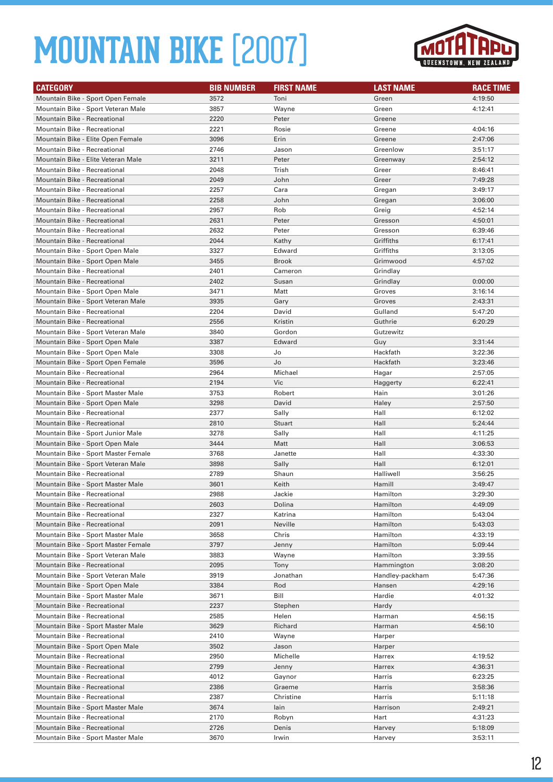

| <b>CATEGORY</b>                     | <b>BIB NUMBER</b> | <b>FIRST NAME</b> | <b>LAST NAME</b> | <b>RACE TIME</b> |
|-------------------------------------|-------------------|-------------------|------------------|------------------|
| Mountain Bike - Sport Open Female   | 3572              | Toni              | Green            | 4:19:50          |
| Mountain Bike - Sport Veteran Male  | 3857              | Wayne             | Green            | 4:12:41          |
| <b>Mountain Bike - Recreational</b> | 2220              | Peter             | Greene           |                  |
| Mountain Bike - Recreational        | 2221              | Rosie             | Greene           | 4:04:16          |
| Mountain Bike - Elite Open Female   | 3096              | Erin              | Greene           | 2:47:06          |
| Mountain Bike - Recreational        | 2746              | Jason             | Greenlow         | 3:51:17          |
| Mountain Bike - Elite Veteran Male  | 3211              | Peter             | Greenway         | 2:54:12          |
| Mountain Bike - Recreational        | 2048              | Trish             | Greer            | 8:46:41          |
| <b>Mountain Bike - Recreational</b> | 2049              | John              | Greer            | 7:49:28          |
| Mountain Bike - Recreational        | 2257              | Cara              | Gregan           | 3:49:17          |
| <b>Mountain Bike - Recreational</b> | 2258              | John              | Gregan           | 3:06:00          |
| <b>Mountain Bike - Recreational</b> | 2957              | Rob               | Greig            | 4:52:14          |
| <b>Mountain Bike - Recreational</b> | 2631              | Peter             | Gresson          | 4:50:01          |
| Mountain Bike - Recreational        | 2632              | Peter             | Gresson          | 6:39:46          |
| <b>Mountain Bike - Recreational</b> | 2044              | Kathy             | Griffiths        | 6:17:41          |
| Mountain Bike - Sport Open Male     | 3327              | Edward            | Griffiths        | 3:13:05          |
| Mountain Bike - Sport Open Male     | 3455              | <b>Brook</b>      | Grimwood         | 4:57:02          |
| Mountain Bike - Recreational        | 2401              | Cameron           | Grindlay         |                  |
| <b>Mountain Bike - Recreational</b> | 2402              | Susan             | Grindlay         | 0:00:00          |
| Mountain Bike - Sport Open Male     | 3471              | Matt              | Groves           | 3:16:14          |
| Mountain Bike - Sport Veteran Male  | 3935              | Gary              | Groves           | 2:43:31          |
| Mountain Bike - Recreational        | 2204              | David             | Gulland          | 5:47:20          |
| <b>Mountain Bike - Recreational</b> | 2556              | Kristin           | Guthrie          | 6:20:29          |
| Mountain Bike - Sport Veteran Male  | 3840              | Gordon            | Gutzewitz        |                  |
| Mountain Bike - Sport Open Male     | 3387              | Edward            | Guy              | 3:31:44          |
| Mountain Bike - Sport Open Male     | 3308              | Jo                | Hackfath         | 3:22:36          |
| Mountain Bike - Sport Open Female   | 3596              | Jo                | Hackfath         | 3:23:46          |
| Mountain Bike - Recreational        | 2964              | Michael           | Hagar            | 2:57:05          |
| <b>Mountain Bike - Recreational</b> | 2194              | Vic               | Haggerty         | 6:22:41          |
| Mountain Bike - Sport Master Male   | 3753              | Robert            | Hain             | 3:01:26          |
| Mountain Bike - Sport Open Male     | 3298              | David             | Haley            | 2:57:50          |
| Mountain Bike - Recreational        | 2377              | Sally             | Hall             | 6:12:02          |
| Mountain Bike - Recreational        | 2810              | <b>Stuart</b>     | Hall             | 5:24:44          |
| Mountain Bike - Sport Junior Male   | 3278              | Sally             | Hall             | 4:11:25          |
| Mountain Bike - Sport Open Male     | 3444              | Matt              | Hall             | 3:06:53          |
| Mountain Bike - Sport Master Female | 3768              | Janette           | Hall             | 4:33:30          |
| Mountain Bike - Sport Veteran Male  | 3898              | Sally             | Hall             | 6:12:01          |
| Mountain Bike - Recreational        | 2789              | Shaun             | Halliwell        | 3:56:25          |
| Mountain Bike - Sport Master Male   | 3601              | Keith             | Hamill           | 3:49:47          |
| <b>Mountain Bike - Recreational</b> | 2988              | Jackie            | Hamilton         | 3:29:30          |
| <b>Mountain Bike - Recreational</b> | 2603              | Dolina            | Hamilton         | 4:49:09          |
| Mountain Bike - Recreational        | 2327              | Katrina           | Hamilton         | 5:43:04          |
| Mountain Bike - Recreational        | 2091              | Neville           | Hamilton         | 5:43:03          |
| Mountain Bike - Sport Master Male   | 3658              | Chris             | Hamilton         | 4:33:19          |
| Mountain Bike - Sport Master Female | 3797              | Jenny             | Hamilton         | 5:09:44          |
| Mountain Bike - Sport Veteran Male  | 3883              | Wayne             | Hamilton         | 3:39:55          |
| Mountain Bike - Recreational        | 2095              | Tony              | Hammington       | 3:08:20          |
| Mountain Bike - Sport Veteran Male  | 3919              | Jonathan          | Handley-packham  | 5:47:36          |
| Mountain Bike - Sport Open Male     | 3384              | Rod               | Hansen           | 4:29:16          |
| Mountain Bike - Sport Master Male   | 3671              | Bill              | Hardie           | 4:01:32          |
| Mountain Bike - Recreational        | 2237              | Stephen           | Hardy            |                  |
| <b>Mountain Bike - Recreational</b> | 2585              | Helen             | Harman           | 4:56:15          |
| Mountain Bike - Sport Master Male   | 3629              | Richard           | Harman           | 4:56:10          |
| Mountain Bike - Recreational        | 2410              | Wayne             | Harper           |                  |
| Mountain Bike - Sport Open Male     | 3502              | Jason             | Harper           |                  |
| Mountain Bike - Recreational        | 2950              | Michelle          | Harrex           | 4:19:52          |
| Mountain Bike - Recreational        | 2799              | Jenny             | Harrex           | 4:36:31          |
| Mountain Bike - Recreational        | 4012              | Gaynor            | Harris           | 6:23:25          |
| Mountain Bike - Recreational        | 2386              | Graeme            | Harris           | 3:58:36          |
| Mountain Bike - Recreational        | 2387              | Christine         | Harris           | 5:11:18          |
| Mountain Bike - Sport Master Male   | 3674              | lain              | Harrison         | 2:49:21          |
| Mountain Bike - Recreational        | 2170              | Robyn             | Hart             | 4:31:23          |
| Mountain Bike - Recreational        | 2726              | Denis             | Harvey           | 5:18:09          |
| Mountain Bike - Sport Master Male   | 3670              | Irwin             | Harvey           | 3:53:11          |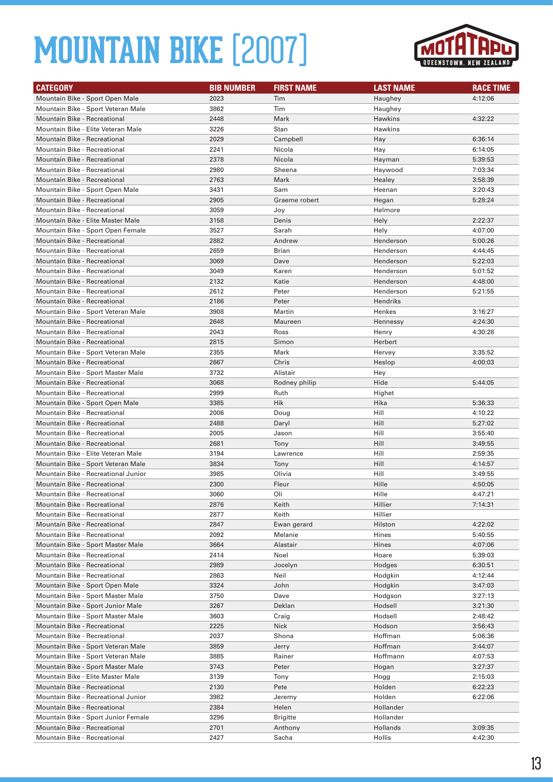

| <b>CATEGORY</b>                     | <b>BIB NUMBER</b> | <b>FIRST NAME</b> | <b>LAST NAME</b> | <b>RACE TIME</b> |
|-------------------------------------|-------------------|-------------------|------------------|------------------|
| Mountain Bike - Sport Open Male     | 2023              | Tim               | Haughey          | 4:12:06          |
| Mountain Bike - Sport Veteran Male  | 3862              | Tim               | Haughey          |                  |
| Mountain Bike - Recreational        | 2448              | Mark              | Hawkins          | 4:32:22          |
| Mountain Bike - Elite Veteran Male  | 3226              | Stan              | Hawkins          |                  |
| <b>Mountain Bike - Recreational</b> | 2029              | Campbell          | Hay              | 6:36:14          |
| Mountain Bike - Recreational        | 2241              | Nicola            | Hay              | 6:14:05          |
| <b>Mountain Bike - Recreational</b> | 2378              | Nicola            | Hayman           | 5:39:53          |
| Mountain Bike - Recreational        | 2980              | Sheena            | Haywood          | 7:03:34          |
| <b>Mountain Bike - Recreational</b> | 2763              | Mark              | Healey           | 3:58:39          |
| Mountain Bike - Sport Open Male     | 3431              | Sam               | Heenan           | 3:20:43          |
| <b>Mountain Bike - Recreational</b> | 2905              | Graeme robert     | Hegan            | 5:28:24          |
| Mountain Bike - Recreational        | 3059              | Joy               | Helmore          |                  |
| Mountain Bike - Elite Master Male   | 3158              | Denis             | Hely             | 2:22:37          |
| Mountain Bike - Sport Open Female   | 3527              | Sarah             | Hely             | 4:07:00          |
| Mountain Bike - Recreational        | 2882              | Andrew            | Henderson        | 5:00:26          |
| Mountain Bike - Recreational        | 2659              | <b>Brian</b>      | Henderson        | 4:44:45          |
| <b>Mountain Bike - Recreational</b> | 3069              | Dave              | Henderson        | 5:22:03          |
| Mountain Bike - Recreational        | 3049              | Karen             | Henderson        | 5:01:52          |
| <b>Mountain Bike - Recreational</b> | 2132              | Katie             | Henderson        | 4:48:00          |
| Mountain Bike - Recreational        | 2612              | Peter             | Henderson        | 5:21:55          |
| <b>Mountain Bike - Recreational</b> | 2186              | Peter             | Hendriks         |                  |
| Mountain Bike - Sport Veteran Male  | 3908              | Martin            | Henkes           | 3:16:27          |
| <b>Mountain Bike - Recreational</b> | 2648              | Maureen           | Hennessy         | 4:24:30          |
| Mountain Bike - Recreational        | 2043              | Ross              | Henry            | 4:30:28          |
| Mountain Bike - Recreational        | 2815              | Simon             | Herbert          |                  |
| Mountain Bike - Sport Veteran Male  | 2355              | Mark              | Hervey           | 3:35:52          |
| <b>Mountain Bike - Recreational</b> | 2667              | Chris             | Heslop           | 4:00:03          |
| Mountain Bike - Sport Master Male   | 3732              | Alistair          | Hey              |                  |
| <b>Mountain Bike - Recreational</b> | 3068              | Rodney philip     | Hide             | 5:44:05          |
| Mountain Bike - Recreational        | 2999              | Ruth              | Highet           |                  |
| Mountain Bike - Sport Open Male     | 3385              | Hik               | Hika             | 5:36:33          |
| Mountain Bike - Recreational        | 2006              | Doug              | Hill             | 4:10:22          |
| <b>Mountain Bike - Recreational</b> | 2488              | Daryl             | Hill             | 5:27:02          |
| Mountain Bike - Recreational        | 2005              | Jason             | Hill             | 3:55:40          |
| <b>Mountain Bike - Recreational</b> | 2681              | Tony              | Hill             | 3:49:55          |
| Mountain Bike - Elite Veteran Male  | 3194              | Lawrence          | Hill             | 2:59:35          |
| Mountain Bike - Sport Veteran Male  | 3834              | Tony              | Hill             | 4:14:57          |
| Mountain Bike - Recreational Junior | 3985              | Olivia            | Hill             | 3:49:55          |
| <b>Mountain Bike - Recreational</b> | 2300              | Fleur             | Hille            | 4:50:05          |
| <b>Mountain Bike - Recreational</b> | 3060              | Oli               | Hille            | 4:47:21          |
| Mountain Bike - Recreational        | 2876              | Keith             | Hillier          | 7:14:31          |
| Mountain Bike - Recreational        | 2877              | Keith             | Hillier          |                  |
| Mountain Bike - Recreational        | 2847              | Ewan gerard       | Hilston          | 4:22:02          |
| Mountain Bike - Recreational        | 2092              | Melanie           | Hines            | 5:40:55          |
| Mountain Bike - Sport Master Male   | 3664              | Alastair          | Hines            | 4:07:06          |
| Mountain Bike - Recreational        | 2414              | Noel              | Hoare            | 5:39:03          |
| Mountain Bike - Recreational        | 2989              | Jocelyn           | Hodges           | 6:30:51          |
| Mountain Bike - Recreational        | 2863              | Neil              | Hodgkin          | 4:12:44          |
| Mountain Bike - Sport Open Male     | 3324              | John              | Hodgkin          | 3:47:03          |
| Mountain Bike - Sport Master Male   | 3750              | Dave              | Hodgson          | 3:27:13          |
| Mountain Bike - Sport Junior Male   | 3267              | Deklan            | Hodsell          | 3:21:30          |
| Mountain Bike - Sport Master Male   | 3603              | Craig             | Hodsell          | 2:48:42          |
| Mountain Bike - Recreational        | 2225              | <b>Nick</b>       | Hodson           | 3:56:43          |
| Mountain Bike - Recreational        | 2037              | Shona             | Hoffman          | 5:06:36          |
| Mountain Bike - Sport Veteran Male  | 3859              | Jerry             | Hoffman          | 3:44:07          |
| Mountain Bike - Sport Veteran Male  | 3885              | Rainer            | Hoffmann         | 4:07:53          |
| Mountain Bike - Sport Master Male   | 3743              | Peter             | Hogan            | 3:27:37          |
| Mountain Bike - Elite Master Male   | 3139              | Tony              | Hogg             | 2:15:03          |
| Mountain Bike - Recreational        | 2130              | Pete              | Holden           | 6:22:23          |
| Mountain Bike - Recreational Junior | 3982              | Jeremy            | Holden           | 6:22:06          |
| Mountain Bike - Recreational        | 2384              | Helen             | Hollander        |                  |
| Mountain Bike - Sport Junior Female | 3296              | <b>Brigitte</b>   | Hollander        |                  |
| Mountain Bike - Recreational        | 2701              | Anthony           | Hollands         | 3:09:35          |
| Mountain Bike - Recreational        | 2427              | Sacha             | Hollis           | 4:42:30          |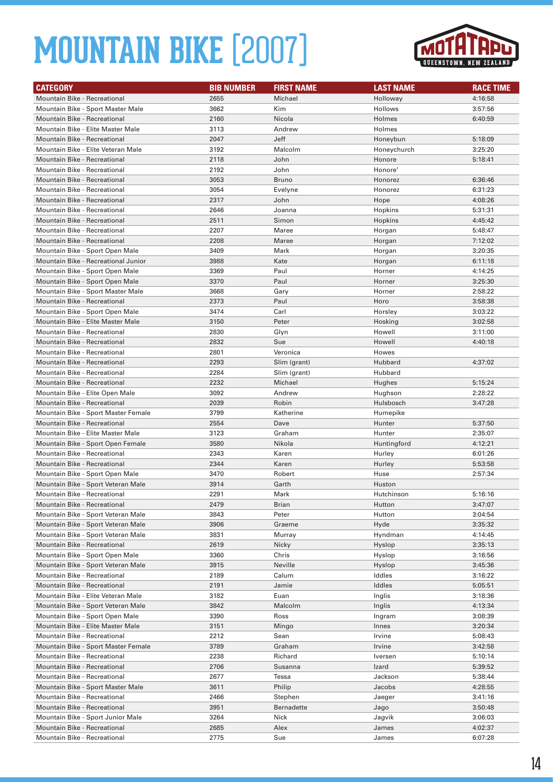

| <b>CATEGORY</b>                                              | <b>BIB NUMBER</b> | <b>FIRST NAME</b> | <b>LAST NAME</b> | <b>RACE TIME</b>   |
|--------------------------------------------------------------|-------------------|-------------------|------------------|--------------------|
| Mountain Bike - Recreational                                 | 2655              | Michael           | Holloway         | 4:16:58            |
| Mountain Bike - Sport Master Male                            | 3662              | Kim               | Hollows          | 3:57:56            |
| Mountain Bike - Recreational                                 | 2160              | Nicola            | Holmes           | 6:40:59            |
| Mountain Bike - Elite Master Male                            | 3113              | Andrew            | Holmes           |                    |
| Mountain Bike - Recreational                                 | 2047              | Jeff              | Honeybun         | 5:18:09            |
| Mountain Bike - Elite Veteran Male                           | 3192              | Malcolm           | Honeychurch      | 3:25:20            |
| <b>Mountain Bike - Recreational</b>                          | 2118              | John              | Honore           | 5:18:41            |
| Mountain Bike - Recreational                                 | 2192              | John              | Honore'          |                    |
| <b>Mountain Bike - Recreational</b>                          | 3053              | <b>Bruno</b>      | Honorez          | 6:36:46            |
| Mountain Bike - Recreational                                 | 3054              | Evelyne           | Honorez          | 6:31:23            |
| <b>Mountain Bike - Recreational</b>                          | 2317              | John              | Hope             | 4:08:26            |
| Mountain Bike - Recreational                                 | 2646              | Joanna            | Hopkins          | 5:31:31            |
| <b>Mountain Bike - Recreational</b>                          | 2511              | Simon             | Hopkins          | 4:45:42            |
| Mountain Bike - Recreational                                 | 2207              | Maree             | Horgan           | 5:48:47            |
| Mountain Bike - Recreational                                 | 2208              | Maree             | Horgan           | 7:12:02            |
| Mountain Bike - Sport Open Male                              | 3409              | Mark              | Horgan           | 3:20:35            |
| Mountain Bike - Recreational Junior                          | 3988              | Kate              | Horgan           | 6:11:18            |
| Mountain Bike - Sport Open Male                              | 3369              | Paul              | Horner           | 4:14:25            |
| Mountain Bike - Sport Open Male                              | 3370              | Paul              | Horner           | 3:25:30            |
| Mountain Bike - Sport Master Male                            | 3668              | Gary              | Horner           | 2:58:22            |
| <b>Mountain Bike - Recreational</b>                          | 2373              | Paul              | Horo             | 3:58:38            |
| Mountain Bike - Sport Open Male                              | 3474              | Carl              | Horsley          | 3:03:22            |
| Mountain Bike - Elite Master Male                            | 3150              | Peter             | Hosking          | 3:02:58            |
| Mountain Bike - Recreational                                 | 2830              | Glyn              | Howell           | 3:11:00            |
| <b>Mountain Bike - Recreational</b>                          | 2832              | Sue               | Howell           | 4:40:18            |
| Mountain Bike - Recreational                                 | 2801              | Veronica          | Howes            |                    |
| <b>Mountain Bike - Recreational</b>                          | 2293              | Slim (grant)      | Hubbard          | 4:37:02            |
| Mountain Bike - Recreational                                 | 2284              | Slim (grant)      | Hubbard          |                    |
| <b>Mountain Bike - Recreational</b>                          | 2232              | Michael           | Hughes           | 5:15:24            |
| Mountain Bike - Elite Open Male                              | 3092              | Andrew            | Hughson          | 2:28:22            |
| Mountain Bike - Recreational                                 | 2039              | Robin             | Hulsbosch        | 3:47:28            |
| Mountain Bike - Sport Master Female                          | 3799              | Katherine         | Humepike         |                    |
| <b>Mountain Bike - Recreational</b>                          | 2554              | Dave              | Hunter           | 5:37:50            |
| Mountain Bike - Elite Master Male                            | 3123              | Graham            | Hunter           | 2:35:07            |
| Mountain Bike - Sport Open Female                            | 3580              | Nikola            | Huntingford      | 4:12:21            |
| Mountain Bike - Recreational                                 | 2343              | Karen             | Hurley           | 6:01:26            |
| Mountain Bike - Recreational                                 | 2344              | Karen             | Hurley           | 5:53:58            |
| Mountain Bike - Sport Open Male                              | 3470              | Robert            | Huse             | 2:57:34            |
| Mountain Bike - Sport Veteran Male                           | 3914              | Garth             | Huston           |                    |
| Mountain Bike - Recreational                                 | 2291              | Mark              | Hutchinson       | 5:16:16            |
| Mountain Bike - Recreational                                 | 2479              | Brian             | Hutton           | 3:47:07            |
| Mountain Bike - Sport Veteran Male                           | 3843              | Peter             | Hutton           | 3:04:54            |
| Mountain Bike - Sport Veteran Male                           | 3906              | Graeme            | Hyde             | 3:35:32            |
| Mountain Bike - Sport Veteran Male                           | 3831              | Murray            | Hyndman          | 4:14:45            |
| Mountain Bike - Recreational                                 | 2619              | Nicky             | Hyslop           | 3:35:13            |
| Mountain Bike - Sport Open Male                              | 3360              | Chris             | Hyslop           | 3:16:56            |
| Mountain Bike - Sport Veteran Male                           | 3915<br>2189      | Neville<br>Calum  | Hyslop<br>Iddles | 3:45:36            |
| Mountain Bike - Recreational<br>Mountain Bike - Recreational | 2191              | Jamie             | Iddles           | 3:16:22<br>5:05:51 |
| Mountain Bike - Elite Veteran Male                           | 3182              | Euan              | Inglis           | 3:18:36            |
| Mountain Bike - Sport Veteran Male                           | 3842              | Malcolm           | Inglis           | 4:13:34            |
| Mountain Bike - Sport Open Male                              | 3390              | Ross              | Ingram           | 3:08:39            |
| Mountain Bike - Elite Master Male                            | 3151              | Mingo             | Innes            | 3:20:34            |
| Mountain Bike - Recreational                                 | 2212              | Sean              | Irvine           | 5:08:43            |
| Mountain Bike - Sport Master Female                          | 3789              | Graham            | Irvine           | 3:42:58            |
| Mountain Bike - Recreational                                 | 2238              | Richard           | Iversen          | 5:10:14            |
| Mountain Bike - Recreational                                 | 2706              | Susanna           | Izard            | 5:39:52            |
| Mountain Bike - Recreational                                 | 2677              | Tessa             | Jackson          | 5:38:44            |
| Mountain Bike - Sport Master Male                            | 3611              | Philip            | Jacobs           | 4:28:55            |
| Mountain Bike - Recreational                                 | 2466              | Stephen           | Jaeger           | 3:41:16            |
| Mountain Bike - Recreational                                 | 3951              | <b>Bernadette</b> | Jago             | 3:50:48            |
| Mountain Bike - Sport Junior Male                            | 3264              | Nick              | Jagvik           | 3:06:03            |
| Mountain Bike - Recreational                                 | 2685              | Alex              | James            | 4:02:37            |
| Mountain Bike - Recreational                                 | 2775              | Sue               | James            | 6:07:28            |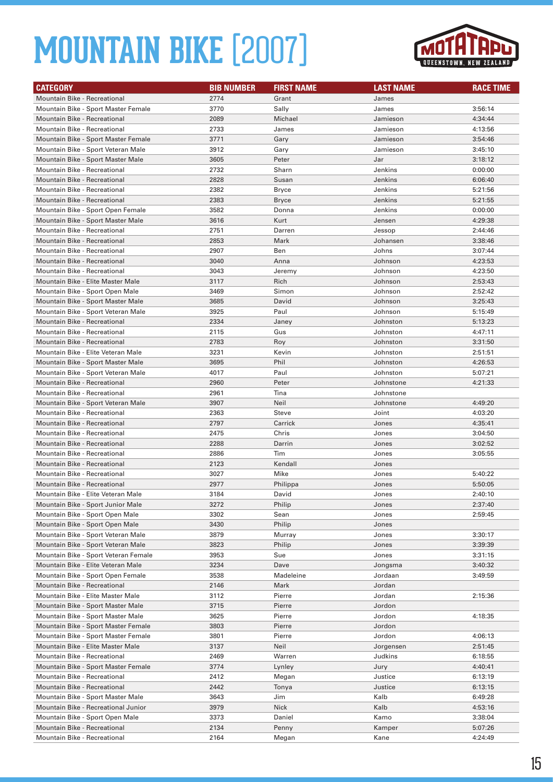

| <b>CATEGORY</b>                                                            | <b>BIB NUMBER</b> | <b>FIRST NAME</b> | <b>LAST NAME</b>   | <b>RACE TIME</b>   |
|----------------------------------------------------------------------------|-------------------|-------------------|--------------------|--------------------|
| Mountain Bike - Recreational                                               | 2774              | Grant             | James              |                    |
| Mountain Bike - Sport Master Female                                        | 3770              | Sally             | James              | 3:56:14            |
| Mountain Bike - Recreational                                               | 2089              | Michael           | Jamieson           | 4:34:44            |
| Mountain Bike - Recreational                                               | 2733              | James             | Jamieson           | 4:13:56            |
| Mountain Bike - Sport Master Female                                        | 3771              | Gary              | Jamieson           | 3:54:46            |
| Mountain Bike - Sport Veteran Male                                         | 3912              | Gary              | Jamieson           | 3:45:10            |
| Mountain Bike - Sport Master Male                                          | 3605              | Peter             | Jar                | 3:18:12            |
| Mountain Bike - Recreational                                               | 2732              | Sharn             | Jenkins            | 0:00:00            |
| Mountain Bike - Recreational                                               | 2828              | Susan             | Jenkins            | 6:06:40            |
| Mountain Bike - Recreational                                               | 2382              | Bryce             | Jenkins            | 5:21:56            |
| <b>Mountain Bike - Recreational</b>                                        | 2383              | <b>Bryce</b>      | Jenkins            | 5:21:55            |
| Mountain Bike - Sport Open Female                                          | 3582              | Donna             | Jenkins            | 0:00:00            |
| Mountain Bike - Sport Master Male                                          | 3616              | Kurt              | Jensen             | 4:29:38            |
| Mountain Bike - Recreational                                               | 2751              | Darren            | Jessop             | 2:44:46            |
| <b>Mountain Bike - Recreational</b>                                        | 2853              | Mark              | Johansen           | 3:38:46            |
| Mountain Bike - Recreational                                               | 2907              | Ben               | Johns              | 3:07:44            |
| <b>Mountain Bike - Recreational</b>                                        | 3040              | Anna              | Johnson            | 4:23:53            |
| Mountain Bike - Recreational                                               | 3043              | Jeremy            | Johnson            | 4:23:50            |
| Mountain Bike - Elite Master Male                                          | 3117              | Rich              | Johnson            | 2:53:43            |
| Mountain Bike - Sport Open Male                                            | 3469              | Simon             | Johnson            | 2:52:42            |
| Mountain Bike - Sport Master Male                                          | 3685              | David             | Johnson            | 3:25:43            |
| Mountain Bike - Sport Veteran Male                                         | 3925              | Paul              | Johnson            | 5:15:49            |
| <b>Mountain Bike - Recreational</b>                                        | 2334              | Janey             | Johnston           | 5:13:23            |
| Mountain Bike - Recreational                                               | 2115              | Gus               | Johnston           | 4:47:11            |
| <b>Mountain Bike - Recreational</b>                                        | 2783              | Roy               | Johnston           | 3:31:50            |
| Mountain Bike - Elite Veteran Male                                         | 3231              | Kevin             | Johnston           | 2:51:51            |
| Mountain Bike - Sport Master Male                                          | 3695              | Phil              | Johnston           | 4:26:53            |
| Mountain Bike - Sport Veteran Male                                         | 4017              | Paul              | Johnston           | 5:07:21            |
| <b>Mountain Bike - Recreational</b>                                        | 2960              | Peter             | Johnstone          | 4:21:33            |
| Mountain Bike - Recreational                                               | 2961              | Tina              | Johnstone          |                    |
| Mountain Bike - Sport Veteran Male                                         | 3907              | Neil              | Johnstone          | 4:49:20            |
| Mountain Bike - Recreational                                               | 2363              | Steve             | Joint              | 4:03:20            |
| <b>Mountain Bike - Recreational</b>                                        | 2797              | Carrick           | Jones              | 4:35:41            |
| Mountain Bike - Recreational                                               | 2475              | Chris             | Jones              | 3:04:50            |
| <b>Mountain Bike - Recreational</b>                                        | 2288              | Darrin            | Jones              | 3:02:52            |
| <b>Mountain Bike - Recreational</b>                                        | 2886              | Tim               | Jones              | 3:05:55            |
| Mountain Bike - Recreational                                               | 2123              | Kendall           | Jones              |                    |
| Mountain Bike - Recreational                                               | 3027              | Mike              | Jones              | 5:40:22            |
| <b>Mountain Bike - Recreational</b>                                        | 2977              | Philippa          | Jones              | 5:50:05            |
| Mountain Bike - Elite Veteran Male                                         | 3184              | David             | Jones              | 2:40:10            |
| Mountain Bike - Sport Junior Male                                          | 3272              | Philip            | Jones              | 2:37:40            |
| Mountain Bike - Sport Open Male                                            | 3302              | Sean              | Jones              | 2:59:45            |
| Mountain Bike - Sport Open Male                                            | 3430              | Philip            | Jones              |                    |
| Mountain Bike - Sport Veteran Male                                         | 3879              | Murray            | Jones              | 3:30:17            |
| Mountain Bike - Sport Veteran Male<br>Mountain Bike - Sport Veteran Female | 3823              | Philip            | Jones              | 3:39:39            |
|                                                                            | 3953              | Sue               | Jones              | 3:31:15            |
| Mountain Bike - Elite Veteran Male                                         | 3234<br>3538      | Dave              | Jongsma<br>Jordaan | 3:40:32<br>3:49:59 |
| Mountain Bike - Sport Open Female                                          |                   | Madeleine         |                    |                    |
| Mountain Bike - Recreational<br>Mountain Bike - Elite Master Male          | 2146<br>3112      | Mark<br>Pierre    | Jordan<br>Jordan   | 2:15:36            |
| Mountain Bike - Sport Master Male                                          | 3715              | Pierre            | Jordon             |                    |
| Mountain Bike - Sport Master Male                                          | 3625              | Pierre            | Jordon             | 4:18:35            |
| Mountain Bike - Sport Master Female                                        | 3803              | Pierre            | Jordon             |                    |
| Mountain Bike - Sport Master Female                                        | 3801              | Pierre            | Jordon             | 4:06:13            |
| Mountain Bike - Elite Master Male                                          | 3137              | Neil              | Jorgensen          | 2:51:45            |
| Mountain Bike - Recreational                                               | 2469              | Warren            | Judkins            | 6:18:55            |
| Mountain Bike - Sport Master Female                                        | 3774              | Lynley            | Jury               | 4:40:41            |
| Mountain Bike - Recreational                                               | 2412              | Megan             | Justice            | 6:13:19            |
| Mountain Bike - Recreational                                               | 2442              | Tonya             | Justice            | 6:13:15            |
| Mountain Bike - Sport Master Male                                          | 3643              | Jim               | Kalb               | 6:49:28            |
| Mountain Bike - Recreational Junior                                        | 3979              | Nick              | Kalb               | 4:53:16            |
| Mountain Bike - Sport Open Male                                            | 3373              | Daniel            | Kamo               | 3:38:04            |
| Mountain Bike - Recreational                                               | 2134              | Penny             | Kamper             | 5:07:26            |
| Mountain Bike - Recreational                                               | 2164              | Megan             | Kane               | 4:24:49            |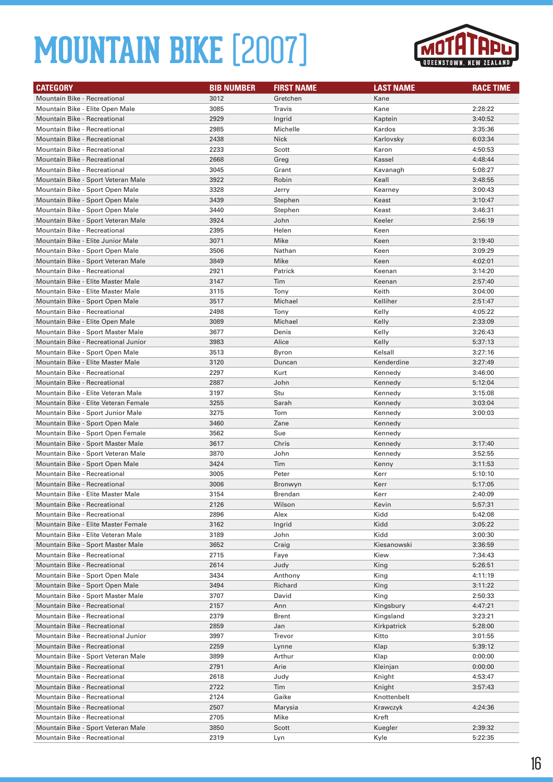

| <b>CATEGORY</b>                      | <b>BIB NUMBER</b> | <b>FIRST NAME</b> | <b>LAST NAME</b> | <b>RACE TIME</b> |
|--------------------------------------|-------------------|-------------------|------------------|------------------|
| Mountain Bike - Recreational         | 3012              | Gretchen          | Kane             |                  |
| Mountain Bike - Elite Open Male      | 3085              | Travis            | Kane             | 2:28:22          |
| Mountain Bike - Recreational         | 2929              | Ingrid            | Kaptein          | 3:40:52          |
| <b>Mountain Bike - Recreational</b>  | 2985              | Michelle          | Kardos           | 3:35:36          |
| <b>Mountain Bike - Recreational</b>  | 2438              | <b>Nick</b>       | Karlovsky        | 6:03:34          |
| Mountain Bike - Recreational         | 2233              | Scott             | Karon            | 4:50:53          |
| <b>Mountain Bike - Recreational</b>  | 2668              | Greg              | Kassel           | 4:48:44          |
| Mountain Bike - Recreational         | 3045              | Grant             | Kavanagh         | 5:08:27          |
| Mountain Bike - Sport Veteran Male   | 3922              | Robin             | Keall            | 3:48:55          |
| Mountain Bike - Sport Open Male      | 3328              | Jerry             | Kearney          | 3:00:43          |
| Mountain Bike - Sport Open Male      | 3439              | Stephen           | Keast            | 3:10:47          |
| Mountain Bike - Sport Open Male      | 3440              | Stephen           | Keast            | 3:46:31          |
| Mountain Bike - Sport Veteran Male   | 3924              | John              | Keeler           | 2:56:19          |
| Mountain Bike - Recreational         | 2395              | Helen             | Keen             |                  |
| Mountain Bike - Elite Junior Male    | 3071              | Mike              | Keen             | 3:19:40          |
| Mountain Bike - Sport Open Male      | 3506              | Nathan            | Keen             | 3:09:29          |
| Mountain Bike - Sport Veteran Male   | 3849              | Mike              | Keen             | 4:02:01          |
| <b>Mountain Bike - Recreational</b>  | 2921              | Patrick           | Keenan           | 3:14:20          |
| Mountain Bike - Elite Master Male    | 3147              | Tim               | Keenan           | 2:57:40          |
| Mountain Bike - Elite Master Male    | 3115              | Tony              | Keith            | 3:04:00          |
| Mountain Bike - Sport Open Male      | 3517              | Michael           | Kelliher         | 2:51:47          |
| Mountain Bike - Recreational         | 2498              | Tony              | Kelly            | 4:05:22          |
| Mountain Bike - Elite Open Male      | 3089              | Michael           | Kelly            | 2:33:09          |
| Mountain Bike - Sport Master Male    | 3677              | Denis             | Kelly            | 3:26:43          |
| Mountain Bike - Recreational Junior  | 3983              | Alice             | Kelly            | 5:37:13          |
| Mountain Bike - Sport Open Male      | 3513              | Byron             | Kelsall          | 3:27:16          |
| Mountain Bike - Elite Master Male    | 3120              | Duncan            | Kenderdine       | 3:27:49          |
| <b>Mountain Bike - Recreational</b>  | 2297              | Kurt              | Kennedy          | 3:46:00          |
| <b>Mountain Bike - Recreational</b>  | 2887              | John              | Kennedy          | 5:12:04          |
| Mountain Bike - Elite Veteran Male   | 3197              | Stu               | Kennedy          | 3:15:08          |
| Mountain Bike - Elite Veteran Female | 3255              | Sarah             | Kennedy          | 3:03:04          |
| Mountain Bike - Sport Junior Male    | 3275              | Tom               | Kennedy          | 3:00:03          |
| Mountain Bike - Sport Open Male      | 3460              | Zane              | Kennedy          |                  |
| Mountain Bike - Sport Open Female    | 3562              | Sue               | Kennedy          |                  |
| Mountain Bike - Sport Master Male    | 3617              | Chris             | Kennedy          | 3:17:40          |
| Mountain Bike - Sport Veteran Male   | 3870              | John              | Kennedy          | 3:52:55          |
| Mountain Bike - Sport Open Male      | 3424              | Tim               | Kenny            | 3:11:53          |
| <b>Mountain Bike - Recreational</b>  | 3005              | Peter             | Kerr             | 5:10:10          |
| <b>Mountain Bike - Recreational</b>  | 3006              | Bronwyn           | Kerr             | 5:17:05          |
| Mountain Bike - Elite Master Male    | 3154              | Brendan           | Kerr             | 2:40:09          |
| Mountain Bike - Recreational         | 2126              | Wilson            | Kevin            | 5:57:31          |
| Mountain Bike - Recreational         | 2896              | Alex              | Kidd             | 5:42:08          |
| Mountain Bike - Elite Master Female  | 3162              | Ingrid            | Kidd             | 3:05:22          |
| Mountain Bike - Elite Veteran Male   | 3189              | John              | Kidd             | 3:00:30          |
| Mountain Bike - Sport Master Male    | 3652              | Craig             | Kiesanowski      | 3:36:59          |
| Mountain Bike - Recreational         | 2715              | Faye              | Kiew             | 7:34:43          |
| Mountain Bike - Recreational         | 2614              | Judy              | King             | 5:26:51          |
| Mountain Bike - Sport Open Male      | 3434              | Anthony           | King             | 4:11:19          |
| Mountain Bike - Sport Open Male      | 3494              | Richard           | King             | 3:11:22          |
| Mountain Bike - Sport Master Male    | 3707              | David             | King             | 2:50:33          |
| Mountain Bike - Recreational         | 2157              | Ann               | Kingsbury        | 4:47:21          |
| Mountain Bike - Recreational         | 2379              | Brent             | Kingsland        | 3:23:21          |
| Mountain Bike - Recreational         | 2859              | Jan               | Kirkpatrick      | 5:28:00          |
| Mountain Bike - Recreational Junior  | 3997              | Trevor            | Kitto            | 3:01:55          |
| Mountain Bike - Recreational         | 2259              | Lynne             | Klap             | 5:39:12          |
| Mountain Bike - Sport Veteran Male   | 3899              | Arthur            | Klap             | 0:00:00          |
| Mountain Bike - Recreational         | 2791              | Arie              | Kleinjan         | 0:00:00          |
| Mountain Bike - Recreational         | 2618              | Judy              | Knight           | 4:53:47          |
| Mountain Bike - Recreational         | 2722              | Tim               | Knight           | 3:57:43          |
| Mountain Bike - Recreational         | 2124              | Gaike             | Knottenbelt      |                  |
| Mountain Bike - Recreational         | 2507              | Marysia           | Krawczyk         | 4:24:36          |
| Mountain Bike - Recreational         | 2705              | Mike              | Kreft            |                  |
| Mountain Bike - Sport Veteran Male   | 3850              | Scott             | Kuegler          | 2:39:32          |
| Mountain Bike - Recreational         | 2319              | Lyn               | Kyle             | 5:22:35          |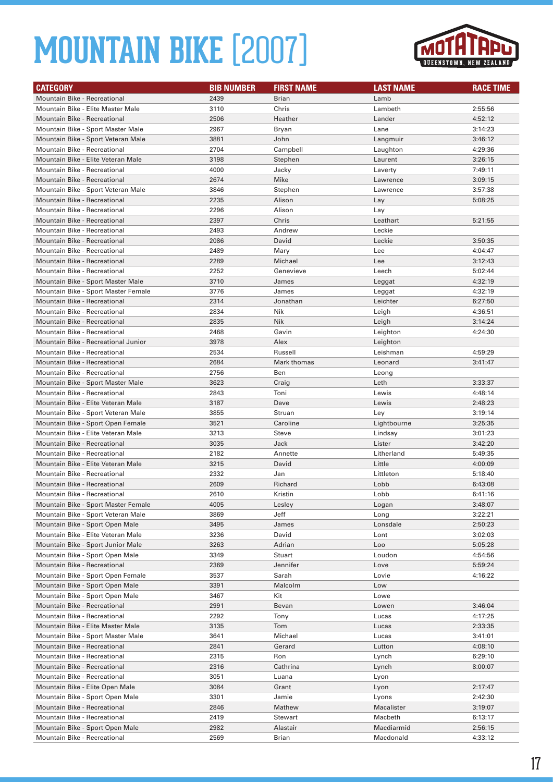

| <b>CATEGORY</b>                     | <b>BIB NUMBER</b> | <b>FIRST NAME</b> | <b>LAST NAME</b> | <b>RACE TIME</b> |
|-------------------------------------|-------------------|-------------------|------------------|------------------|
| <b>Mountain Bike - Recreational</b> | 2439              | Brian             | Lamb             |                  |
| Mountain Bike - Elite Master Male   | 3110              | Chris             | Lambeth          | 2:55:56          |
| <b>Mountain Bike - Recreational</b> | 2506              | Heather           | Lander           | 4:52:12          |
| Mountain Bike - Sport Master Male   | 2967              | Bryan             | Lane             | 3:14:23          |
| Mountain Bike - Sport Veteran Male  | 3881              | John              | Langmuir         | 3:46:12          |
| <b>Mountain Bike - Recreational</b> | 2704              | Campbell          | Laughton         | 4:29:36          |
| Mountain Bike - Elite Veteran Male  | 3198              | Stephen           | Laurent          | 3:26:15          |
| Mountain Bike - Recreational        | 4000              | Jacky             | Laverty          | 7:49:11          |
| Mountain Bike - Recreational        | 2674              | Mike              | Lawrence         | 3:09:15          |
| Mountain Bike - Sport Veteran Male  | 3846              | Stephen           | Lawrence         | 3:57:38          |
| <b>Mountain Bike - Recreational</b> | 2235              | Alison            | Lay              | 5:08:25          |
| Mountain Bike - Recreational        | 2296              | Alison            | Lay              |                  |
| <b>Mountain Bike - Recreational</b> | 2397              | Chris             | Leathart         | 5:21:55          |
| Mountain Bike - Recreational        | 2493              | Andrew            | Leckie           |                  |
| <b>Mountain Bike - Recreational</b> | 2086              | David             | Leckie           | 3:50:35          |
| Mountain Bike - Recreational        | 2489              | Mary              | Lee              | 4:04:47          |
| <b>Mountain Bike - Recreational</b> | 2289              | Michael           | Lee              | 3:12:43          |
| Mountain Bike - Recreational        | 2252              | Genevieve         | Leech            | 5:02:44          |
| Mountain Bike - Sport Master Male   | 3710              | James             | Leggat           | 4:32:19          |
| Mountain Bike - Sport Master Female | 3776              | James             | Leggat           | 4:32:19          |
| <b>Mountain Bike - Recreational</b> | 2314              | Jonathan          | Leichter         | 6:27:50          |
| Mountain Bike - Recreational        | 2834              | Nik               | Leigh            | 4:36:51          |
| <b>Mountain Bike - Recreational</b> | 2835              | <b>Nik</b>        | Leigh            | 3:14:24          |
| Mountain Bike - Recreational        | 2468              | Gavin             | Leighton         | 4:24:30          |
| Mountain Bike - Recreational Junior | 3978              | Alex              | Leighton         |                  |
| Mountain Bike - Recreational        | 2534              | Russell           | Leishman         | 4:59:29          |
| <b>Mountain Bike - Recreational</b> | 2684              | Mark thomas       | Leonard          | 3:41:47          |
| Mountain Bike - Recreational        | 2756              | Ben               | Leong            |                  |
| Mountain Bike - Sport Master Male   | 3623              | Craig             | Leth             | 3:33:37          |
| Mountain Bike - Recreational        | 2843              | Toni              | Lewis            | 4:48:14          |
| Mountain Bike - Elite Veteran Male  | 3187              | Dave              | Lewis            | 2:48:23          |
| Mountain Bike - Sport Veteran Male  | 3855              | Struan            | Ley              | 3:19:14          |
| Mountain Bike - Sport Open Female   | 3521              | Caroline          | Lightbourne      | 3:25:35          |
| Mountain Bike - Elite Veteran Male  | 3213              | Steve             | Lindsay          | 3:01:23          |
| <b>Mountain Bike - Recreational</b> | 3035              | Jack              | Lister           | 3:42:20          |
| <b>Mountain Bike - Recreational</b> | 2182              | Annette           | Litherland       | 5:49:35          |
| Mountain Bike - Elite Veteran Male  | 3215              | David             | Little           | 4:00:09          |
| <b>Mountain Bike - Recreational</b> | 2332              | Jan               | Littleton        | 5:18:40          |
| <b>Mountain Bike - Recreational</b> | 2609              | Richard           | Lobb             | 6:43:08          |
| <b>Mountain Bike - Recreational</b> | 2610              | Kristin           | Lobb             | 6:41:16          |
| Mountain Bike - Sport Master Female | 4005              | Lesley            | Logan            | 3:48:07          |
| Mountain Bike - Sport Veteran Male  | 3869              | Jeff              | Long             | 3:22:21          |
| Mountain Bike - Sport Open Male     | 3495              | James             | Lonsdale         | 2:50:23          |
| Mountain Bike - Elite Veteran Male  | 3236              | David             | Lont             | 3:02:03          |
| Mountain Bike - Sport Junior Male   | 3263              | Adrian            | Loo              | 5:05:28          |
| Mountain Bike - Sport Open Male     | 3349              | Stuart            | Loudon           | 4:54:56          |
| <b>Mountain Bike - Recreational</b> | 2369              | Jennifer          | Love             | 5:59:24          |
| Mountain Bike - Sport Open Female   | 3537              | Sarah             | Lovie            | 4:16:22          |
| Mountain Bike - Sport Open Male     | 3391              | Malcolm           | Low              |                  |
| Mountain Bike - Sport Open Male     | 3467              | Kit               | Lowe             |                  |
| Mountain Bike - Recreational        | 2991              | Bevan             | Lowen            | 3:46:04          |
| Mountain Bike - Recreational        | 2292              | Tony              | Lucas            | 4:17:25          |
| Mountain Bike - Elite Master Male   | 3135              | Tom               | Lucas            | 2:33:35          |
| Mountain Bike - Sport Master Male   | 3641              | Michael           | Lucas            | 3:41:01          |
| Mountain Bike - Recreational        | 2841              | Gerard            | Lutton           | 4:08:10          |
| Mountain Bike - Recreational        | 2315              | Ron               | Lynch            | 6:29:10          |
| Mountain Bike - Recreational        | 2316              | Cathrina          | Lynch            | 8:00:07          |
| Mountain Bike - Recreational        | 3051              | Luana             | Lyon             |                  |
| Mountain Bike - Elite Open Male     | 3084              | Grant             | Lyon             | 2:17:47          |
| Mountain Bike - Sport Open Male     | 3301              | Jamie             | Lyons            | 2:42:30          |
| Mountain Bike - Recreational        | 2846              | Mathew            | Macalister       | 3:19:07          |
| Mountain Bike - Recreational        | 2419              | Stewart           | Macbeth          | 6:13:17          |
| Mountain Bike - Sport Open Male     | 2982              | Alastair          | Macdiarmid       | 2:56:15          |
| Mountain Bike - Recreational        | 2569              | Brian             | Macdonald        | 4:33:12          |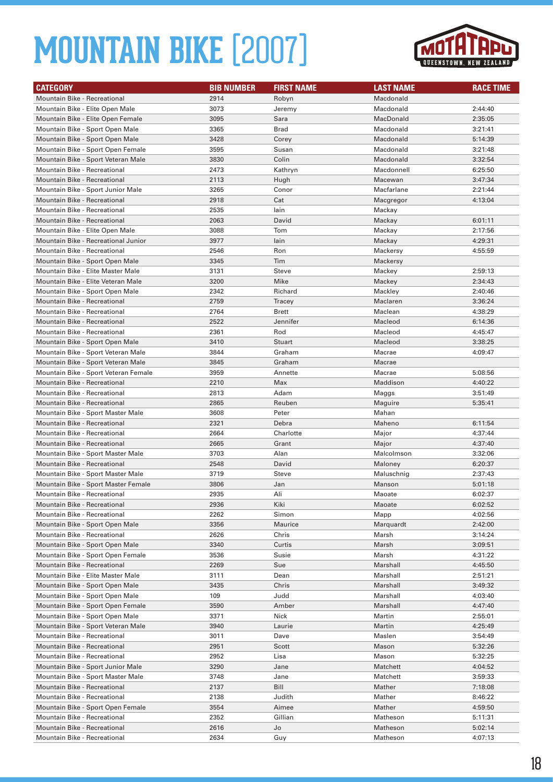

| <b>CATEGORY</b>                                                   | <b>BIB NUMBER</b> | <b>FIRST NAME</b> | <b>LAST NAME</b>   | <b>RACE TIME</b>   |
|-------------------------------------------------------------------|-------------------|-------------------|--------------------|--------------------|
| Mountain Bike - Recreational                                      | 2914              | Robyn             | Macdonald          |                    |
| Mountain Bike - Elite Open Male                                   | 3073              | Jeremy            | Macdonald          | 2:44:40            |
| Mountain Bike - Elite Open Female                                 | 3095              | Sara              | MacDonald          | 2:35:05            |
| Mountain Bike - Sport Open Male                                   | 3365              | <b>Brad</b>       | Macdonald          | 3:21:41            |
| Mountain Bike - Sport Open Male                                   | 3428              | Corey             | Macdonald          | 5:14:39            |
| Mountain Bike - Sport Open Female                                 | 3595              | Susan             | Macdonald          | 3:21:48            |
| Mountain Bike - Sport Veteran Male                                | 3830              | Colin             | Macdonald          | 3:32:54            |
| Mountain Bike - Recreational                                      | 2473              | Kathryn           | Macdonnell         | 6:25:50            |
| Mountain Bike - Recreational                                      | 2113              | Hugh              | Macewan            | 3:47:34            |
| Mountain Bike - Sport Junior Male                                 | 3265              | Conor             | Macfarlane         | 2:21:44            |
| <b>Mountain Bike - Recreational</b>                               | 2918              | Cat               | Macgregor          | 4:13:04            |
| <b>Mountain Bike - Recreational</b>                               | 2535              | lain              | Mackay             |                    |
| <b>Mountain Bike - Recreational</b>                               | 2063              | David             | Mackay             | 6:01:11            |
| Mountain Bike - Elite Open Male                                   | 3088              | Tom               | Mackay             | 2:17:56            |
| Mountain Bike - Recreational Junior                               | 3977              | lain              | Mackay             | 4:29:31            |
| Mountain Bike - Recreational                                      | 2546              | Ron               | Mackersy           | 4:55:59            |
| Mountain Bike - Sport Open Male                                   | 3345              | Tim               | Mackersy           |                    |
| Mountain Bike - Elite Master Male                                 | 3131              | <b>Steve</b>      | Mackey             | 2:59:13            |
| Mountain Bike - Elite Veteran Male                                | 3200              | Mike              | Mackey             | 2:34:43            |
| Mountain Bike - Sport Open Male                                   | 2342              | Richard           | Mackley            | 2:40:46            |
| <b>Mountain Bike - Recreational</b>                               | 2759              | Tracey            | Maclaren           | 3:36:24            |
| Mountain Bike - Recreational                                      | 2764              | <b>Brett</b>      | Maclean            | 4:38:29            |
| Mountain Bike - Recreational                                      | 2522              | Jennifer          | Macleod            | 6:14:36            |
| Mountain Bike - Recreational                                      | 2361              | Rod               | Macleod            | 4:45:47            |
| Mountain Bike - Sport Open Male                                   | 3410              | <b>Stuart</b>     | Macleod            | 3:38:25            |
| Mountain Bike - Sport Veteran Male                                | 3844              | Graham            | Macrae             | 4:09:47            |
| Mountain Bike - Sport Veteran Male                                | 3845              | Graham            | Macrae             |                    |
| Mountain Bike - Sport Veteran Female                              | 3959              | Annette           | Macrae             | 5:08:56            |
| <b>Mountain Bike - Recreational</b>                               | 2210              | Max               | Maddison           | 4:40:22            |
| Mountain Bike - Recreational                                      | 2813              | Adam              | Maggs              | 3:51:49            |
| Mountain Bike - Recreational                                      | 2865              | Reuben            | Maguire            | 5:35:41            |
| Mountain Bike - Sport Master Male                                 | 3608              | Peter             | Mahan              |                    |
| <b>Mountain Bike - Recreational</b>                               | 2321              | Debra             | Maheno             | 6:11:54            |
| Mountain Bike - Recreational                                      | 2664              | Charlotte         | Major              | 4:37:44            |
| <b>Mountain Bike - Recreational</b>                               | 2665              | Grant             | Major              | 4:37:40            |
| Mountain Bike - Sport Master Male                                 | 3703              | Alan              | Malcolmson         | 3:32:06            |
| Mountain Bike - Recreational                                      | 2548              | David             | Maloney            | 6:20:37            |
| Mountain Bike - Sport Master Male                                 | 3719              | Steve             | Maluschnig         | 2:37:43            |
| Mountain Bike - Sport Master Female                               | 3806              | Jan               | Manson             | 5:01:18            |
| <b>Mountain Bike - Recreational</b>                               | 2935              | Ali               | Maoate             | 6:02:37            |
| Mountain Bike - Recreational                                      | 2936              | Kiki              | Maoate             | 6:02:52            |
| Mountain Bike - Recreational                                      | 2262              | Simon             | Mapp               | 4:02:56            |
| Mountain Bike - Sport Open Male                                   | 3356              | Maurice           | Marquardt          | 2:42:00            |
| Mountain Bike - Recreational                                      | 2626              | Chris             | Marsh              | 3:14:24            |
| Mountain Bike - Sport Open Male                                   | 3340              | Curtis            | Marsh              | 3:09:51            |
| Mountain Bike - Sport Open Female                                 | 3536              | Susie             | Marsh              | 4:31:22            |
| Mountain Bike - Recreational                                      | 2269              | Sue               | Marshall           | 4:45:50            |
| Mountain Bike - Elite Master Male                                 | 3111              | Dean              | Marshall           | 2:51:21            |
| Mountain Bike - Sport Open Male                                   | 3435              | Chris             | Marshall           | 3:49:32            |
| Mountain Bike - Sport Open Male                                   | 109               | Judd              | Marshall           | 4:03:40            |
| Mountain Bike - Sport Open Female                                 | 3590              | Amber             | Marshall           | 4:47:40            |
| Mountain Bike - Sport Open Male                                   | 3371              | Nick              | Martin             | 2:55:01            |
| Mountain Bike - Sport Veteran Male                                | 3940              | Laurie            | Martin             | 4:25:49            |
| Mountain Bike - Recreational                                      | 3011              | Dave              | Maslen             | 3:54:49            |
| Mountain Bike - Recreational                                      | 2951              | Scott             | Mason              | 5:32:26            |
| Mountain Bike - Recreational                                      | 2952              | Lisa              | Mason              | 5:32:25            |
| Mountain Bike - Sport Junior Male                                 | 3290              | Jane              | Matchett           | 4:04:52            |
| Mountain Bike - Sport Master Male                                 | 3748              | Jane              | Matchett           | 3:59:33            |
| Mountain Bike - Recreational                                      | 2137              | Bill              | Mather             | 7:18:08            |
| Mountain Bike - Recreational                                      | 2138              | Judith            | Mather             | 8:46:22            |
| Mountain Bike - Sport Open Female<br>Mountain Bike - Recreational | 3554<br>2352      | Aimee<br>Gillian  | Mather<br>Matheson | 4:59:50            |
| Mountain Bike - Recreational                                      | 2616              | Jo                | Matheson           | 5:11:31<br>5:02:14 |
| Mountain Bike - Recreational                                      | 2634              | Guy               | Matheson           | 4:07:13            |
|                                                                   |                   |                   |                    |                    |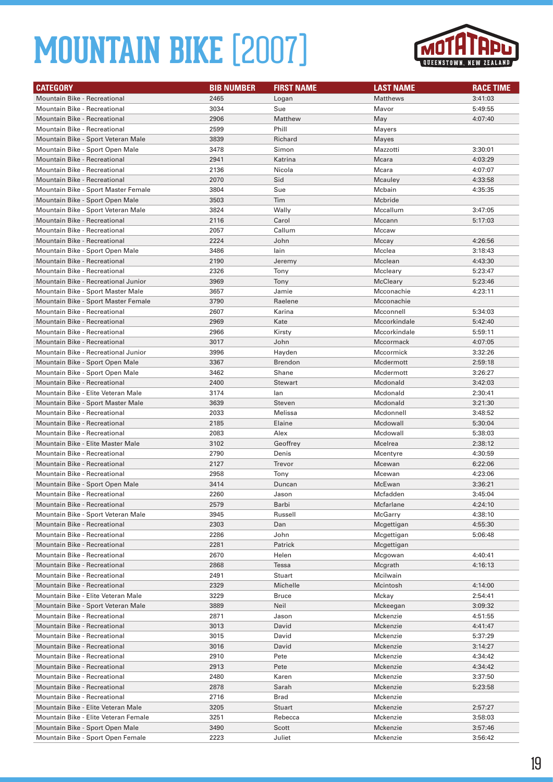

| <b>CATEGORY</b>                                                    | <b>BIB NUMBER</b> | <b>FIRST NAME</b> | <b>LAST NAME</b>     | <b>RACE TIME</b>   |
|--------------------------------------------------------------------|-------------------|-------------------|----------------------|--------------------|
| <b>Mountain Bike - Recreational</b>                                | 2465              | Logan             | <b>Matthews</b>      | 3:41:03            |
| Mountain Bike - Recreational                                       | 3034              | Sue               | Mavor                | 5:49:55            |
| <b>Mountain Bike - Recreational</b>                                | 2906              | Matthew           | May                  | 4:07:40            |
| Mountain Bike - Recreational                                       | 2599              | Phill             | Mayers               |                    |
| Mountain Bike - Sport Veteran Male                                 | 3839              | Richard           | Mayes                |                    |
| Mountain Bike - Sport Open Male                                    | 3478              | Simon             | Mazzotti             | 3:30:01            |
| Mountain Bike - Recreational                                       | 2941              | Katrina           | Mcara                | 4:03:29            |
| Mountain Bike - Recreational                                       | 2136              | Nicola            | Mcara                | 4:07:07            |
| Mountain Bike - Recreational                                       | 2070              | Sid               | Mcauley              | 4:33:58            |
| Mountain Bike - Sport Master Female                                | 3804              | Sue               | Mcbain               | 4:35:35            |
| Mountain Bike - Sport Open Male                                    | 3503              | Tim               | Mcbride              |                    |
| Mountain Bike - Sport Veteran Male                                 | 3824              | Wally             | Mccallum             | 3:47:05            |
| <b>Mountain Bike - Recreational</b>                                | 2116              | Carol             | Mccann               | 5:17:03            |
| Mountain Bike - Recreational                                       | 2057              | Callum            | Mccaw                |                    |
| Mountain Bike - Recreational                                       | 2224              | John              | Mccay                | 4:26:56            |
| Mountain Bike - Sport Open Male                                    | 3486              | lain              | Mcclea               | 3:18:43            |
| Mountain Bike - Recreational                                       | 2190              | Jeremy            | Mcclean              | 4:43:30            |
| <b>Mountain Bike - Recreational</b>                                | 2326              | Tony              | Mccleary             | 5:23:47            |
| Mountain Bike - Recreational Junior                                | 3969              | Tony              | McCleary             | 5:23:46            |
| Mountain Bike - Sport Master Male                                  | 3657              | Jamie             | Mcconachie           | 4:23:11            |
| Mountain Bike - Sport Master Female                                | 3790              | Raelene           | Mcconachie           |                    |
| <b>Mountain Bike - Recreational</b>                                | 2607              | Karina            | Mcconnell            | 5:34:03            |
| Mountain Bike - Recreational                                       | 2969              | Kate              | Mccorkindale         | 5:42:40            |
| Mountain Bike - Recreational                                       | 2966              | Kirsty            | Mccorkindale         | 5:59:11            |
| Mountain Bike - Recreational                                       | 3017              | John              | Mccormack            | 4:07:05            |
| Mountain Bike - Recreational Junior                                | 3996              | Hayden            | Mccormick            | 3:32:26            |
| Mountain Bike - Sport Open Male                                    | 3367              | <b>Brendon</b>    | Mcdermott            | 2:59:18            |
| Mountain Bike - Sport Open Male                                    | 3462              | Shane             | Mcdermott            | 3:26:27            |
| <b>Mountain Bike - Recreational</b>                                | 2400              | <b>Stewart</b>    | Mcdonald             | 3:42:03            |
| Mountain Bike - Elite Veteran Male                                 | 3174              | lan               | Mcdonald             | 2:30:41            |
| Mountain Bike - Sport Master Male                                  | 3639              | Steven            | Mcdonald             | 3:21:30            |
| <b>Mountain Bike - Recreational</b>                                | 2033              | Melissa           | Mcdonnell            | 3:48:52            |
| Mountain Bike - Recreational                                       | 2185              | Elaine            | Mcdowall             | 5:30:04            |
| Mountain Bike - Recreational                                       | 2083              | Alex              | Mcdowall             | 5:38:03            |
| Mountain Bike - Elite Master Male                                  | 3102              | Geoffrey          | Mcelrea              | 2:38:12            |
| Mountain Bike - Recreational                                       | 2790              | Denis             | Mcentyre             | 4:30:59            |
| <b>Mountain Bike - Recreational</b>                                | 2127              | Trevor            | Mcewan               | 6:22:06            |
| Mountain Bike - Recreational                                       | 2958              | Tony              | Mcewan               | 4:23:06            |
| Mountain Bike - Sport Open Male<br>Mountain Bike - Recreational    | 3414<br>2260      | Duncan<br>Jason   | McEwan               | 3:36:21<br>3:45:04 |
|                                                                    |                   |                   | Mcfadden             |                    |
| Mountain Bike - Recreational<br>Mountain Bike - Sport Veteran Male | 2579              | Barbi<br>Russell  | Mcfarlane<br>McGarry | 4:24:10            |
| Mountain Bike - Recreational                                       | 3945<br>2303      | Dan               | Mcgettigan           | 4:38:10<br>4:55:30 |
| Mountain Bike - Recreational                                       | 2286              | John              | Mcgettigan           | 5:06:48            |
| Mountain Bike - Recreational                                       | 2281              | Patrick           | Mcgettigan           |                    |
| Mountain Bike - Recreational                                       | 2670              | Helen             | Mcgowan              | 4:40:41            |
| Mountain Bike - Recreational                                       | 2868              | Tessa             | Mcgrath              | 4:16:13            |
| Mountain Bike - Recreational                                       | 2491              | Stuart            | Mcilwain             |                    |
| Mountain Bike - Recreational                                       | 2329              | Michelle          | Mcintosh             | 4:14:00            |
| Mountain Bike - Elite Veteran Male                                 | 3229              | <b>Bruce</b>      | Mckay                | 2:54:41            |
| Mountain Bike - Sport Veteran Male                                 | 3889              | Neil              | Mckeegan             | 3:09:32            |
| Mountain Bike - Recreational                                       | 2871              | Jason             | Mckenzie             | 4:51:55            |
| Mountain Bike - Recreational                                       | 3013              | David             | Mckenzie             | 4:41:47            |
| Mountain Bike - Recreational                                       | 3015              | David             | Mckenzie             | 5:37:29            |
| Mountain Bike - Recreational                                       | 3016              | David             | Mckenzie             | 3:14:27            |
| Mountain Bike - Recreational                                       | 2910              | Pete              | Mckenzie             | 4:34:42            |
| Mountain Bike - Recreational                                       | 2913              | Pete              | Mckenzie             | 4:34:42            |
| Mountain Bike - Recreational                                       | 2480              | Karen             | Mckenzie             | 3:37:50            |
| Mountain Bike - Recreational                                       | 2878              | Sarah             | Mckenzie             | 5:23:58            |
| Mountain Bike - Recreational                                       | 2716              | Brad              | Mckenzie             |                    |
| Mountain Bike - Elite Veteran Male                                 | 3205              | Stuart            | Mckenzie             | 2:57:27            |
| Mountain Bike - Elite Veteran Female                               | 3251              | Rebecca           | Mckenzie             | 3:58:03            |
| Mountain Bike - Sport Open Male                                    | 3490              | Scott             | Mckenzie             | 3:57:46            |
| Mountain Bike - Sport Open Female                                  | 2223              | Juliet            | Mckenzie             | 3:56:42            |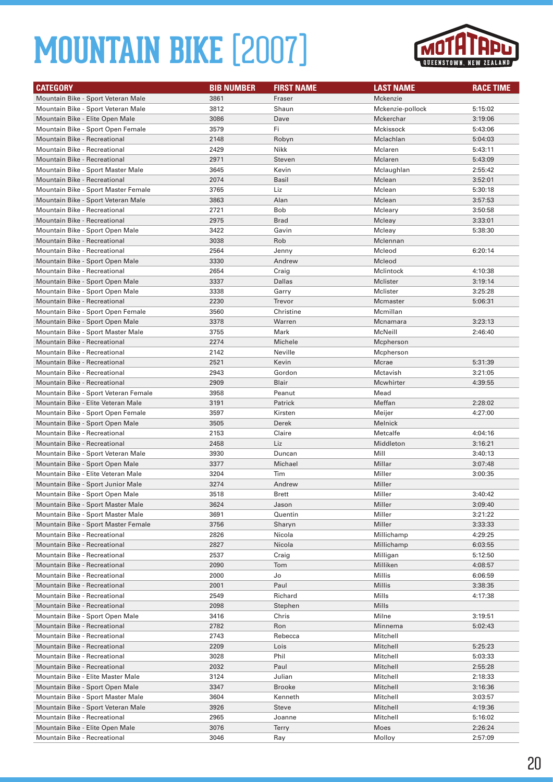

| <b>CATEGORY</b>                                                       | <b>BIB NUMBER</b> | <b>FIRST NAME</b> | <b>LAST NAME</b> | <b>RACE TIME</b>   |
|-----------------------------------------------------------------------|-------------------|-------------------|------------------|--------------------|
| Mountain Bike - Sport Veteran Male                                    | 3861              | Fraser            | Mckenzie         |                    |
| Mountain Bike - Sport Veteran Male                                    | 3812              | Shaun             | Mckenzie-pollock | 5:15:02            |
| Mountain Bike - Elite Open Male                                       | 3086              | Dave              | Mckerchar        | 3:19:06            |
| Mountain Bike - Sport Open Female                                     | 3579              | Fi                | Mckissock        | 5:43:06            |
| <b>Mountain Bike - Recreational</b>                                   | 2148              | Robyn             | Mclachlan        | 5:04:03            |
| Mountain Bike - Recreational                                          | 2429              | Nikk              | Mclaren          | 5:43:11            |
| <b>Mountain Bike - Recreational</b>                                   | 2971              | Steven            | Mclaren          | 5:43:09            |
| Mountain Bike - Sport Master Male                                     | 3645              | Kevin             | Mclaughlan       | 2:55:42            |
| Mountain Bike - Recreational                                          | 2074              | Basil             | Mclean           | 3:52:01            |
| Mountain Bike - Sport Master Female                                   | 3765              | Liz               | Mclean           | 5:30:18            |
| Mountain Bike - Sport Veteran Male                                    | 3863              | Alan              | Mclean           | 3:57:53            |
| Mountain Bike - Recreational                                          | 2721              | Bob               | Mcleary          | 3:50:58            |
| <b>Mountain Bike - Recreational</b>                                   | 2975              | <b>Brad</b>       | Mcleay           | 3:33:01            |
| Mountain Bike - Sport Open Male                                       | 3422              | Gavin             | Mcleay           | 5:38:30            |
| Mountain Bike - Recreational                                          | 3038              | Rob               | Mclennan         |                    |
| Mountain Bike - Recreational                                          | 2564              | Jenny             | Mcleod           | 6:20:14            |
| Mountain Bike - Sport Open Male                                       | 3330              | Andrew            | Mcleod           |                    |
| Mountain Bike - Recreational                                          | 2654              | Craig             | Mclintock        | 4:10:38            |
| Mountain Bike - Sport Open Male                                       | 3337              | Dallas            | Mclister         | 3:19:14            |
| Mountain Bike - Sport Open Male                                       | 3338              | Garry             | Mclister         | 3:25:28            |
| <b>Mountain Bike - Recreational</b>                                   | 2230              | Trevor            | Mcmaster         | 5:06:31            |
| Mountain Bike - Sport Open Female                                     | 3560              | Christine         | Mcmillan         |                    |
| Mountain Bike - Sport Open Male                                       | 3378              | Warren            | Mcnamara         | 3:23:13            |
| Mountain Bike - Sport Master Male                                     | 3755              | Mark              | McNeill          | 2:46:40            |
| Mountain Bike - Recreational                                          | 2274              | Michele           | Mcpherson        |                    |
| Mountain Bike - Recreational                                          | 2142              | Neville           | Mcpherson        |                    |
| <b>Mountain Bike - Recreational</b>                                   | 2521              | Kevin             | Mcrae            | 5:31:39            |
| Mountain Bike - Recreational                                          | 2943              | Gordon            | Mctavish         | 3:21:05            |
| Mountain Bike - Recreational                                          | 2909              | Blair             | Mcwhirter        | 4:39:55            |
| Mountain Bike - Sport Veteran Female                                  | 3958              | Peanut            | Mead             |                    |
| Mountain Bike - Elite Veteran Male                                    | 3191              | Patrick           | Meffan           | 2:28:02            |
| Mountain Bike - Sport Open Female                                     | 3597              | Kirsten           | Meijer           | 4:27:00            |
| Mountain Bike - Sport Open Male                                       | 3505              | Derek             | Melnick          |                    |
| Mountain Bike - Recreational                                          | 2153              | Claire            | Metcalfe         | 4:04:16            |
| <b>Mountain Bike - Recreational</b>                                   | 2458              | Liz               | Middleton        | 3:16:21            |
| Mountain Bike - Sport Veteran Male                                    | 3930<br>3377      | Duncan<br>Michael | Mill<br>Millar   | 3:40:13<br>3:07:48 |
| Mountain Bike - Sport Open Male<br>Mountain Bike - Elite Veteran Male | 3204              | Tim               | Miller           | 3:00:35            |
| Mountain Bike - Sport Junior Male                                     | 3274              | Andrew            | Miller           |                    |
| Mountain Bike - Sport Open Male                                       | 3518              | <b>Brett</b>      | Miller           | 3:40:42            |
| Mountain Bike - Sport Master Male                                     | 3624              | Jason             | Miller           | 3:09:40            |
| Mountain Bike - Sport Master Male                                     | 3691              | Quentin           | Miller           | 3:21:22            |
| Mountain Bike - Sport Master Female                                   | 3756              | Sharyn            | Miller           | 3:33:33            |
| Mountain Bike - Recreational                                          | 2826              | Nicola            | Millichamp       | 4:29:25            |
| Mountain Bike - Recreational                                          | 2827              | Nicola            | Millichamp       | 6:03:55            |
| Mountain Bike - Recreational                                          | 2537              | Craig             | Milligan         | 5:12:50            |
| Mountain Bike - Recreational                                          | 2090              | Tom               | Milliken         | 4:08:57            |
| Mountain Bike - Recreational                                          | 2000              | Jo                | Millis           | 6:06:59            |
| Mountain Bike - Recreational                                          | 2001              | Paul              | Millis           | 3:38:35            |
| Mountain Bike - Recreational                                          | 2549              | Richard           | Mills            | 4:17:38            |
| <b>Mountain Bike - Recreational</b>                                   | 2098              | Stephen           | Mills            |                    |
| Mountain Bike - Sport Open Male                                       | 3416              | Chris             | Milne            | 3:19:51            |
| Mountain Bike - Recreational                                          | 2782              | Ron               | Minnema          | 5:02:43            |
| Mountain Bike - Recreational                                          | 2743              | Rebecca           | Mitchell         |                    |
| Mountain Bike - Recreational                                          | 2209              | Lois              | Mitchell         | 5:25:23            |
| Mountain Bike - Recreational                                          | 3028              | Phil              | Mitchell         | 5:03:33            |
| Mountain Bike - Recreational                                          | 2032              | Paul              | Mitchell         | 2:55:28            |
| Mountain Bike - Elite Master Male                                     | 3124              | Julian            | Mitchell         | 2:18:33            |
| Mountain Bike - Sport Open Male                                       | 3347              | <b>Brooke</b>     | Mitchell         | 3:16:36            |
| Mountain Bike - Sport Master Male                                     | 3604              | Kenneth           | Mitchell         | 3:03:57            |
| Mountain Bike - Sport Veteran Male                                    | 3926              | <b>Steve</b>      | Mitchell         | 4:19:36            |
| Mountain Bike - Recreational                                          | 2965              | Joanne            | Mitchell         | 5:16:02            |
| Mountain Bike - Elite Open Male                                       | 3076              | <b>Terry</b>      | Moes             | 2:26:24            |
| Mountain Bike - Recreational                                          | 3046              | Ray               | Molloy           | 2:57:09            |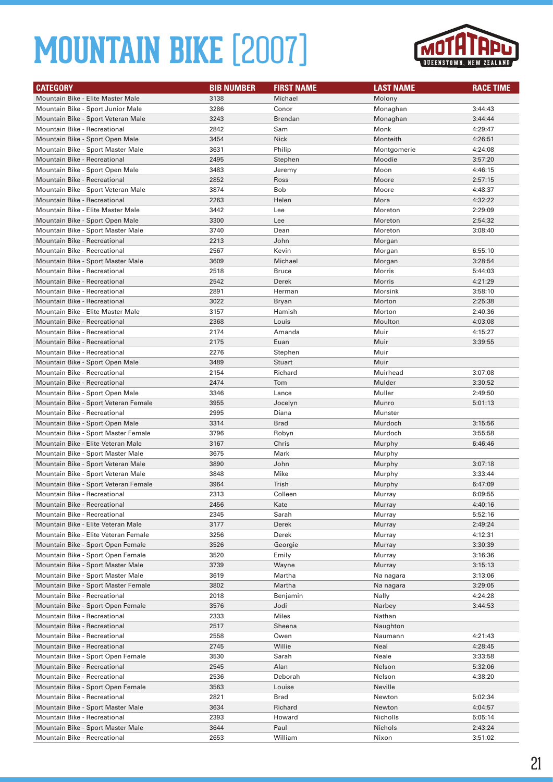

| <b>CATEGORY</b>                                                            | <b>BIB NUMBER</b> | <b>FIRST NAME</b> | <b>LAST NAME</b> | <b>RACE TIME</b>   |
|----------------------------------------------------------------------------|-------------------|-------------------|------------------|--------------------|
| Mountain Bike - Elite Master Male                                          | 3138              | Michael           | Molony           |                    |
| Mountain Bike - Sport Junior Male                                          | 3286              | Conor             | Monaghan         | 3:44:43            |
| Mountain Bike - Sport Veteran Male                                         | 3243              | <b>Brendan</b>    | Monaghan         | 3:44:44            |
| <b>Mountain Bike - Recreational</b>                                        | 2842              | Sam               | Monk             | 4:29:47            |
| Mountain Bike - Sport Open Male                                            | 3454              | <b>Nick</b>       | Monteith         | 4:26:51            |
| Mountain Bike - Sport Master Male                                          | 3631              | Philip            | Montgomerie      | 4:24:08            |
| Mountain Bike - Recreational                                               | 2495              | Stephen           | Moodie           | 3:57:20            |
| Mountain Bike - Sport Open Male                                            | 3483              | Jeremy            | Moon             | 4:46:15            |
| <b>Mountain Bike - Recreational</b>                                        | 2852              | Ross              | Moore            | 2:57:15            |
| Mountain Bike - Sport Veteran Male                                         | 3874              | Bob               | Moore            | 4:48:37            |
| <b>Mountain Bike - Recreational</b>                                        | 2263              | Helen             | Mora             | 4:32:22            |
| Mountain Bike - Elite Master Male                                          | 3442              | Lee               | Moreton          | 2:29:09            |
| Mountain Bike - Sport Open Male                                            | 3300              | Lee               | Moreton          | 2:54:32            |
| Mountain Bike - Sport Master Male                                          | 3740              | Dean              | Moreton          | 3:08:40            |
| <b>Mountain Bike - Recreational</b>                                        | 2213              | John              | Morgan           |                    |
| Mountain Bike - Recreational                                               | 2567              | Kevin             | Morgan           | 6:55:10            |
| Mountain Bike - Sport Master Male                                          | 3609              | Michael           | Morgan           | 3:28:54            |
| Mountain Bike - Recreational                                               | 2518              | <b>Bruce</b>      | Morris           | 5:44:03            |
| <b>Mountain Bike - Recreational</b>                                        | 2542              | Derek             | Morris           | 4:21:29            |
| <b>Mountain Bike - Recreational</b>                                        | 2891              | Herman            | Morsink          | 3:58:10            |
| Mountain Bike - Recreational                                               | 3022              | Bryan             | Morton           | 2:25:38            |
| Mountain Bike - Elite Master Male                                          | 3157              | Hamish            | Morton           | 2:40:36            |
| <b>Mountain Bike - Recreational</b>                                        | 2368              | Louis             | Moulton          | 4:03:08            |
| Mountain Bike - Recreational                                               | 2174              | Amanda            | Muir             | 4:15:27            |
| <b>Mountain Bike - Recreational</b>                                        | 2175              | Euan              | Muir             | 3:39:55            |
| <b>Mountain Bike - Recreational</b>                                        | 2276              | Stephen           | Muir             |                    |
| Mountain Bike - Sport Open Male                                            | 3489              | <b>Stuart</b>     | Muir             |                    |
| <b>Mountain Bike - Recreational</b>                                        | 2154              | Richard           | Muirhead         | 3:07:08            |
| <b>Mountain Bike - Recreational</b>                                        | 2474              | Tom               | Mulder           | 3:30:52            |
| Mountain Bike - Sport Open Male                                            | 3346              | Lance             | Muller           | 2:49:50            |
| Mountain Bike - Sport Veteran Female                                       | 3955              | Jocelyn           | Munro            | 5:01:13            |
| Mountain Bike - Recreational                                               | 2995              | Diana             | Munster          |                    |
| Mountain Bike - Sport Open Male                                            | 3314              | <b>Brad</b>       | Murdoch          | 3:15:56            |
| Mountain Bike - Sport Master Female                                        | 3796              | Robyn             | Murdoch          | 3:55:58            |
| Mountain Bike - Elite Veteran Male                                         | 3167              | Chris             | Murphy           | 6:46:46            |
| Mountain Bike - Sport Master Male                                          | 3675              | Mark              | Murphy           |                    |
| Mountain Bike - Sport Veteran Male                                         | 3890<br>3848      | John<br>Mike      | Murphy           | 3:07:18            |
| Mountain Bike - Sport Veteran Male<br>Mountain Bike - Sport Veteran Female | 3964              | Trish             | Murphy           | 3:33:44<br>6:47:09 |
| Mountain Bike - Recreational                                               | 2313              | Colleen           | Murphy<br>Murray | 6:09:55            |
| Mountain Bike - Recreational                                               | 2456              | Kate              | Murray           | 4:40:16            |
| Mountain Bike - Recreational                                               | 2345              | Sarah             | Murray           | 5:52:16            |
| Mountain Bike - Elite Veteran Male                                         | 3177              | Derek             | Murray           | 2:49:24            |
| Mountain Bike - Elite Veteran Female                                       | 3256              | Derek             | Murray           | 4:12:31            |
| Mountain Bike - Sport Open Female                                          | 3526              | Georgie           | Murray           | 3:30:39            |
| Mountain Bike - Sport Open Female                                          | 3520              | Emily             | Murray           | 3:16:36            |
| Mountain Bike - Sport Master Male                                          | 3739              | Wayne             | Murray           | 3:15:13            |
| Mountain Bike - Sport Master Male                                          | 3619              | Martha            | Na nagara        | 3:13:06            |
| Mountain Bike - Sport Master Female                                        | 3802              | Martha            | Na nagara        | 3:29:05            |
| Mountain Bike - Recreational                                               | 2018              | Benjamin          | Nally            | 4:24:28            |
| Mountain Bike - Sport Open Female                                          | 3576              | Jodi              | Narbey           | 3:44:53            |
| Mountain Bike - Recreational                                               | 2333              | Miles             | Nathan           |                    |
| Mountain Bike - Recreational                                               | 2517              | Sheena            | Naughton         |                    |
| Mountain Bike - Recreational                                               | 2558              | Owen              | Naumann          | 4:21:43            |
| Mountain Bike - Recreational                                               | 2745              | Willie            | Neal             | 4:28:45            |
| Mountain Bike - Sport Open Female                                          | 3530              | Sarah             | Neale            | 3:33:58            |
| Mountain Bike - Recreational                                               | 2545              | Alan              | Nelson           | 5:32:06            |
| Mountain Bike - Recreational                                               | 2536              | Deborah           | Nelson           | 4:38:20            |
| Mountain Bike - Sport Open Female                                          | 3563              | Louise            | Neville          |                    |
| Mountain Bike - Recreational                                               | 2821              | Brad              | Newton           | 5:02:34            |
| Mountain Bike - Sport Master Male                                          | 3634              | Richard           | Newton           | 4:04:57            |
| Mountain Bike - Recreational                                               | 2393              | Howard            | Nicholls         | 5:05:14            |
| Mountain Bike - Sport Master Male                                          | 3644              | Paul              | Nichols          | 2:43:24            |
| Mountain Bike - Recreational                                               | 2653              | William           | Nixon            | 3:51:02            |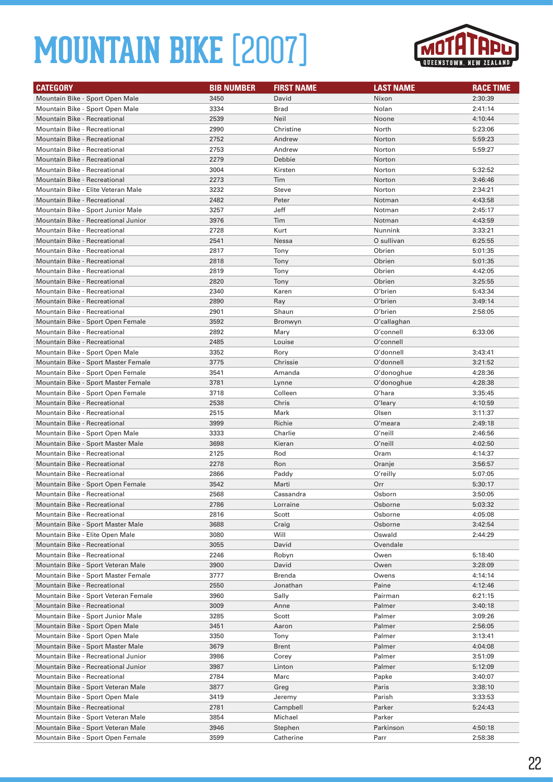

| <b>CATEGORY</b>                                                   | <b>BIB NUMBER</b> | <b>FIRST NAME</b> | <b>LAST NAME</b> | <b>RACE TIME</b>   |
|-------------------------------------------------------------------|-------------------|-------------------|------------------|--------------------|
| Mountain Bike - Sport Open Male                                   | 3450              | David             | Nixon            | 2:30:39            |
| Mountain Bike - Sport Open Male                                   | 3334              | Brad              | Nolan            | 2:41:14            |
| Mountain Bike - Recreational                                      | 2539              | Neil              | Noone            | 4:10:44            |
| <b>Mountain Bike - Recreational</b>                               | 2990              | Christine         | North            | 5:23:06            |
| <b>Mountain Bike - Recreational</b>                               | 2752              | Andrew            | Norton           | 5:59:23            |
| <b>Mountain Bike - Recreational</b>                               | 2753              | Andrew            | Norton           | 5:59:27            |
| Mountain Bike - Recreational                                      | 2279              | Debbie            | Norton           |                    |
| Mountain Bike - Recreational                                      | 3004              | Kirsten           | Norton           | 5:32:52            |
| <b>Mountain Bike - Recreational</b>                               | 2273              | Tim               | Norton           | 3:46:46            |
| Mountain Bike - Elite Veteran Male                                | 3232              | Steve             | Norton           | 2:34:21            |
| <b>Mountain Bike - Recreational</b>                               | 2482              | Peter             | Notman           | 4:43:58            |
| Mountain Bike - Sport Junior Male                                 | 3257              | Jeff              | Notman           | 2:45:17            |
| Mountain Bike - Recreational Junior                               | 3976              | Tim               | Notman           | 4:43:59            |
| Mountain Bike - Recreational                                      | 2728              | Kurt              | Nunnink          | 3:33:21            |
| <b>Mountain Bike - Recreational</b>                               | 2541              | Nessa             | O sullivan       | 6:25:55            |
| <b>Mountain Bike - Recreational</b>                               | 2817              | Tony              | Obrien           | 5:01:35            |
| <b>Mountain Bike - Recreational</b>                               | 2818              | Tony              | Obrien           | 5:01:35            |
| Mountain Bike - Recreational                                      | 2819              | Tony              | Obrien           | 4:42:05            |
| <b>Mountain Bike - Recreational</b>                               | 2820              | Tony              | Obrien           | 3:25:55            |
| <b>Mountain Bike - Recreational</b>                               | 2340              | Karen             | O'brien          | 5:43:34            |
| Mountain Bike - Recreational                                      | 2890              | Ray               | O'brien          | 3:49:14            |
| Mountain Bike - Recreational                                      | 2901              | Shaun             | O'brien          | 2:58:05            |
| Mountain Bike - Sport Open Female                                 | 3592              | Bronwyn           | O'callaghan      |                    |
| Mountain Bike - Recreational                                      | 2892              | Mary              | O'connell        | 6:33:06            |
| Mountain Bike - Recreational                                      | 2485              | Louise            | O'connell        |                    |
| Mountain Bike - Sport Open Male                                   | 3352              | Rory              | O'donnell        | 3:43:41            |
| Mountain Bike - Sport Master Female                               | 3775              | Chrissie          | O'donnell        | 3:21:52            |
| Mountain Bike - Sport Open Female                                 | 3541              | Amanda            | O'donoghue       | 4:28:36            |
| Mountain Bike - Sport Master Female                               | 3781              | Lynne             | O'donoghue       | 4:28:38            |
| Mountain Bike - Sport Open Female                                 | 3718              | Colleen           | Oʻhara           | 3:35:45            |
| Mountain Bike - Recreational                                      | 2538              | Chris             | O'leary          | 4:10:59            |
| Mountain Bike - Recreational                                      | 2515              | Mark              | Olsen            | 3:11:37            |
| Mountain Bike - Recreational                                      | 3999              | Richie            | O'meara          | 2:49:18            |
| Mountain Bike - Sport Open Male                                   | 3333              | Charlie           | O'neill          | 2:46:56            |
| Mountain Bike - Sport Master Male                                 | 3698              | Kieran            | O'neill          | 4:02:50            |
| Mountain Bike - Recreational                                      | 2125              | Rod               | Oram             | 4:14:37            |
| <b>Mountain Bike - Recreational</b>                               | 2278              | Ron               | Oranje           | 3:56:57            |
| <b>Mountain Bike - Recreational</b>                               | 2866<br>3542      | Paddy<br>Marti    | O'reilly         | 5:07:05            |
| Mountain Bike - Sport Open Female<br>Mountain Bike - Recreational | 2568              | Cassandra         | Orr<br>Osborn    | 5:30:17<br>3:50:05 |
|                                                                   | 2786              | Lorraine          | Osborne          | 5:03:32            |
| Mountain Bike - Recreational<br>Mountain Bike - Recreational      | 2816              | Scott             | Osborne          | 4:05:08            |
| Mountain Bike - Sport Master Male                                 | 3688              | Craig             | Osborne          | 3:42:54            |
| Mountain Bike - Elite Open Male                                   | 3080              | Will              | Oswald           | 2:44:29            |
| Mountain Bike - Recreational                                      | 3055              | David             | Ovendale         |                    |
| Mountain Bike - Recreational                                      | 2246              | Robyn             | Owen             | 5:18:40            |
| Mountain Bike - Sport Veteran Male                                | 3900              | David             | Owen             | 3:28:09            |
| Mountain Bike - Sport Master Female                               | 3777              | <b>Brenda</b>     | Owens            | 4:14:14            |
| Mountain Bike - Recreational                                      | 2550              | Jonathan          | Paine            | 4:12:46            |
| Mountain Bike - Sport Veteran Female                              | 3960              | Sally             | Pairman          | 6:21:15            |
| Mountain Bike - Recreational                                      | 3009              | Anne              | Palmer           | 3:40:18            |
| Mountain Bike - Sport Junior Male                                 | 3285              | Scott             | Palmer           | 3:09:26            |
| Mountain Bike - Sport Open Male                                   | 3451              | Aaron             | Palmer           | 2:56:05            |
| Mountain Bike - Sport Open Male                                   | 3350              | Tony              | Palmer           | 3:13:41            |
| Mountain Bike - Sport Master Male                                 | 3679              | <b>Brent</b>      | Palmer           | 4:04:08            |
| Mountain Bike - Recreational Junior                               | 3986              | Corey             | Palmer           | 3:51:09            |
| Mountain Bike - Recreational Junior                               | 3987              | Linton            | Palmer           | 5:12:09            |
| Mountain Bike - Recreational                                      | 2784              | Marc              | Papke            | 3:40:07            |
| Mountain Bike - Sport Veteran Male                                | 3877              | Greg              | Paris            | 3:38:10            |
| Mountain Bike - Sport Open Male                                   | 3419              | Jeremy            | Parish           | 3:33:53            |
| Mountain Bike - Recreational                                      | 2781              | Campbell          | Parker           | 5:24:43            |
| Mountain Bike - Sport Veteran Male                                | 3854              | Michael           | Parker           |                    |
| Mountain Bike - Sport Veteran Male                                | 3946              | Stephen           | Parkinson        | 4:50:18            |
| Mountain Bike - Sport Open Female                                 | 3599              | Catherine         | Parr             | 2:58:38            |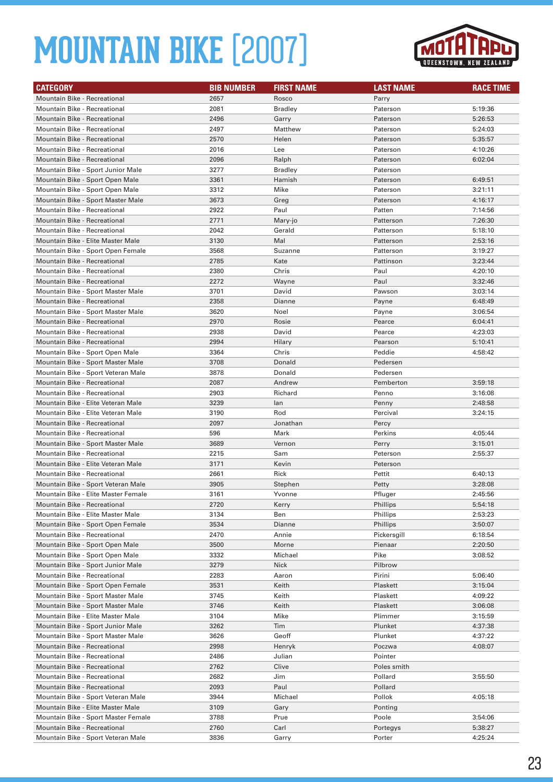

| <b>CATEGORY</b>                                                   | <b>BIB NUMBER</b> | <b>FIRST NAME</b> | <b>LAST NAME</b>     | <b>RACE TIME</b>   |
|-------------------------------------------------------------------|-------------------|-------------------|----------------------|--------------------|
| <b>Mountain Bike - Recreational</b>                               | 2657              | Rosco             | Parry                |                    |
| <b>Mountain Bike - Recreational</b>                               | 2081              | <b>Bradley</b>    | Paterson             | 5:19:36            |
| <b>Mountain Bike - Recreational</b>                               | 2496              | Garry             | Paterson             | 5:26:53            |
| Mountain Bike - Recreational                                      | 2497              | Matthew           | Paterson             | 5:24:03            |
| <b>Mountain Bike - Recreational</b>                               | 2570              | Helen             | Paterson             | 5:35:57            |
| Mountain Bike - Recreational                                      | 2016              | Lee               | Paterson             | 4:10:26            |
| <b>Mountain Bike - Recreational</b>                               | 2096              | Ralph             | Paterson             | 6:02:04            |
| Mountain Bike - Sport Junior Male                                 | 3277              | <b>Bradley</b>    | Paterson             |                    |
| Mountain Bike - Sport Open Male                                   | 3361              | Hamish            | Paterson             | 6:49:51            |
| Mountain Bike - Sport Open Male                                   | 3312              | Mike              | Paterson             | 3:21:11            |
| Mountain Bike - Sport Master Male                                 | 3673              | Greg              | Paterson             | 4:16:17            |
| Mountain Bike - Recreational                                      | 2922              | Paul              | Patten               | 7:14:56            |
| Mountain Bike - Recreational                                      | 2771              | Mary-jo           | Patterson            | 7:26:30            |
| Mountain Bike - Recreational                                      | 2042              | Gerald            | Patterson            | 5:18:10            |
| Mountain Bike - Elite Master Male                                 | 3130              | Mal               | Patterson            | 2:53:16            |
| Mountain Bike - Sport Open Female                                 | 3568              | Suzanne           | Patterson            | 3:19:27            |
| Mountain Bike - Recreational                                      | 2785              | Kate              | Pattinson            | 3:23:44            |
| Mountain Bike - Recreational                                      | 2380              | Chris             | Paul                 | 4:20:10            |
| <b>Mountain Bike - Recreational</b>                               | 2272              | Wayne             | Paul                 | 3:32:46            |
| Mountain Bike - Sport Master Male                                 | 3701              | David             | Pawson               | 3:03:14            |
| Mountain Bike - Recreational                                      | 2358              | Dianne            | Payne                | 6:48:49            |
| Mountain Bike - Sport Master Male                                 | 3620              | Noel              | Payne                | 3:06:54            |
| <b>Mountain Bike - Recreational</b>                               | 2970              | Rosie             | Pearce               | 6:04:41            |
| <b>Mountain Bike - Recreational</b>                               | 2938              | David             | Pearce               | 4:23:03            |
| Mountain Bike - Recreational                                      | 2994              | Hilary            | Pearson              | 5:10:41            |
| Mountain Bike - Sport Open Male                                   | 3364              | Chris             | Peddie               | 4:58:42            |
| Mountain Bike - Sport Master Male                                 | 3708              | Donald            | Pedersen             |                    |
| Mountain Bike - Sport Veteran Male                                | 3878              | Donald            | Pedersen             |                    |
| <b>Mountain Bike - Recreational</b>                               | 2087              | Andrew            | Pemberton            | 3:59:18            |
| Mountain Bike - Recreational                                      | 2903              | Richard           | Penno                | 3:16:08            |
| Mountain Bike - Elite Veteran Male                                | 3239              | lan               | Penny                | 2:48:58            |
| Mountain Bike - Elite Veteran Male                                | 3190              | Rod               | Percival             | 3:24:15            |
| <b>Mountain Bike - Recreational</b>                               | 2097              | Jonathan          | Percy                |                    |
| Mountain Bike - Recreational                                      | 596               | Mark              | Perkins              | 4:05:44            |
| Mountain Bike - Sport Master Male                                 | 3689              | Vernon            | Perry                | 3:15:01            |
| Mountain Bike - Recreational                                      | 2215              | Sam               | Peterson             | 2:55:37            |
| Mountain Bike - Elite Veteran Male                                | 3171              | Kevin             | Peterson             |                    |
| <b>Mountain Bike - Recreational</b>                               | 2661              | Rick              | Pettit               | 6:40:13            |
| Mountain Bike - Sport Veteran Male                                | 3905              | Stephen           | Petty                | 3:28:08            |
| Mountain Bike - Elite Master Female                               | 3161              | Yvonne            | Pfluger              | 2:45:56            |
| Mountain Bike - Recreational                                      | 2720              | Kerry             | Phillips             | 5:54:18            |
| Mountain Bike - Elite Master Male                                 | 3134<br>3534      | Ben               | Phillips<br>Phillips | 2:53:23            |
| Mountain Bike - Sport Open Female<br>Mountain Bike - Recreational | 2470              | Dianne<br>Annie   | Pickersgill          | 3:50:07<br>6:18:54 |
| Mountain Bike - Sport Open Male                                   | 3500              | Morne             | Pienaar              | 2:20:50            |
| Mountain Bike - Sport Open Male                                   | 3332              | Michael           | Pike                 | 3:08:52            |
| Mountain Bike - Sport Junior Male                                 | 3279              | Nick              | Pilbrow              |                    |
| Mountain Bike - Recreational                                      | 2283              | Aaron             | Pirini               | 5:06:40            |
| Mountain Bike - Sport Open Female                                 | 3531              | Keith             | Plaskett             | 3:15:04            |
| Mountain Bike - Sport Master Male                                 | 3745              | Keith             | Plaskett             | 4:09:22            |
| Mountain Bike - Sport Master Male                                 | 3746              | Keith             | Plaskett             | 3:06:08            |
| Mountain Bike - Elite Master Male                                 | 3104              | Mike              | Plimmer              | 3:15:59            |
| Mountain Bike - Sport Junior Male                                 | 3262              | Tim               | Plunket              | 4:37:38            |
| Mountain Bike - Sport Master Male                                 | 3626              | Geoff             | Plunket              | 4:37:22            |
| Mountain Bike - Recreational                                      | 2998              | Henryk            | Poczwa               | 4:08:07            |
| Mountain Bike - Recreational                                      | 2486              | Julian            | Pointer              |                    |
| Mountain Bike - Recreational                                      | 2762              | Clive             | Poles smith          |                    |
| Mountain Bike - Recreational                                      | 2682              | Jim               | Pollard              | 3:55:50            |
| Mountain Bike - Recreational                                      | 2093              | Paul              | Pollard              |                    |
| Mountain Bike - Sport Veteran Male                                | 3944              | Michael           | Pollok               | 4:05:18            |
| Mountain Bike - Elite Master Male                                 | 3109              | Gary              | Ponting              |                    |
| Mountain Bike - Sport Master Female                               | 3788              | Prue              | Poole                | 3:54:06            |
| Mountain Bike - Recreational                                      | 2760              | Carl              | Portegys             | 5:38:27            |
| Mountain Bike - Sport Veteran Male                                | 3836              | Garry             | Porter               | 4:25:24            |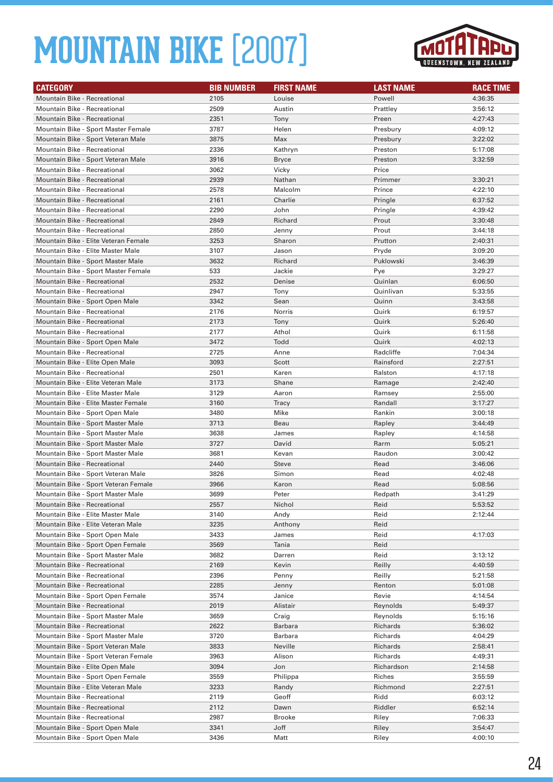

| <b>CATEGORY</b>                                                         | <b>BIB NUMBER</b> | <b>FIRST NAME</b>     | <b>LAST NAME</b>     | <b>RACE TIME</b>   |
|-------------------------------------------------------------------------|-------------------|-----------------------|----------------------|--------------------|
| Mountain Bike - Recreational                                            | 2105              | Louise                | Powell               | 4:36:35            |
| <b>Mountain Bike - Recreational</b>                                     | 2509              | Austin                | Prattley             | 3:56:12            |
| <b>Mountain Bike - Recreational</b>                                     | 2351              | Tony                  | Preen                | 4:27:43            |
| Mountain Bike - Sport Master Female                                     | 3787              | Helen                 | Presbury             | 4:09:12            |
| Mountain Bike - Sport Veteran Male                                      | 3875              | Max                   | Presbury             | 3:22:02            |
| <b>Mountain Bike - Recreational</b>                                     | 2336              | Kathryn               | Preston              | 5:17:08            |
| Mountain Bike - Sport Veteran Male                                      | 3916              | <b>Bryce</b>          | Preston              | 3:32:59            |
| <b>Mountain Bike - Recreational</b>                                     | 3062              | Vicky                 | Price                |                    |
| <b>Mountain Bike - Recreational</b>                                     | 2939              | Nathan                | Primmer              | 3:30:21            |
| <b>Mountain Bike - Recreational</b>                                     | 2578              | Malcolm               | Prince               | 4:22:10            |
| <b>Mountain Bike - Recreational</b>                                     | 2161              | Charlie               | Pringle              | 6:37:52            |
| Mountain Bike - Recreational                                            | 2290              | John                  | Pringle              | 4:39:42            |
| <b>Mountain Bike - Recreational</b>                                     | 2849              | Richard               | Prout                | 3:30:48            |
| <b>Mountain Bike - Recreational</b>                                     | 2850              | Jenny                 | Prout                | 3:44:18            |
| Mountain Bike - Elite Veteran Female                                    | 3253              | Sharon                | Prutton              | 2:40:31            |
| Mountain Bike - Elite Master Male                                       | 3107              | Jason                 | Pryde                | 3:09:20            |
| Mountain Bike - Sport Master Male                                       | 3632              | Richard               | Puklowski            | 3:46:39            |
| Mountain Bike - Sport Master Female                                     | 533               | Jackie                | Pye                  | 3:29:27            |
| <b>Mountain Bike - Recreational</b>                                     | 2532              | Denise                | Quinlan              | 6:06:50            |
| <b>Mountain Bike - Recreational</b>                                     | 2947              | Tony                  | Quinlivan            | 5:33:55            |
| Mountain Bike - Sport Open Male                                         | 3342              | Sean                  | Quinn                | 3:43:58            |
| <b>Mountain Bike - Recreational</b>                                     | 2176              | Norris                | Quirk                | 6:19:57            |
| <b>Mountain Bike - Recreational</b>                                     | 2173              | Tony                  | Quirk                | 5:26:40            |
| Mountain Bike - Recreational                                            | 2177              | Athol                 | Quirk                | 6:11:58            |
| Mountain Bike - Sport Open Male                                         | 3472              | Todd                  | Quirk                | 4:02:13            |
|                                                                         |                   |                       | Radcliffe            |                    |
| Mountain Bike - Recreational                                            | 2725<br>3093      | Anne<br>Scott         | Rainsford            | 7:04:34            |
| Mountain Bike - Elite Open Male<br><b>Mountain Bike - Recreational</b>  | 2501              | Karen                 |                      | 2:27:51<br>4:17:18 |
| Mountain Bike - Elite Veteran Male                                      | 3173              | Shane                 | Ralston              | 2:42:40            |
| Mountain Bike - Elite Master Male                                       | 3129              | Aaron                 | Ramage               | 2:55:00            |
| Mountain Bike - Elite Master Female                                     | 3160              | Tracy                 | Ramsey<br>Randall    | 3:17:27            |
|                                                                         | 3480              | Mike                  |                      |                    |
| Mountain Bike - Sport Open Male<br>Mountain Bike - Sport Master Male    | 3713              | Beau                  | Rankin<br>Rapley     | 3:00:18<br>3:44:49 |
| Mountain Bike - Sport Master Male                                       |                   | James                 |                      |                    |
| Mountain Bike - Sport Master Male                                       | 3638<br>3727      | David                 | Rapley<br>Rarm       | 4:14:58<br>5:05:21 |
| Mountain Bike - Sport Master Male                                       | 3681              | Kevan                 | Raudon               | 3:00:42            |
| <b>Mountain Bike - Recreational</b>                                     | 2440              | <b>Steve</b>          | Read                 | 3:46:06            |
| Mountain Bike - Sport Veteran Male                                      | 3826              | Simon                 | Read                 | 4:02:48            |
| Mountain Bike - Sport Veteran Female                                    | 3966              | Karon                 | Read                 | 5:08:56            |
| Mountain Bike - Sport Master Male                                       | 3699              | Peter                 | Redpath              | 3:41:29            |
| <b>Mountain Bike - Recreational</b>                                     | 2557              | Nichol                | Reid                 | 5:53:52            |
| Mountain Bike - Elite Master Male                                       | 3140              | Andy                  | Reid                 | 2:12:44            |
| Mountain Bike - Elite Veteran Male                                      | 3235              | Anthony               | Reid                 |                    |
| Mountain Bike - Sport Open Male                                         | 3433              | James                 | Reid                 | 4:17:03            |
| Mountain Bike - Sport Open Female                                       | 3569              | Tania                 | Reid                 |                    |
| Mountain Bike - Sport Master Male                                       | 3682              |                       | Reid                 |                    |
| Mountain Bike - Recreational                                            | 2169              | Darren<br>Kevin       | Reilly               | 3:13:12<br>4:40:59 |
| Mountain Bike - Recreational                                            | 2396              | Penny                 | Reilly               | 5:21:58            |
| Mountain Bike - Recreational                                            | 2285              | Jenny                 | Renton               | 5:01:08            |
| Mountain Bike - Sport Open Female                                       | 3574              | Janice                | Revie                | 4:14:54            |
| Mountain Bike - Recreational                                            | 2019              | Alistair              | Reynolds             | 5:49:37            |
| Mountain Bike - Sport Master Male                                       | 3659              | Craig                 | Reynolds             | 5:15:16            |
| Mountain Bike - Recreational                                            | 2622              | Barbara               | Richards             | 5:36:02            |
|                                                                         |                   |                       |                      |                    |
| Mountain Bike - Sport Master Male<br>Mountain Bike - Sport Veteran Male | 3720<br>3833      | Barbara<br>Neville    | Richards<br>Richards | 4:04:29<br>2:58:41 |
| Mountain Bike - Sport Veteran Female                                    | 3963              | Alison                | Richards             | 4:49:31            |
| Mountain Bike - Elite Open Male                                         | 3094              |                       | Richardson           |                    |
|                                                                         | 3559              | Jon                   |                      | 2:14:58            |
| Mountain Bike - Sport Open Female                                       |                   | Philippa              | Riches               | 3:55:59            |
| Mountain Bike - Elite Veteran Male                                      | 3233              | Randy<br>Geoff        | Richmond<br>Ridd     | 2:27:51            |
| Mountain Bike - Recreational                                            | 2119              |                       | Riddler              | 6:03:12            |
| Mountain Bike - Recreational                                            | 2112              | Dawn                  |                      | 6:52:14<br>7:06:33 |
| Mountain Bike - Recreational                                            | 2987<br>3341      | <b>Brooke</b><br>Joff | Riley<br>Riley       | 3:54:47            |
| Mountain Bike - Sport Open Male<br>Mountain Bike - Sport Open Male      | 3436              | Matt                  | Riley                | 4:00:10            |
|                                                                         |                   |                       |                      |                    |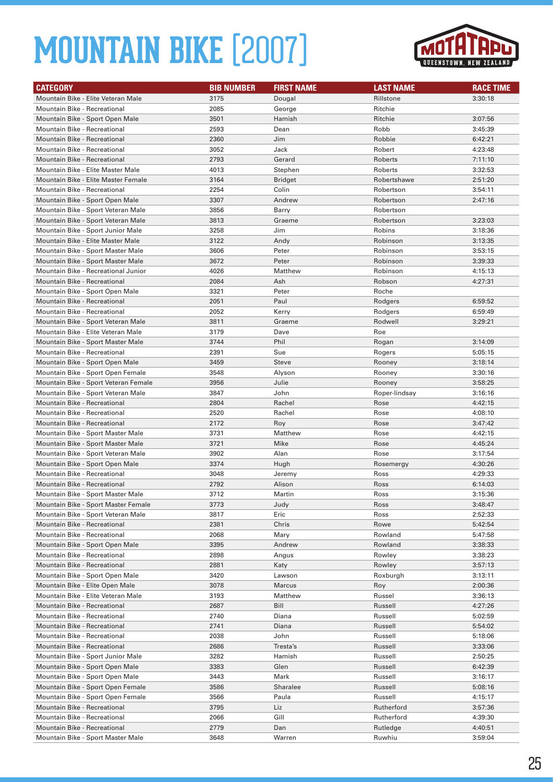

| <b>CATEGORY</b>                                              | <b>BIB NUMBER</b> | <b>FIRST NAME</b> | <b>LAST NAME</b>  | <b>RACE TIME</b>   |
|--------------------------------------------------------------|-------------------|-------------------|-------------------|--------------------|
| Mountain Bike - Elite Veteran Male                           | 3175              | Dougal            | Rillstone         | 3:30:18            |
| <b>Mountain Bike - Recreational</b>                          | 2085              | George            | Ritchie           |                    |
| Mountain Bike - Sport Open Male                              | 3501              | Hamish            | Ritchie           | 3:07:56            |
| Mountain Bike - Recreational                                 | 2593              | Dean              | Robb              | 3:45:39            |
| <b>Mountain Bike - Recreational</b>                          | 2360              | Jim               | Robbie            | 6:42:21            |
| Mountain Bike - Recreational                                 | 3052              | Jack              | Robert            | 4:23:48            |
| <b>Mountain Bike - Recreational</b>                          | 2793              | Gerard            | Roberts           | 7:11:10            |
| Mountain Bike - Elite Master Male                            | 4013              | Stephen           | Roberts           | 3:32:53            |
| Mountain Bike - Elite Master Female                          | 3164              | <b>Bridget</b>    | Robertshawe       | 2:51:20            |
| Mountain Bike - Recreational                                 | 2254              | Colin             | Robertson         | 3:54:11            |
| Mountain Bike - Sport Open Male                              | 3307              | Andrew            | Robertson         | 2:47:16            |
| Mountain Bike - Sport Veteran Male                           | 3856              | Barry             | Robertson         |                    |
| Mountain Bike - Sport Veteran Male                           | 3813              | Graeme            | Robertson         | 3:23:03            |
| Mountain Bike - Sport Junior Male                            | 3258              | Jim               | Robins            | 3:18:36            |
| Mountain Bike - Elite Master Male                            | 3122              | Andy              | Robinson          | 3:13:35            |
| Mountain Bike - Sport Master Male                            | 3606              | Peter             | Robinson          | 3:53:15            |
| Mountain Bike - Sport Master Male                            | 3672              | Peter             | Robinson          | 3:39:33            |
| Mountain Bike - Recreational Junior                          | 4026              | Matthew           | Robinson          | 4:15:13            |
| <b>Mountain Bike - Recreational</b>                          | 2084              | Ash               | Robson            | 4:27:31            |
| Mountain Bike - Sport Open Male                              | 3321              | Peter             | Roche             |                    |
| <b>Mountain Bike - Recreational</b>                          | 2051              | Paul              | Rodgers           | 6:59:52            |
| <b>Mountain Bike - Recreational</b>                          | 2052              | Kerry             | Rodgers           | 6:59:49            |
| Mountain Bike - Sport Veteran Male                           | 3811              | Graeme            | Rodwell           | 3:29:21            |
| Mountain Bike - Elite Veteran Male                           | 3179              | Dave              | Roe               |                    |
| Mountain Bike - Sport Master Male                            | 3744              | Phil              | Rogan             | 3:14:09            |
| Mountain Bike - Recreational                                 | 2391              | Sue               | Rogers            | 5:05:15            |
| Mountain Bike - Sport Open Male                              | 3459              | <b>Steve</b>      | Rooney            | 3:18:14            |
| Mountain Bike - Sport Open Female                            | 3548              | Alyson            | Rooney            | 3:30:16            |
| Mountain Bike - Sport Veteran Female                         | 3956              | Julie             | Rooney            | 3:58:25            |
| Mountain Bike - Sport Veteran Male                           | 3847              | John              | Roper-lindsay     | 3:16:16            |
| Mountain Bike - Recreational                                 | 2804              | Rachel            | Rose              | 4:42:15            |
| <b>Mountain Bike - Recreational</b>                          | 2520              | Rachel            | Rose              | 4:08:10            |
| Mountain Bike - Recreational                                 | 2172              | Roy               | Rose              | 3:47:42            |
| Mountain Bike - Sport Master Male                            | 3731              | Matthew           | Rose              | 4:42:15            |
| Mountain Bike - Sport Master Male                            | 3721              | Mike              | Rose              | 4:45:24            |
| Mountain Bike - Sport Veteran Male                           | 3902              | Alan              | Rose              | 3:17:54            |
| Mountain Bike - Sport Open Male                              | 3374              | Hugh              | Rosemergy         | 4:30:26            |
| <b>Mountain Bike - Recreational</b>                          | 3048              | Jeremy            | Ross              | 4:29:33            |
| <b>Mountain Bike - Recreational</b>                          | 2792              | Alison            | Ross              | 6:14:03            |
| Mountain Bike - Sport Master Male                            | 3712              | Martin            | Ross              | 3:15:36            |
| Mountain Bike - Sport Master Female                          | 3773              | Judy              | Ross              | 3:48:47            |
| Mountain Bike - Sport Veteran Male                           | 3817              | Eric              | Ross              | 2:52:33            |
| Mountain Bike - Recreational                                 | 2381              | Chris             | Rowe              | 5:42:54            |
| Mountain Bike - Recreational                                 | 2068              | Mary              | Rowland           | 5:47:58            |
| Mountain Bike - Sport Open Male                              | 3395              | Andrew            | Rowland           | 3:38:33            |
| Mountain Bike - Recreational                                 | 2898              | Angus             | Rowley            | 3:38:23            |
| Mountain Bike - Recreational                                 | 2881              | Katy              | Rowley            | 3:57:13            |
| Mountain Bike - Sport Open Male                              | 3420              | Lawson            | Roxburgh          | 3:13:11            |
| Mountain Bike - Elite Open Male                              | 3078              | Marcus<br>Matthew | Roy               | 2:00:36            |
| Mountain Bike - Elite Veteran Male                           | 3193              |                   | Russel<br>Russell | 3:36:13            |
| Mountain Bike - Recreational<br>Mountain Bike - Recreational | 2687<br>2740      | Bill<br>Diana     | Russell           | 4:27:26<br>5:02:59 |
| Mountain Bike - Recreational                                 | 2741              | Diana             | Russell           | 5:54:02            |
| Mountain Bike - Recreational                                 | 2038              | John              | Russell           | 5:18:06            |
| Mountain Bike - Recreational                                 | 2686              | Tresta's          | Russell           | 3:33:06            |
| Mountain Bike - Sport Junior Male                            | 3282              | Hamish            | Russell           | 2:50:25            |
| Mountain Bike - Sport Open Male                              | 3383              | Glen              | Russell           | 6:42:39            |
| Mountain Bike - Sport Open Male                              | 3443              | Mark              | Russell           | 3:16:17            |
| Mountain Bike - Sport Open Female                            | 3586              | <b>Sharalee</b>   | Russell           | 5:08:16            |
| Mountain Bike - Sport Open Female                            | 3566              | Paula             | Russell           | 4:15:17            |
| Mountain Bike - Recreational                                 | 3795              | Liz               | Rutherford        | 3:57:36            |
| Mountain Bike - Recreational                                 | 2066              | Gill              | Rutherford        | 4:39:30            |
| Mountain Bike - Recreational                                 | 2779              | Dan               | Rutledge          | 4:40:51            |
| Mountain Bike - Sport Master Male                            | 3648              | Warren            | Ruwhiu            | 3:59:04            |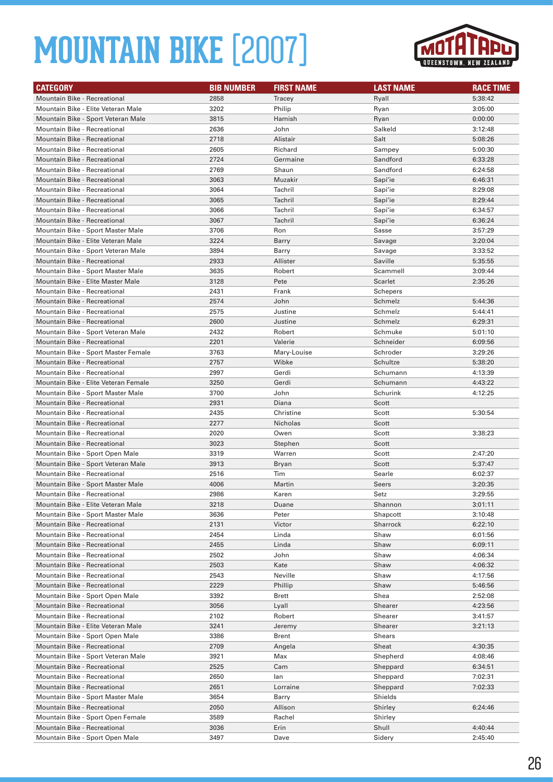

| <b>CATEGORY</b>                      | <b>BIB NUMBER</b> | <b>FIRST NAME</b> | <b>LAST NAME</b> | <b>RACE TIME</b> |
|--------------------------------------|-------------------|-------------------|------------------|------------------|
| <b>Mountain Bike - Recreational</b>  | 2858              | Tracey            | Ryall            | 5:38:42          |
| Mountain Bike - Elite Veteran Male   | 3202              | Philip            | Ryan             | 3:05:00          |
| Mountain Bike - Sport Veteran Male   | 3815              | Hamish            | Ryan             | 0:00:00          |
| Mountain Bike - Recreational         | 2636              | John              | Salkeld          | 3:12:48          |
| <b>Mountain Bike - Recreational</b>  | 2718              | Alistair          | Salt             | 5:08:26          |
| <b>Mountain Bike - Recreational</b>  | 2605              | Richard           | Sampey           | 5:00:30          |
| <b>Mountain Bike - Recreational</b>  | 2724              | Germaine          | Sandford         | 6:33:28          |
| <b>Mountain Bike - Recreational</b>  | 2769              | Shaun             | Sandford         | 6:24:58          |
| Mountain Bike - Recreational         | 3063              | Muzakir           | Sapi'ie          | 6:46:31          |
| Mountain Bike - Recreational         | 3064              | Tachril           | Sapi'ie          | 8:29:08          |
| <b>Mountain Bike - Recreational</b>  | 3065              | Tachril           | Sapi'ie          | 8:29:44          |
| <b>Mountain Bike - Recreational</b>  | 3066              | Tachril           | Sapi'ie          | 6:34:57          |
| <b>Mountain Bike - Recreational</b>  | 3067              | Tachril           | Sapi'ie          | 6:36:24          |
| Mountain Bike - Sport Master Male    | 3706              | Ron               | Sasse            | 3:57:29          |
| Mountain Bike - Elite Veteran Male   | 3224              | Barry             | Savage           | 3:20:04          |
| Mountain Bike - Sport Veteran Male   | 3894              | Barry             | Savage           | 3:33:52          |
| Mountain Bike - Recreational         | 2933              | Allister          | Saville          | 5:35:55          |
| Mountain Bike - Sport Master Male    | 3635              | Robert            | Scammell         | 3:09:44          |
| Mountain Bike - Elite Master Male    | 3128              | Pete              | Scarlet          | 2:35:26          |
| <b>Mountain Bike - Recreational</b>  | 2431              | Frank             | Schepers         |                  |
| <b>Mountain Bike - Recreational</b>  | 2574              | John              | Schmelz          | 5:44:36          |
| <b>Mountain Bike - Recreational</b>  | 2575              | Justine           | Schmelz          | 5:44:41          |
| Mountain Bike - Recreational         | 2600              | Justine           | Schmelz          | 6:29:31          |
| Mountain Bike - Sport Veteran Male   | 2432              | Robert            | Schmuke          | 5:01:10          |
| <b>Mountain Bike - Recreational</b>  | 2201              | Valerie           | Schneider        | 6:09:56          |
| Mountain Bike - Sport Master Female  | 3763              | Mary-Louise       | Schroder         | 3:29:26          |
| <b>Mountain Bike - Recreational</b>  | 2757              | Wibke             | Schultze         | 5:38:20          |
| Mountain Bike - Recreational         | 2997              | Gerdi             | Schumann         | 4:13:39          |
| Mountain Bike - Elite Veteran Female | 3250              | Gerdi             | Schumann         | 4:43:22          |
| Mountain Bike - Sport Master Male    | 3700              | John              | Schurink         | 4:12:25          |
| <b>Mountain Bike - Recreational</b>  | 2931              | Diana             | Scott            |                  |
| <b>Mountain Bike - Recreational</b>  | 2435              | Christine         | Scott            | 5:30:54          |
| <b>Mountain Bike - Recreational</b>  | 2277              | Nicholas          | Scott            |                  |
| <b>Mountain Bike - Recreational</b>  | 2020              | Owen              | Scott            | 3:38:23          |
| <b>Mountain Bike - Recreational</b>  | 3023              | Stephen           | Scott            |                  |
| Mountain Bike - Sport Open Male      | 3319              | Warren            | Scott            | 2:47:20          |
| Mountain Bike - Sport Veteran Male   | 3913              | Bryan             | Scott            | 5:37:47          |
| <b>Mountain Bike - Recreational</b>  | 2516              | Tim               | Searle           | 6:02:37          |
| Mountain Bike - Sport Master Male    | 4006              | Martin            | Seers            | 3:20:35          |
| Mountain Bike - Recreational         | 2986              | Karen             | Setz             | 3:29:55          |
| Mountain Bike - Elite Veteran Male   | 3218              | Duane             | Shannon          | 3:01:11          |
| Mountain Bike - Sport Master Male    | 3636              | Peter             | Shapcott         | 3:10:48          |
| Mountain Bike - Recreational         | 2131              | Victor            | Sharrock         | 6:22:10          |
| Mountain Bike - Recreational         | 2454              | Linda             | Shaw             | 6:01:56          |
| Mountain Bike - Recreational         | 2455              | Linda             | Shaw             | 6:09:11          |
| Mountain Bike - Recreational         | 2502              | John              | Shaw             | 4:06:34          |
| Mountain Bike - Recreational         | 2503              | Kate              | Shaw             | 4:06:32          |
| Mountain Bike - Recreational         | 2543              | Neville           | Shaw             | 4:17:56          |
| Mountain Bike - Recreational         | 2229              | Phillip           | Shaw             | 5:46:56          |
| Mountain Bike - Sport Open Male      | 3392              | Brett             | Shea             | 2:52:08          |
| Mountain Bike - Recreational         | 3056              | Lyall             | Shearer          | 4:23:56          |
| Mountain Bike - Recreational         | 2102              | Robert            | Shearer          | 3:41:57          |
| Mountain Bike - Elite Veteran Male   | 3241              | Jeremy            | Shearer          | 3:21:13          |
| Mountain Bike - Sport Open Male      | 3386              | Brent             | Shears           |                  |
| Mountain Bike - Recreational         | 2709              | Angela            | Sheat            | 4:30:35          |
| Mountain Bike - Sport Veteran Male   | 3921              | Max               | Shepherd         | 4:08:46          |
| Mountain Bike - Recreational         | 2525              | Cam               | Sheppard         | 6:34:51          |
| Mountain Bike - Recreational         | 2650              | lan               | Sheppard         | 7:02:31          |
| Mountain Bike - Recreational         | 2651              | Lorraine          | Sheppard         | 7:02:33          |
| Mountain Bike - Sport Master Male    | 3654              | Barry             | Shields          |                  |
| Mountain Bike - Recreational         | 2050              | Allison           | Shirley          | 6:24:46          |
| Mountain Bike - Sport Open Female    | 3589              | Rachel            | Shirley          |                  |
| Mountain Bike - Recreational         | 3036              | Erin              | Shull            | 4:40:44          |
| Mountain Bike - Sport Open Male      | 3497              | Dave              | Sidery           | 2:45:40          |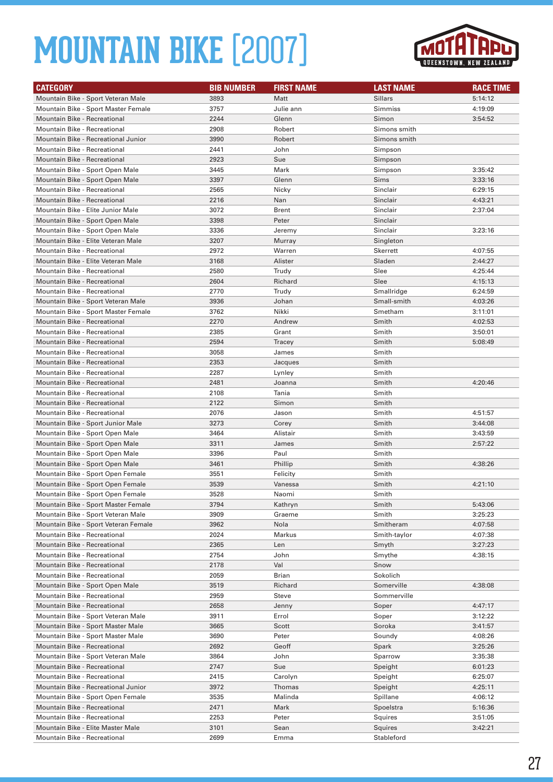

| <b>CATEGORY</b>                                                            | <b>BIB NUMBER</b> | <b>FIRST NAME</b> | <b>LAST NAME</b>   | <b>RACE TIME</b>   |
|----------------------------------------------------------------------------|-------------------|-------------------|--------------------|--------------------|
| Mountain Bike - Sport Veteran Male                                         | 3893              | Matt              | <b>Sillars</b>     | 5:14:12            |
| Mountain Bike - Sport Master Female                                        | 3757              | Julie ann         | Simmiss            | 4:19:09            |
| Mountain Bike - Recreational                                               | 2244              | Glenn             | Simon              | 3:54:52            |
| Mountain Bike - Recreational                                               | 2908              | Robert            | Simons smith       |                    |
| Mountain Bike - Recreational Junior                                        | 3990              | Robert            | Simons smith       |                    |
| <b>Mountain Bike - Recreational</b>                                        | 2441              | John              | Simpson            |                    |
| <b>Mountain Bike - Recreational</b>                                        | 2923              | Sue               | Simpson            |                    |
| Mountain Bike - Sport Open Male                                            | 3445              | Mark              | Simpson            | 3:35:42            |
| Mountain Bike - Sport Open Male                                            | 3397              | Glenn             | Sims               | 3:33:16            |
| <b>Mountain Bike - Recreational</b>                                        | 2565              | Nicky             | Sinclair           | 6:29:15            |
| <b>Mountain Bike - Recreational</b>                                        | 2216              | Nan               | Sinclair           | 4:43:21            |
| Mountain Bike - Elite Junior Male                                          | 3072              | Brent             | Sinclair           | 2:37:04            |
| Mountain Bike - Sport Open Male                                            | 3398              | Peter             | Sinclair           |                    |
| Mountain Bike - Sport Open Male                                            | 3336              | Jeremy            | Sinclair           | 3:23:16            |
| Mountain Bike - Elite Veteran Male                                         | 3207              | Murray            | Singleton          |                    |
| <b>Mountain Bike - Recreational</b>                                        | 2972              | Warren            | <b>Skerrett</b>    | 4:07:55            |
| Mountain Bike - Elite Veteran Male                                         | 3168              | Alister           | Sladen             | 2:44:27            |
| Mountain Bike - Recreational                                               | 2580              | Trudy             | Slee               | 4:25:44            |
| <b>Mountain Bike - Recreational</b>                                        | 2604              | Richard           | Slee               | 4:15:13            |
| <b>Mountain Bike - Recreational</b>                                        | 2770              | Trudy             | Smallridge         | 6:24:59            |
| Mountain Bike - Sport Veteran Male                                         | 3936              | Johan             | Small-smith        | 4:03:26            |
| Mountain Bike - Sport Master Female                                        | 3762              | Nikki             | Smetham            | 3:11:01            |
| <b>Mountain Bike - Recreational</b>                                        | 2270              | Andrew            | Smith              | 4:02:53            |
| Mountain Bike - Recreational                                               | 2385              | Grant             | Smith              | 3:50:01            |
| <b>Mountain Bike - Recreational</b>                                        | 2594              | Tracey            | Smith              | 5:08:49            |
|                                                                            | 3058              |                   |                    |                    |
| <b>Mountain Bike - Recreational</b><br><b>Mountain Bike - Recreational</b> | 2353              | James             | Smith              |                    |
| <b>Mountain Bike - Recreational</b>                                        | 2287              | Jacques           | Smith<br>Smith     |                    |
| <b>Mountain Bike - Recreational</b>                                        | 2481              | Lynley<br>Joanna  | Smith              | 4:20:46            |
| <b>Mountain Bike - Recreational</b>                                        | 2108              | Tania             | Smith              |                    |
| Mountain Bike - Recreational                                               | 2122              | Simon             | Smith              |                    |
| Mountain Bike - Recreational                                               | 2076              |                   | Smith              |                    |
| Mountain Bike - Sport Junior Male                                          | 3273              | Jason<br>Corey    | Smith              | 4:51:57<br>3:44:08 |
| Mountain Bike - Sport Open Male                                            |                   | Alistair          |                    |                    |
| Mountain Bike - Sport Open Male                                            | 3464<br>3311      | James             | Smith<br>Smith     | 3:43:59<br>2:57:22 |
| Mountain Bike - Sport Open Male                                            | 3396              | Paul              | Smith              |                    |
| Mountain Bike - Sport Open Male                                            | 3461              | Phillip           | Smith              | 4:38:26            |
| Mountain Bike - Sport Open Female                                          | 3551              | Felicity          | Smith              |                    |
| Mountain Bike - Sport Open Female                                          | 3539              | Vanessa           | Smith              | 4:21:10            |
| Mountain Bike - Sport Open Female                                          | 3528              | Naomi             | Smith              |                    |
| Mountain Bike - Sport Master Female                                        | 3794              |                   | Smith              | 5:43:06            |
| Mountain Bike - Sport Veteran Male                                         | 3909              | Kathryn<br>Graeme | Smith              | 3:25:23            |
| Mountain Bike - Sport Veteran Female                                       | 3962              | Nola              | Smitheram          | 4:07:58            |
| Mountain Bike - Recreational                                               | 2024              | Markus            | Smith-taylor       | 4:07:38            |
| Mountain Bike - Recreational                                               | 2365              | Len               | Smyth              | 3:27:23            |
| Mountain Bike - Recreational                                               | 2754              | John              | Smythe             | 4:38:15            |
| Mountain Bike - Recreational                                               | 2178              | Val               | Snow               |                    |
| Mountain Bike - Recreational                                               | 2059              | Brian             | Sokolich           |                    |
| Mountain Bike - Sport Open Male                                            | 3519              | Richard           | Somerville         | 4:38:08            |
| Mountain Bike - Recreational                                               | 2959              | Steve             | Sommerville        |                    |
| Mountain Bike - Recreational                                               | 2658              |                   | Soper              | 4:47:17            |
| Mountain Bike - Sport Veteran Male                                         | 3911              | Jenny<br>Errol    | Soper              | 3:12:22            |
|                                                                            |                   |                   |                    |                    |
| Mountain Bike - Sport Master Male<br>Mountain Bike - Sport Master Male     | 3665<br>3690      | Scott<br>Peter    | Soroka<br>Soundy   | 3:41:57<br>4:08:26 |
| Mountain Bike - Recreational                                               | 2692              | Geoff             | Spark              | 3:25:26            |
|                                                                            |                   |                   |                    |                    |
| Mountain Bike - Sport Veteran Male<br>Mountain Bike - Recreational         | 3864              | John<br>Sue       | Sparrow            | 3:35:38            |
|                                                                            | 2747              |                   | Speight            | 6:01:23            |
| Mountain Bike - Recreational                                               | 2415              | Carolyn           | Speight            | 6:25:07            |
| Mountain Bike - Recreational Junior                                        | 3972              | Thomas<br>Malinda | Speight            | 4:25:11            |
| Mountain Bike - Sport Open Female<br>Mountain Bike - Recreational          | 3535              | Mark              | Spillane           | 4:06:12            |
|                                                                            | 2471              |                   | Spoelstra          | 5:16:36            |
| Mountain Bike - Recreational                                               | 2253              | Peter             | Squires<br>Squires | 3:51:05<br>3:42:21 |
| Mountain Bike - Elite Master Male<br>Mountain Bike - Recreational          | 3101<br>2699      | Sean<br>Emma      | Stableford         |                    |
|                                                                            |                   |                   |                    |                    |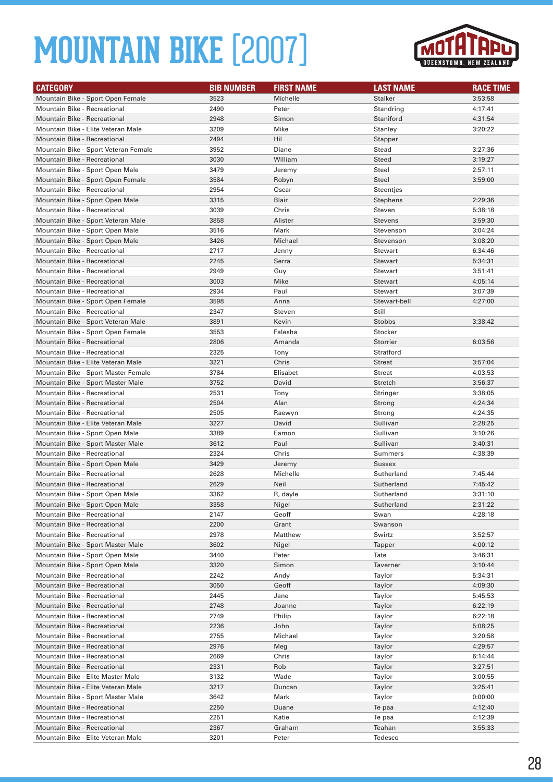

| <b>CATEGORY</b>                                              | <b>BIB NUMBER</b> | <b>FIRST NAME</b> | <b>LAST NAME</b> | <b>RACE TIME</b> |
|--------------------------------------------------------------|-------------------|-------------------|------------------|------------------|
| Mountain Bike - Sport Open Female                            | 3523              | Michelle          | <b>Stalker</b>   | 3:53:58          |
| Mountain Bike - Recreational                                 | 2490              | Peter             | Standring        | 4:17:41          |
| <b>Mountain Bike - Recreational</b>                          | 2948              | Simon             | Staniford        | 4:31:54          |
| Mountain Bike - Elite Veteran Male                           | 3209              | Mike              | Stanley          | 3:20:22          |
| <b>Mountain Bike - Recreational</b>                          | 2494              | Hil               | Stapper          |                  |
| Mountain Bike - Sport Veteran Female                         | 3952              | Diane             | Stead            | 3:27:36          |
| <b>Mountain Bike - Recreational</b>                          | 3030              | William           | <b>Steed</b>     | 3:19:27          |
| Mountain Bike - Sport Open Male                              | 3479              | Jeremy            | Steel            | 2:57:11          |
| Mountain Bike - Sport Open Female                            | 3584              | Robyn             | <b>Steel</b>     | 3:59:00          |
| Mountain Bike - Recreational                                 | 2954              | Oscar             | Steentjes        |                  |
| Mountain Bike - Sport Open Male                              | 3315              | Blair             | Stephens         | 2:29:36          |
| Mountain Bike - Recreational                                 | 3039              | Chris             | Steven           | 5:38:18          |
| Mountain Bike - Sport Veteran Male                           | 3858              | Alister           | <b>Stevens</b>   | 3:59:30          |
| Mountain Bike - Sport Open Male                              | 3516              | Mark              | Stevenson        | 3:04:24          |
| Mountain Bike - Sport Open Male                              | 3426              | Michael           | Stevenson        | 3:08:20          |
| <b>Mountain Bike - Recreational</b>                          | 2717              | Jenny             | Stewart          | 6:34:46          |
| <b>Mountain Bike - Recreational</b>                          | 2245              | Serra             | Stewart          | 5:34:31          |
| <b>Mountain Bike - Recreational</b>                          | 2949              | Guy               | <b>Stewart</b>   | 3:51:41          |
| <b>Mountain Bike - Recreational</b>                          | 3003              | Mike              | <b>Stewart</b>   | 4:05:14          |
| Mountain Bike - Recreational                                 | 2934              | Paul              | Stewart          | 3:07:39          |
| Mountain Bike - Sport Open Female                            | 3598              | Anna              | Stewart-bell     | 4:27:00          |
| <b>Mountain Bike - Recreational</b>                          | 2347              | Steven            | Still            |                  |
| Mountain Bike - Sport Veteran Male                           | 3891              | Kevin             | <b>Stobbs</b>    | 3:38:42          |
| Mountain Bike - Sport Open Female                            | 3553              | Falesha           | Stocker          |                  |
| <b>Mountain Bike - Recreational</b>                          | 2806              | Amanda            | Storrier         | 6:03:56          |
| Mountain Bike - Recreational                                 | 2325              | Tony              | Stratford        |                  |
| Mountain Bike - Elite Veteran Male                           | 3221              | Chris             | <b>Streat</b>    | 3:57:04          |
| Mountain Bike - Sport Master Female                          | 3784              | Elisabet          | <b>Streat</b>    | 4:03:53          |
| Mountain Bike - Sport Master Male                            | 3752              | David             | Stretch          | 3:56:37          |
| <b>Mountain Bike - Recreational</b>                          | 2531              | Tony              | Stringer         | 3:38:05          |
| <b>Mountain Bike - Recreational</b>                          | 2504              | Alan              | Strong           | 4:24:34          |
| <b>Mountain Bike - Recreational</b>                          | 2505              | Raewyn            | Strong           | 4:24:35          |
| Mountain Bike - Elite Veteran Male                           | 3227              | David             | Sullivan         | 2:28:25          |
| Mountain Bike - Sport Open Male                              | 3389              | Eamon             | Sullivan         | 3:10:26          |
| Mountain Bike - Sport Master Male                            | 3612              | Paul              | Sullivan         | 3:40:31          |
| Mountain Bike - Recreational                                 | 2324              | Chris             | Summers          | 4:38:39          |
| Mountain Bike - Sport Open Male                              | 3429              | Jeremy            | <b>Sussex</b>    |                  |
| Mountain Bike - Recreational                                 | 2628              | Michelle          | Sutherland       | 7:45:44          |
| <b>Mountain Bike - Recreational</b>                          | 2629              | Neil              | Sutherland       | 7:45:42          |
| Mountain Bike - Sport Open Male                              | 3362              | R, dayle          | Sutherland       | 3:31:10          |
| Mountain Bike - Sport Open Male                              | 3358              | Nigel             | Sutherland       | 2:31:22          |
| Mountain Bike - Recreational                                 | 2147<br>2200      | Geoff<br>Grant    | Swan<br>Swanson  | 4:28:18          |
| Mountain Bike - Recreational<br>Mountain Bike - Recreational | 2978              | Matthew           | Swirtz           | 3:52:57          |
| Mountain Bike - Sport Master Male                            | 3602              |                   | Tapper           | 4:00:12          |
| Mountain Bike - Sport Open Male                              | 3440              | Nigel<br>Peter    | Tate             | 3:46:31          |
| Mountain Bike - Sport Open Male                              | 3320              | Simon             | Taverner         | 3:10:44          |
| Mountain Bike - Recreational                                 | 2242              | Andy              | Taylor           | 5:34:31          |
| Mountain Bike - Recreational                                 | 3050              | Geoff             | Taylor           | 4:09:30          |
| Mountain Bike - Recreational                                 | 2445              | Jane              | Taylor           | 5:45:53          |
| Mountain Bike - Recreational                                 | 2748              | Joanne            | Taylor           | 6:22:19          |
| Mountain Bike - Recreational                                 | 2749              | Philip            | Taylor           | 6:22:18          |
| Mountain Bike - Recreational                                 | 2236              | John              | Taylor           | 5:08:25          |
| Mountain Bike - Recreational                                 | 2755              | Michael           | Taylor           | 3:20:58          |
| Mountain Bike - Recreational                                 | 2976              | Meg               | Taylor           | 4:29:57          |
| Mountain Bike - Recreational                                 | 2669              | Chris             | Taylor           | 6:14:44          |
| Mountain Bike - Recreational                                 | 2331              | Rob               | Taylor           | 3:27:51          |
| Mountain Bike - Elite Master Male                            | 3132              | Wade              | Taylor           | 3:00:55          |
| Mountain Bike - Elite Veteran Male                           | 3217              | Duncan            | Taylor           | 3:25:41          |
| Mountain Bike - Sport Master Male                            | 3642              | Mark              | Taylor           | 0:00:00          |
| Mountain Bike - Recreational                                 | 2250              | Duane             | Te paa           | 4:12:40          |
| Mountain Bike - Recreational                                 | 2251              | Katie             | Te paa           | 4:12:39          |
| Mountain Bike - Recreational                                 | 2367              | Graham            | Teahan           | 3:55:33          |
| Mountain Bike - Elite Veteran Male                           | 3201              | Peter             | Tedesco          |                  |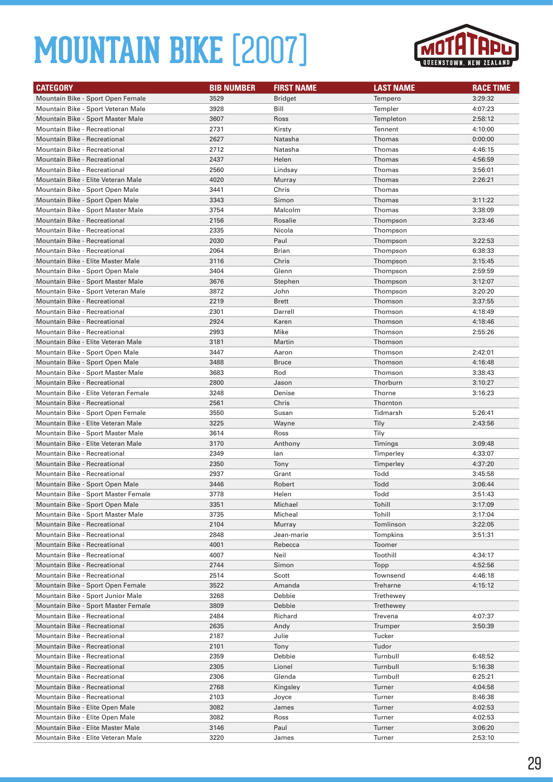

| <b>CATEGORY</b>                      | <b>BIB NUMBER</b> | <b>FIRST NAME</b> | <b>LAST NAME</b> | <b>RACE TIME</b> |
|--------------------------------------|-------------------|-------------------|------------------|------------------|
| Mountain Bike - Sport Open Female    | 3529              | Bridget           | Tempero          | 3:29:32          |
| Mountain Bike - Sport Veteran Male   | 3928              | Bill              | Templer          | 4:07:23          |
| Mountain Bike - Sport Master Male    | 3607              | Ross              | Templeton        | 2:58:12          |
| Mountain Bike - Recreational         | 2731              | Kirsty            | Tennent          | 4:10:00          |
| Mountain Bike - Recreational         | 2627              | Natasha           | Thomas           | 0:00:00          |
| Mountain Bike - Recreational         | 2712              | Natasha           | Thomas           | 4:46:15          |
| <b>Mountain Bike - Recreational</b>  | 2437              | Helen             | Thomas           | 4:56:59          |
| Mountain Bike - Recreational         | 2560              | Lindsay           | Thomas           | 3:56:01          |
| Mountain Bike - Elite Veteran Male   | 4020              | Murray            | <b>Thomas</b>    | 2:26:21          |
| Mountain Bike - Sport Open Male      | 3441              | Chris             | Thomas           |                  |
| Mountain Bike - Sport Open Male      | 3343              | Simon             | Thomas           | 3:11:22          |
| Mountain Bike - Sport Master Male    | 3754              | Malcolm           | Thomas           | 3:38:09          |
| Mountain Bike - Recreational         | 2156              | Rosalie           | Thompson         | 3:23:46          |
| Mountain Bike - Recreational         | 2335              | Nicola            | Thompson         |                  |
| Mountain Bike - Recreational         | 2030              | Paul              | Thompson         | 3:22:53          |
| Mountain Bike - Recreational         | 2064              | <b>Brian</b>      | Thompson         | 6:38:33          |
| Mountain Bike - Elite Master Male    | 3116              | Chris             | Thompson         | 3:15:45          |
| Mountain Bike - Sport Open Male      | 3404              | Glenn             | Thompson         | 2:59:59          |
| Mountain Bike - Sport Master Male    | 3676              | Stephen           | Thompson         | 3:12:07          |
| Mountain Bike - Sport Veteran Male   | 3872              | John              | Thompson         | 3:20:20          |
| Mountain Bike - Recreational         | 2219              | <b>Brett</b>      | Thomson          | 3:37:55          |
| Mountain Bike - Recreational         | 2301              | Darrell           | Thomson          | 4:18:49          |
| Mountain Bike - Recreational         | 2924              | Karen             | Thomson          | 4:18:46          |
| Mountain Bike - Recreational         | 2993              | Mike              | Thomson          | 2:55:26          |
| Mountain Bike - Elite Veteran Male   | 3181              | Martin            | Thomson          |                  |
| Mountain Bike - Sport Open Male      | 3447              | Aaron             | Thomson          | 2:42:01          |
| Mountain Bike - Sport Open Male      | 3488              | <b>Bruce</b>      | Thomson          | 4:16:48          |
| Mountain Bike - Sport Master Male    | 3683              | Rod               | Thomson          | 3:38:43          |
| <b>Mountain Bike - Recreational</b>  | 2800              | Jason             | Thorburn         | 3:10:27          |
| Mountain Bike - Elite Veteran Female | 3248              | Denise            | <b>Thorne</b>    | 3:16:23          |
| Mountain Bike - Recreational         | 2561              | Chris             | Thornton         |                  |
| Mountain Bike - Sport Open Female    | 3550              | Susan             | Tidmarsh         | 5:26:41          |
| Mountain Bike - Elite Veteran Male   | 3225              | Wayne             | Tily             | 2:43:56          |
| Mountain Bike - Sport Master Male    | 3614              | Ross              | Tily             |                  |
| Mountain Bike - Elite Veteran Male   | 3170              | Anthony           | Timings          | 3:09:48          |
| Mountain Bike - Recreational         | 2349              | lan               | Timperley        | 4:33:07          |
| <b>Mountain Bike - Recreational</b>  | 2350              | Tony              | Timperley        | 4:37:20          |
| <b>Mountain Bike - Recreational</b>  | 2937              | Grant             | Todd             | 3:45:58          |
| Mountain Bike - Sport Open Male      | 3446              | Robert            | Todd             | 3:06:44          |
| Mountain Bike - Sport Master Female  | 3778              | Helen             | Todd             | 3:51:43          |
| Mountain Bike - Sport Open Male      | 3351              | Michael           | Tohill           | 3:17:09          |
| Mountain Bike - Sport Master Male    | 3735              | Micheal           | Tohill           | 3:17:04          |
| Mountain Bike - Recreational         | 2104              | Murray            | Tomlinson        | 3:22:05          |
| Mountain Bike - Recreational         | 2848              | Jean-marie        | Tompkins         | 3:51:31          |
| Mountain Bike - Recreational         | 4001              | Rebecca           | Toomer           |                  |
| Mountain Bike - Recreational         | 4007              | Neil              | Toothill         | 4:34:17          |
| Mountain Bike - Recreational         | 2744              | Simon             | Topp             | 4:52:56          |
| Mountain Bike - Recreational         | 2514              | Scott             | Townsend         | 4:46:18          |
| Mountain Bike - Sport Open Female    | 3522              | Amanda            | Treharne         | 4:15:12          |
| Mountain Bike - Sport Junior Male    | 3268              | Debbie            | Trethewey        |                  |
| Mountain Bike - Sport Master Female  | 3809              | Debbie            | Trethewey        |                  |
| Mountain Bike - Recreational         | 2484              | Richard           | Trevena          | 4:07:37          |
| Mountain Bike - Recreational         | 2635              | Andy              | Trumper          | 3:50:39          |
| Mountain Bike - Recreational         | 2187              | Julie             | Tucker           |                  |
| Mountain Bike - Recreational         | 2101              | Tony              | Tudor            |                  |
| Mountain Bike - Recreational         | 2359              | Debbie            | Turnbull         | 6:48:52          |
| Mountain Bike - Recreational         | 2305              | Lionel            | Turnbull         | 5:16:38          |
| Mountain Bike - Recreational         | 2306              | Glenda            | Turnbull         | 6:25:21          |
| Mountain Bike - Recreational         | 2768              | Kingsley          | Turner           | 4:04:58          |
| Mountain Bike - Recreational         | 2103              | Joyce             | Turner           | 8:46:38          |
| Mountain Bike - Elite Open Male      | 3082              | James             | Turner           | 4:02:53          |
| Mountain Bike - Elite Open Male      | 3082              | Ross              | Turner           | 4:02:53          |
| Mountain Bike - Elite Master Male    | 3146              | Paul              | Turner           | 3:06:20          |
| Mountain Bike - Elite Veteran Male   | 3220              | James             | Turner           | 2:53:10          |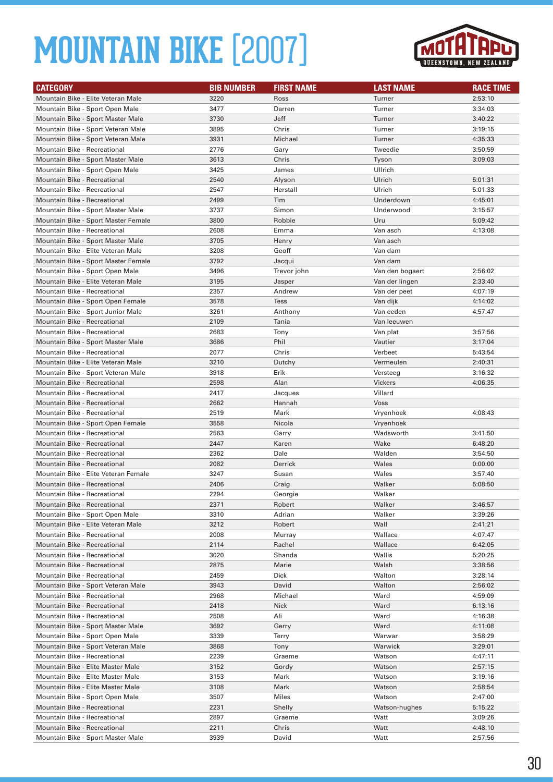

| <b>CATEGORY</b>                                                            | <b>BIB NUMBER</b> | <b>FIRST NAME</b> | <b>LAST NAME</b>  | <b>RACE TIME</b>   |
|----------------------------------------------------------------------------|-------------------|-------------------|-------------------|--------------------|
| Mountain Bike - Elite Veteran Male                                         | 3220              | Ross              | Turner            | 2:53:10            |
| Mountain Bike - Sport Open Male                                            | 3477              | Darren            | Turner            | 3:34:03            |
| Mountain Bike - Sport Master Male                                          | 3730              | Jeff              | Turner            | 3:40:22            |
| Mountain Bike - Sport Veteran Male                                         | 3895              | Chris             | Turner            | 3:19:15            |
| Mountain Bike - Sport Veteran Male                                         | 3931              | Michael           | Turner            | 4:35:33            |
| <b>Mountain Bike - Recreational</b>                                        | 2776              | Gary              | Tweedie           | 3:50:59            |
| Mountain Bike - Sport Master Male                                          | 3613              | Chris             | Tyson             | 3:09:03            |
| Mountain Bike - Sport Open Male                                            | 3425              | James             | Ullrich           |                    |
| Mountain Bike - Recreational                                               | 2540              | Alyson            | Ulrich            | 5:01:31            |
| Mountain Bike - Recreational                                               | 2547              | Herstall          | Ulrich            | 5:01:33            |
| <b>Mountain Bike - Recreational</b>                                        | 2499              | Tim               | Underdown         | 4:45:01            |
| Mountain Bike - Sport Master Male                                          | 3737              | Simon             | Underwood         | 3:15:57            |
| Mountain Bike - Sport Master Female                                        | 3800              | Robbie            | Uru               | 5:09:42            |
| <b>Mountain Bike - Recreational</b>                                        | 2608              | Emma              | Van asch          | 4:13:08            |
| Mountain Bike - Sport Master Male                                          | 3705              | Henry             | Van asch          |                    |
| Mountain Bike - Elite Veteran Male                                         | 3208              | Geoff             | Van dam           |                    |
| Mountain Bike - Sport Master Female                                        | 3792              | Jacqui            | Van dam           |                    |
| Mountain Bike - Sport Open Male                                            | 3496              | Trevor john       | Van den bogaert   | 2:56:02            |
| Mountain Bike - Elite Veteran Male                                         | 3195              | Jasper            | Van der lingen    | 2:33:40            |
| <b>Mountain Bike - Recreational</b>                                        | 2357              | Andrew            | Van der peet      | 4:07:19            |
| Mountain Bike - Sport Open Female                                          | 3578              | <b>Tess</b>       | Van dijk          | 4:14:02            |
| Mountain Bike - Sport Junior Male                                          | 3261              | Anthony           | Van eeden         | 4:57:47            |
| Mountain Bike - Recreational                                               | 2109              | Tania             | Van leeuwen       |                    |
| Mountain Bike - Recreational                                               | 2683              | Tony              | Van plat          | 3:57:56            |
| Mountain Bike - Sport Master Male                                          | 3686              | Phil              | Vautier           | 3:17:04            |
| Mountain Bike - Recreational                                               | 2077              | Chris             | Verbeet           | 5:43:54            |
| Mountain Bike - Elite Veteran Male                                         | 3210              | Dutchy            | Vermeulen         | 2:40:31            |
| Mountain Bike - Sport Veteran Male                                         | 3918              | Erik              | Versteeg          | 3:16:32            |
| Mountain Bike - Recreational                                               | 2598              | Alan              | <b>Vickers</b>    | 4:06:35            |
| <b>Mountain Bike - Recreational</b>                                        | 2417              | Jacques           | Villard           |                    |
| <b>Mountain Bike - Recreational</b>                                        | 2662              | Hannah            | <b>Voss</b>       |                    |
| Mountain Bike - Recreational                                               | 2519              | Mark              | Vryenhoek         | 4:08:43            |
| Mountain Bike - Sport Open Female                                          | 3558              | Nicola            | Vryenhoek         |                    |
| <b>Mountain Bike - Recreational</b>                                        | 2563<br>2447      | Garry             | Wadsworth<br>Wake | 3:41:50            |
| <b>Mountain Bike - Recreational</b><br><b>Mountain Bike - Recreational</b> | 2362              | Karen<br>Dale     | Walden            | 6:48:20<br>3:54:50 |
| Mountain Bike - Recreational                                               | 2082              | Derrick           | Wales             | 0:00:00            |
| Mountain Bike - Elite Veteran Female                                       | 3247              | Susan             | Wales             | 3:57:40            |
| <b>Mountain Bike - Recreational</b>                                        | 2406              | Craig             | Walker            | 5:08:50            |
| <b>Mountain Bike - Recreational</b>                                        | 2294              | Georgie           | Walker            |                    |
| <b>Mountain Bike - Recreational</b>                                        | 2371              | Robert            | Walker            | 3:46:57            |
| Mountain Bike - Sport Open Male                                            | 3310              | Adrian            | Walker            | 3:39:26            |
| Mountain Bike - Elite Veteran Male                                         | 3212              | Robert            | Wall              | 2:41:21            |
| Mountain Bike - Recreational                                               | 2008              | Murray            | Wallace           | 4:07:47            |
| Mountain Bike - Recreational                                               | 2114              | Rachel            | Wallace           | 6:42:05            |
| Mountain Bike - Recreational                                               | 3020              | Shanda            | Wallis            | 5:20:25            |
| Mountain Bike - Recreational                                               | 2875              | Marie             | Walsh             | 3:38:56            |
| Mountain Bike - Recreational                                               | 2459              | Dick              | Walton            | 3:28:14            |
| Mountain Bike - Sport Veteran Male                                         | 3943              | David             | Walton            | 2:56:02            |
| Mountain Bike - Recreational                                               | 2968              | Michael           | Ward              | 4:59:09            |
| Mountain Bike - Recreational                                               | 2418              | <b>Nick</b>       | Ward              | 6:13:16            |
| Mountain Bike - Recreational                                               | 2508              | Ali               | Ward              | 4:16:38            |
| Mountain Bike - Sport Master Male                                          | 3692              | Gerry             | Ward              | 4:11:08            |
| Mountain Bike - Sport Open Male                                            | 3339              | Terry             | Warwar            | 3:58:29            |
| Mountain Bike - Sport Veteran Male                                         | 3868              | Tony              | Warwick           | 3:29:01            |
| Mountain Bike - Recreational                                               | 2239              | Graeme            | Watson            | 4:47:11            |
| Mountain Bike - Elite Master Male                                          | 3152              | Gordy             | Watson            | 2:57:15            |
| Mountain Bike - Elite Master Male                                          | 3153              | Mark              | Watson            | 3:19:16            |
| Mountain Bike - Elite Master Male                                          | 3108              | Mark              | Watson            | 2:58:54            |
| Mountain Bike - Sport Open Male                                            | 3507              | Miles             | Watson            | 2:47:00            |
| Mountain Bike - Recreational                                               | 2231              | Shelly            | Watson-hughes     | 5:15:22            |
| Mountain Bike - Recreational                                               | 2897              | Graeme            | Watt              | 3:09:26            |
| Mountain Bike - Recreational                                               | 2211              | Chris             | Watt              | 4:48:10            |
| Mountain Bike - Sport Master Male                                          | 3939              | David             | Watt              | 2:57:56            |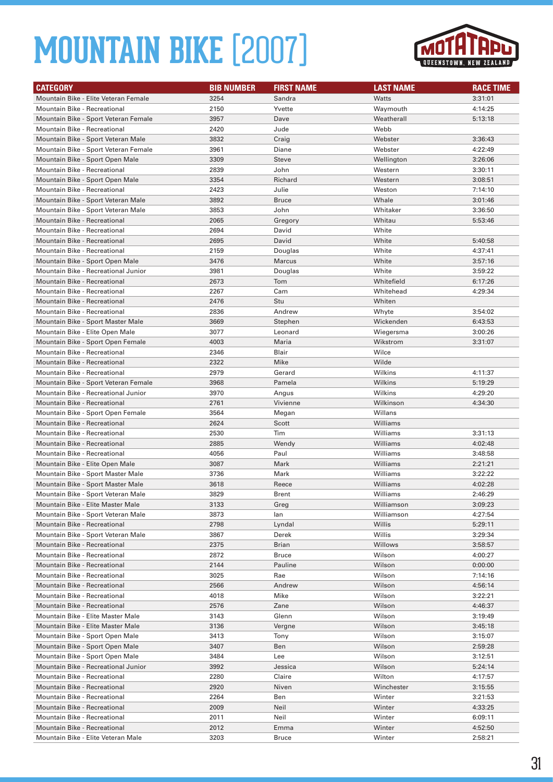

| <b>CATEGORY</b>                                                      | <b>BIB NUMBER</b> | <b>FIRST NAME</b> | <b>LAST NAME</b>     | <b>RACE TIME</b>   |
|----------------------------------------------------------------------|-------------------|-------------------|----------------------|--------------------|
| Mountain Bike - Elite Veteran Female                                 | 3254              | Sandra            | <b>Watts</b>         | 3:31:01            |
| <b>Mountain Bike - Recreational</b>                                  | 2150              | Yvette            | Waymouth             | 4:14:25            |
| Mountain Bike - Sport Veteran Female                                 | 3957              | Dave              | Weatherall           | 5:13:18            |
| Mountain Bike - Recreational                                         | 2420              | Jude              | Webb                 |                    |
| Mountain Bike - Sport Veteran Male                                   | 3832              | Craig             | Webster              | 3:36:43            |
| Mountain Bike - Sport Veteran Female                                 | 3961              | Diane             | Webster              | 4:22:49            |
| Mountain Bike - Sport Open Male                                      | 3309              | <b>Steve</b>      | Wellington           | 3:26:06            |
| Mountain Bike - Recreational                                         | 2839              | John              | Western              | 3:30:11            |
| Mountain Bike - Sport Open Male                                      | 3354              | Richard           | Western              | 3:08:51            |
| <b>Mountain Bike - Recreational</b>                                  | 2423              | Julie             | Weston               | 7:14:10            |
| Mountain Bike - Sport Veteran Male                                   | 3892              | <b>Bruce</b>      | Whale                | 3:01:46            |
| Mountain Bike - Sport Veteran Male                                   | 3853              | John              | Whitaker             | 3:36:50            |
| <b>Mountain Bike - Recreational</b>                                  | 2065              | Gregory           | Whitau               | 5:53:46            |
| Mountain Bike - Recreational                                         | 2694              | David             | White                |                    |
| <b>Mountain Bike - Recreational</b>                                  | 2695              | David             | White                | 5:40:58            |
| <b>Mountain Bike - Recreational</b>                                  | 2159              | Douglas           | White                | 4:37:41            |
| Mountain Bike - Sport Open Male                                      | 3476              | Marcus            | White                | 3:57:16            |
| Mountain Bike - Recreational Junior                                  | 3981              | Douglas           | White                | 3:59:22            |
| <b>Mountain Bike - Recreational</b>                                  | 2673              | Tom               | Whitefield           | 6:17:26            |
| <b>Mountain Bike - Recreational</b>                                  | 2267              | Cam               | Whitehead            | 4:29:34            |
| <b>Mountain Bike - Recreational</b>                                  | 2476              | Stu               | Whiten               |                    |
| Mountain Bike - Recreational                                         | 2836              | Andrew            | Whyte                | 3:54:02            |
| Mountain Bike - Sport Master Male                                    | 3669              | Stephen           | Wickenden            | 6:43:53            |
| Mountain Bike - Elite Open Male                                      | 3077              | Leonard           | Wiegersma            | 3:00:26            |
| Mountain Bike - Sport Open Female                                    | 4003              | Maria             | Wikstrom             | 3:31:07            |
| <b>Mountain Bike - Recreational</b>                                  | 2346              | Blair             | Wilce                |                    |
| <b>Mountain Bike - Recreational</b>                                  | 2322              | Mike              | Wilde                |                    |
| Mountain Bike - Recreational                                         | 2979              | Gerard            | Wilkins              | 4:11:37            |
| Mountain Bike - Sport Veteran Female                                 | 3968              | Pamela            | Wilkins              | 5:19:29            |
| Mountain Bike - Recreational Junior                                  | 3970              | Angus             | Wilkins              | 4:29:20            |
| <b>Mountain Bike - Recreational</b>                                  | 2761              | Vivienne          | Wilkinson            | 4:34:30            |
| Mountain Bike - Sport Open Female                                    | 3564              | Megan             | Willans              |                    |
| <b>Mountain Bike - Recreational</b>                                  | 2624              | Scott             | Williams             |                    |
| <b>Mountain Bike - Recreational</b>                                  | 2530              | Tim               | Williams             | 3:31:13            |
| <b>Mountain Bike - Recreational</b>                                  | 2885              | Wendy             | Williams<br>Williams | 4:02:48            |
| Mountain Bike - Recreational                                         | 4056<br>3087      | Paul              | Williams             | 3:48:58            |
| Mountain Bike - Elite Open Male<br>Mountain Bike - Sport Master Male | 3736              | Mark<br>Mark      | Williams             | 2:21:21<br>3:22:22 |
| Mountain Bike - Sport Master Male                                    | 3618              | Reece             | Williams             | 4:02:28            |
| Mountain Bike - Sport Veteran Male                                   | 3829              | Brent             | Williams             | 2:46:29            |
| Mountain Bike - Elite Master Male                                    | 3133              | Greg              | Williamson           | 3:09:23            |
| Mountain Bike - Sport Veteran Male                                   | 3873              | lan               | Williamson           | 4:27:54            |
| Mountain Bike - Recreational                                         | 2798              | Lyndal            | Willis               | 5:29:11            |
| Mountain Bike - Sport Veteran Male                                   | 3867              | Derek             | Willis               | 3:29:34            |
| Mountain Bike - Recreational                                         | 2375              | Brian             | Willows              | 3:58:57            |
| Mountain Bike - Recreational                                         | 2872              | <b>Bruce</b>      | Wilson               | 4:00:27            |
| Mountain Bike - Recreational                                         | 2144              | Pauline           | Wilson               | 0:00:00            |
| Mountain Bike - Recreational                                         | 3025              | Rae               | Wilson               | 7:14:16            |
| <b>Mountain Bike - Recreational</b>                                  | 2566              | Andrew            | Wilson               | 4:56:14            |
| <b>Mountain Bike - Recreational</b>                                  | 4018              | Mike              | Wilson               | 3:22:21            |
| Mountain Bike - Recreational                                         | 2576              | Zane              | Wilson               | 4:46:37            |
| Mountain Bike - Elite Master Male                                    | 3143              | Glenn             | Wilson               | 3:19:49            |
| Mountain Bike - Elite Master Male                                    | 3136              | Vergne            | Wilson               | 3:45:18            |
| Mountain Bike - Sport Open Male                                      | 3413              | Tony              | Wilson               | 3:15:07            |
| Mountain Bike - Sport Open Male                                      | 3407              | Ben               | Wilson               | 2:59:28            |
| Mountain Bike - Sport Open Male                                      | 3484              | Lee               | Wilson               | 3:12:51            |
| Mountain Bike - Recreational Junior                                  | 3992              | Jessica           | Wilson               | 5:24:14            |
| Mountain Bike - Recreational                                         | 2280              | Claire            | Wilton               | 4:17:57            |
| Mountain Bike - Recreational                                         | 2920              | Niven             | Winchester           | 3:15:55            |
| Mountain Bike - Recreational                                         | 2264              | Ben               | Winter               | 3:21:53            |
| Mountain Bike - Recreational                                         | 2009              | Neil              | Winter               | 4:33:25            |
| Mountain Bike - Recreational                                         | 2011              | Neil              | Winter               | 6:09:11            |
| Mountain Bike - Recreational                                         | 2012              | Emma              | Winter               | 4:52:50            |
| Mountain Bike - Elite Veteran Male                                   | 3203              | <b>Bruce</b>      | Winter               | 2:58:21            |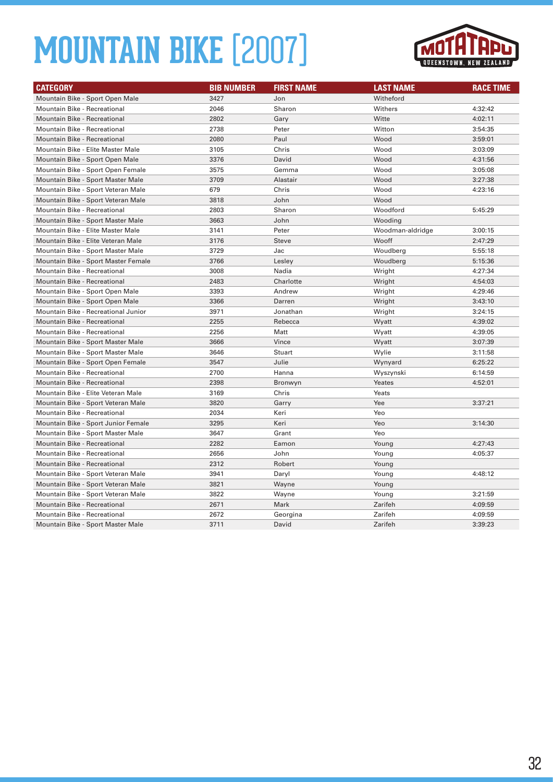

| <b>CATEGORY</b>                     | <b>BIB NUMBER</b> | <b>FIRST NAME</b> | <b>LAST NAME</b> | <b>RACE TIME</b> |
|-------------------------------------|-------------------|-------------------|------------------|------------------|
| Mountain Bike - Sport Open Male     | 3427              | Jon               | Witheford        |                  |
| Mountain Bike - Recreational        | 2046              | Sharon            | Withers          | 4:32:42          |
| Mountain Bike - Recreational        | 2802              | Gary              | Witte            | 4:02:11          |
| Mountain Bike - Recreational        | 2738              | Peter             | Witton           | 3:54:35          |
| Mountain Bike - Recreational        | 2080              | Paul              | Wood             | 3:59:01          |
| Mountain Bike - Elite Master Male   | 3105              | Chris             | Wood             | 3:03:09          |
| Mountain Bike - Sport Open Male     | 3376              | David             | Wood             | 4:31:56          |
| Mountain Bike - Sport Open Female   | 3575              | Gemma             | Wood             | 3:05:08          |
| Mountain Bike - Sport Master Male   | 3709              | Alastair          | Wood             | 3:27:38          |
| Mountain Bike - Sport Veteran Male  | 679               | Chris             | Wood             | 4:23:16          |
| Mountain Bike - Sport Veteran Male  | 3818              | John              | Wood             |                  |
| Mountain Bike - Recreational        | 2803              | Sharon            | Woodford         | 5:45:29          |
| Mountain Bike - Sport Master Male   | 3663              | John              | Wooding          |                  |
| Mountain Bike - Elite Master Male   | 3141              | Peter             | Woodman-aldridge | 3:00:15          |
| Mountain Bike - Elite Veteran Male  | 3176              | <b>Steve</b>      | Wooff            | 2:47:29          |
| Mountain Bike - Sport Master Male   | 3729              | Jac               | Woudberg         | 5:55:18          |
| Mountain Bike - Sport Master Female | 3766              | Lesley            | Woudberg         | 5:15:36          |
| Mountain Bike - Recreational        | 3008              | Nadia             | Wright           | 4:27:34          |
| Mountain Bike - Recreational        | 2483              | Charlotte         | Wright           | 4:54:03          |
| Mountain Bike - Sport Open Male     | 3393              | Andrew            | Wright           | 4:29:46          |
| Mountain Bike - Sport Open Male     | 3366              | Darren            | Wright           | 3:43:10          |
| Mountain Bike - Recreational Junior | 3971              | Jonathan          | Wright           | 3:24:15          |
| Mountain Bike - Recreational        | 2255              | Rebecca           | Wyatt            | 4:39:02          |
| Mountain Bike - Recreational        | 2256              | Matt              | Wyatt            | 4:39:05          |
| Mountain Bike - Sport Master Male   | 3666              | Vince             | Wyatt            | 3:07:39          |
| Mountain Bike - Sport Master Male   | 3646              | Stuart            | Wylie            | 3:11:58          |
| Mountain Bike - Sport Open Female   | 3547              | Julie             | Wynyard          | 6:25:22          |
| Mountain Bike - Recreational        | 2700              | Hanna             | Wyszynski        | 6:14:59          |
| <b>Mountain Bike - Recreational</b> | 2398              | Bronwyn           | Yeates           | 4:52:01          |
| Mountain Bike - Elite Veteran Male  | 3169              | Chris             | Yeats            |                  |
| Mountain Bike - Sport Veteran Male  | 3820              | Garry             | Yee              | 3:37:21          |
| Mountain Bike - Recreational        | 2034              | Keri              | Yeo              |                  |
| Mountain Bike - Sport Junior Female | 3295              | Keri              | Yeo              | 3:14:30          |
| Mountain Bike - Sport Master Male   | 3647              | Grant             | Yeo              |                  |
| Mountain Bike - Recreational        | 2282              | Eamon             | Young            | 4:27:43          |
| Mountain Bike - Recreational        | 2656              | John              | Young            | 4:05:37          |
| Mountain Bike - Recreational        | 2312              | Robert            | Young            |                  |
| Mountain Bike - Sport Veteran Male  | 3941              | Daryl             | Young            | 4:48:12          |
| Mountain Bike - Sport Veteran Male  | 3821              | Wayne             | Young            |                  |
| Mountain Bike - Sport Veteran Male  | 3822              | Wayne             | Young            | 3:21:59          |
| Mountain Bike - Recreational        | 2671              | Mark              | Zarifeh          | 4:09:59          |
| Mountain Bike - Recreational        | 2672              | Georgina          | Zarifeh          | 4:09:59          |
| Mountain Bike - Sport Master Male   | 3711              | David             | Zarifeh          | 3:39:23          |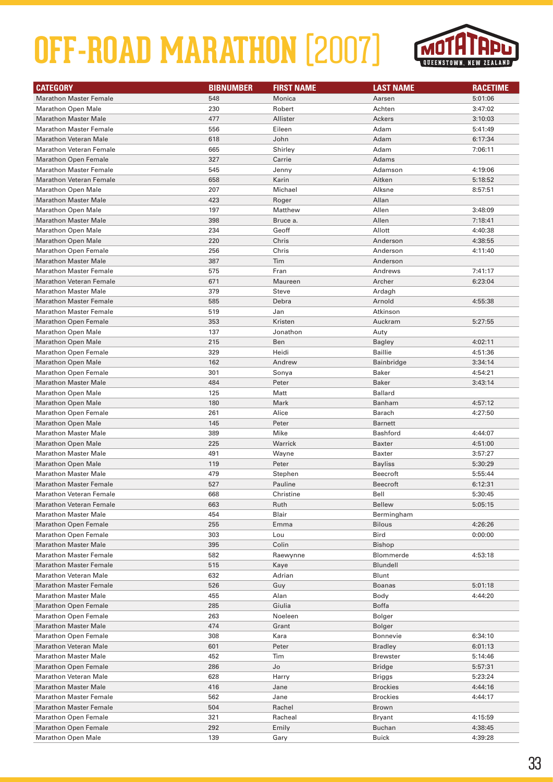

| <b>CATEGORY</b>                | <b>BIBNUMBER</b> | <b>FIRST NAME</b> | <b>LAST NAME</b> | <b>RACETIME</b> |
|--------------------------------|------------------|-------------------|------------------|-----------------|
| <b>Marathon Master Female</b>  | 548              | Monica            | Aarsen           | 5:01:06         |
| <b>Marathon Open Male</b>      | 230              | Robert            | Achten           | 3:47:02         |
| <b>Marathon Master Male</b>    | 477              | Allister          | Ackers           | 3:10:03         |
| <b>Marathon Master Female</b>  | 556              | Eileen            | Adam             | 5:41:49         |
| <b>Marathon Veteran Male</b>   | 618              | John              | Adam             | 6:17:34         |
| <b>Marathon Veteran Female</b> | 665              | Shirley           | Adam             | 7:06:11         |
| <b>Marathon Open Female</b>    | 327              | Carrie            | Adams            |                 |
| <b>Marathon Master Female</b>  | 545              | Jenny             | Adamson          | 4:19:06         |
| <b>Marathon Veteran Female</b> | 658              | Karin             | Aitken           | 5:18:52         |
| <b>Marathon Open Male</b>      | 207              | Michael           | Alksne           | 8:57:51         |
| <b>Marathon Master Male</b>    | 423              | Roger             | Allan            |                 |
| <b>Marathon Open Male</b>      | 197              | Matthew           | Allen            | 3:48:09         |
| <b>Marathon Master Male</b>    | 398              | Bruce a.          | Allen            | 7:18:41         |
| <b>Marathon Open Male</b>      | 234              | Geoff             | Allott           | 4:40:38         |
| <b>Marathon Open Male</b>      | 220              | Chris             | Anderson         | 4:38:55         |
| <b>Marathon Open Female</b>    | 256              | Chris             | Anderson         | 4:11:40         |
| <b>Marathon Master Male</b>    | 387              | Tim               | Anderson         |                 |
| <b>Marathon Master Female</b>  | 575              | Fran              | Andrews          | 7:41:17         |
| <b>Marathon Veteran Female</b> | 671              | Maureen           | Archer           | 6:23:04         |
| <b>Marathon Master Male</b>    | 379              | Steve             | Ardagh           |                 |
| <b>Marathon Master Female</b>  | 585              | Debra             | Arnold           | 4:55:38         |
| <b>Marathon Master Female</b>  | 519              | Jan               | Atkinson         |                 |
| <b>Marathon Open Female</b>    | 353              | Kristen           | Auckram          | 5:27:55         |
| <b>Marathon Open Male</b>      | 137              | Jonathon          | Auty             |                 |
| <b>Marathon Open Male</b>      | 215              | Ben               | <b>Bagley</b>    | 4:02:11         |
| <b>Marathon Open Female</b>    | 329              | Heidi             | <b>Baillie</b>   | 4:51:36         |
| <b>Marathon Open Male</b>      | 162              | Andrew            | Bainbridge       | 3:34:14         |
| <b>Marathon Open Female</b>    | 301              | Sonya             | <b>Baker</b>     | 4:54:21         |
| <b>Marathon Master Male</b>    | 484              | Peter             | <b>Baker</b>     | 3:43:14         |
| <b>Marathon Open Male</b>      | 125              | Matt              | <b>Ballard</b>   |                 |
| <b>Marathon Open Male</b>      | 180              | Mark              | Banham           | 4:57:12         |
| Marathon Open Female           | 261              | Alice             | Barach           | 4:27:50         |
| <b>Marathon Open Male</b>      | 145              | Peter             | <b>Barnett</b>   |                 |
| <b>Marathon Master Male</b>    | 389              | Mike              | Bashford         | 4:44:07         |
| <b>Marathon Open Male</b>      | 225              | Warrick           | <b>Baxter</b>    | 4:51:00         |
| <b>Marathon Master Male</b>    | 491              | Wayne             | Baxter           | 3:57:27         |
| <b>Marathon Open Male</b>      | 119              | Peter             | <b>Bayliss</b>   | 5:30:29         |
| <b>Marathon Master Male</b>    | 479              | Stephen           | <b>Beecroft</b>  | 5:55:44         |
| <b>Marathon Master Female</b>  | 527              | Pauline           | <b>Beecroft</b>  | 6:12:31         |
| <b>Marathon Veteran Female</b> | 668              | Christine         | Bell             | 5:30:45         |
| <b>Marathon Veteran Female</b> | 663              | Ruth              | <b>Bellew</b>    | 5:05:15         |
| <b>Marathon Master Male</b>    | 454              | Blair             | Bermingham       |                 |
| <b>Marathon Open Female</b>    | 255              | Emma              | <b>Bilous</b>    | 4:26:26         |
| <b>Marathon Open Female</b>    | 303              | Lou               | Bird             | 0:00:00         |
| <b>Marathon Master Male</b>    | 395              | Colin             | <b>Bishop</b>    |                 |
| <b>Marathon Master Female</b>  | 582              | Raewynne          | Blommerde        | 4:53:18         |
| <b>Marathon Master Female</b>  | 515              | Kaye              | Blundell         |                 |
| <b>Marathon Veteran Male</b>   | 632              | Adrian            | <b>Blunt</b>     |                 |
| <b>Marathon Master Female</b>  | 526              | Guy               | <b>Boanas</b>    | 5:01:18         |
| <b>Marathon Master Male</b>    | 455              | Alan              | Body             | 4:44:20         |
| <b>Marathon Open Female</b>    | 285              | Giulia            | <b>Boffa</b>     |                 |
| <b>Marathon Open Female</b>    | 263              | Noeleen           | Bolger           |                 |
| <b>Marathon Master Male</b>    | 474              | Grant             | Bolger           |                 |
| <b>Marathon Open Female</b>    | 308              | Kara              | Bonnevie         | 6:34:10         |
| <b>Marathon Veteran Male</b>   | 601              | Peter             | <b>Bradley</b>   | 6:01:13         |
| <b>Marathon Master Male</b>    | 452              | Tim               | <b>Brewster</b>  | 5:14:46         |
| <b>Marathon Open Female</b>    | 286              | Jo                | <b>Bridge</b>    | 5:57:31         |
| <b>Marathon Veteran Male</b>   | 628              | Harry             | Briggs           | 5:23:24         |
| <b>Marathon Master Male</b>    | 416              | Jane              | <b>Brockies</b>  | 4:44:16         |
| <b>Marathon Master Female</b>  | 562              | Jane              | <b>Brockies</b>  | 4:44:17         |
| <b>Marathon Master Female</b>  | 504              | Rachel            | Brown            |                 |
| <b>Marathon Open Female</b>    | 321              | Racheal           | <b>Bryant</b>    | 4:15:59         |
| <b>Marathon Open Female</b>    | 292              | Emily             | Buchan           | 4:38:45         |
| <b>Marathon Open Male</b>      | 139              | Gary              | <b>Buick</b>     | 4:39:28         |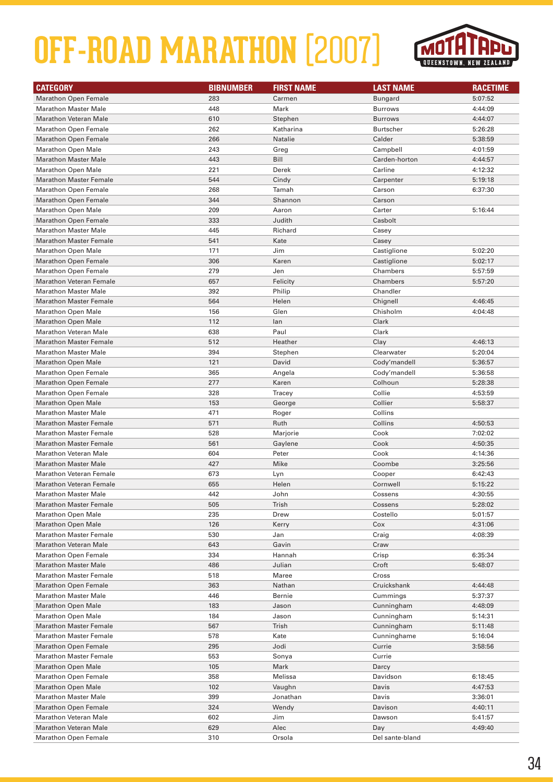

| <b>CATEGORY</b>                | <b>BIBNUMBER</b> | <b>FIRST NAME</b> | <b>LAST NAME</b> | <b>RACETIME</b> |
|--------------------------------|------------------|-------------------|------------------|-----------------|
| <b>Marathon Open Female</b>    | 283              | Carmen            | <b>Bungard</b>   | 5:07:52         |
| <b>Marathon Master Male</b>    | 448              | Mark              | <b>Burrows</b>   | 4:44:09         |
| <b>Marathon Veteran Male</b>   | 610              | Stephen           | <b>Burrows</b>   | 4:44:07         |
| <b>Marathon Open Female</b>    | 262              | Katharina         | <b>Burtscher</b> | 5:26:28         |
| <b>Marathon Open Female</b>    | 266              | Natalie           | Calder           | 5:38:59         |
| <b>Marathon Open Male</b>      | 243              | Greg              | Campbell         | 4:01:59         |
| <b>Marathon Master Male</b>    | 443              | Bill              | Carden-horton    | 4:44:57         |
| <b>Marathon Open Male</b>      | 221              | Derek             | Carline          | 4:12:32         |
| <b>Marathon Master Female</b>  | 544              | Cindy             | Carpenter        | 5:19:18         |
| <b>Marathon Open Female</b>    | 268              | Tamah             | Carson           | 6:37:30         |
| <b>Marathon Open Female</b>    | 344              | Shannon           | Carson           |                 |
| <b>Marathon Open Male</b>      | 209              | Aaron             | Carter           | 5:16:44         |
| <b>Marathon Open Female</b>    | 333              | Judith            | Casbolt          |                 |
| <b>Marathon Master Male</b>    | 445              | Richard           | Casey            |                 |
| <b>Marathon Master Female</b>  | 541              | Kate              | Casey            |                 |
| <b>Marathon Open Male</b>      | 171              | Jim               | Castiglione      | 5:02:20         |
| <b>Marathon Open Female</b>    | 306              | Karen             | Castiglione      | 5:02:17         |
| <b>Marathon Open Female</b>    | 279              | Jen               | Chambers         | 5:57:59         |
| <b>Marathon Veteran Female</b> | 657              | Felicity          | Chambers         | 5:57:20         |
| <b>Marathon Master Male</b>    | 392              | Philip            | Chandler         |                 |
| <b>Marathon Master Female</b>  | 564              | Helen             | Chignell         | 4:46:45         |
| <b>Marathon Open Male</b>      | 156              | Glen              | Chisholm         | 4:04:48         |
| <b>Marathon Open Male</b>      | 112              | lan               | Clark            |                 |
| <b>Marathon Veteran Male</b>   | 638              | Paul              | Clark            |                 |
| <b>Marathon Master Female</b>  | 512              | Heather           | Clay             | 4:46:13         |
| <b>Marathon Master Male</b>    | 394              | Stephen           | Clearwater       | 5:20:04         |
| <b>Marathon Open Male</b>      | 121              | David             | Cody'mandell     | 5:36:57         |
| <b>Marathon Open Female</b>    | 365              | Angela            | Cody'mandell     | 5:36:58         |
| <b>Marathon Open Female</b>    | 277              | Karen             | Colhoun          | 5:28:38         |
| <b>Marathon Open Female</b>    | 328              | Tracey            | Collie           | 4:53:59         |
| <b>Marathon Open Male</b>      | 153              | George            | Collier          | 5:58:37         |
| <b>Marathon Master Male</b>    | 471              | Roger             | Collins          |                 |
| <b>Marathon Master Female</b>  | 571              | Ruth              | Collins          | 4:50:53         |
| <b>Marathon Master Female</b>  | 528              | Marjorie          | Cook             | 7:02:02         |
| <b>Marathon Master Female</b>  | 561              | Gaylene           | Cook             | 4:50:35         |
| <b>Marathon Veteran Male</b>   | 604              | Peter             | Cook             | 4:14:36         |
| <b>Marathon Master Male</b>    | 427              | Mike              | Coombe           | 3:25:56         |
| <b>Marathon Veteran Female</b> | 673              | Lyn               | Cooper           | 6:42:43         |
| <b>Marathon Veteran Female</b> | 655              | Helen             | Cornwell         | 5:15:22         |
| <b>Marathon Master Male</b>    | 442              | John              | Cossens          | 4:30:55         |
| <b>Marathon Master Female</b>  | 505              | Trish             | Cossens          | 5:28:02         |
| <b>Marathon Open Male</b>      | 235              | Drew              | Costello         | 5:01:57         |
| <b>Marathon Open Male</b>      | 126              | Kerry             | Cox              | 4:31:06         |
| <b>Marathon Master Female</b>  | 530              | Jan               | Craig            | 4:08:39         |
| <b>Marathon Veteran Male</b>   | 643              | Gavin             | Craw             |                 |
| <b>Marathon Open Female</b>    | 334              | Hannah            | Crisp            | 6:35:34         |
| <b>Marathon Master Male</b>    | 486              | Julian            | Croft            | 5:48:07         |
| <b>Marathon Master Female</b>  | 518              | Maree             | Cross            |                 |
| <b>Marathon Open Female</b>    | 363              | Nathan            | Cruickshank      | 4:44:48         |
| <b>Marathon Master Male</b>    | 446              | Bernie            | Cummings         | 5:37:37         |
| <b>Marathon Open Male</b>      | 183              | Jason             | Cunningham       | 4:48:09         |
| <b>Marathon Open Male</b>      | 184              | Jason             | Cunningham       | 5:14:31         |
| <b>Marathon Master Female</b>  | 567              | Trish             | Cunningham       | 5:11:48         |
| <b>Marathon Master Female</b>  | 578              | Kate              | Cunninghame      | 5:16:04         |
| <b>Marathon Open Female</b>    | 295              | Jodi              | Currie           | 3:58:56         |
| <b>Marathon Master Female</b>  | 553              | Sonya             | Currie           |                 |
| <b>Marathon Open Male</b>      | 105              | Mark              | Darcy            |                 |
| <b>Marathon Open Female</b>    | 358              | Melissa           | Davidson         | 6:18:45         |
| <b>Marathon Open Male</b>      | 102              | Vaughn            | Davis            | 4:47:53         |
| <b>Marathon Master Male</b>    | 399              | Jonathan          | Davis            | 3:36:01         |
| <b>Marathon Open Female</b>    | 324              | Wendy             | Davison          | 4:40:11         |
| <b>Marathon Veteran Male</b>   | 602              | Jim               | Dawson           | 5:41:57         |
| <b>Marathon Veteran Male</b>   | 629              | Alec              | Day              | 4:49:40         |
| <b>Marathon Open Female</b>    | 310              | Orsola            | Del sante-bland  |                 |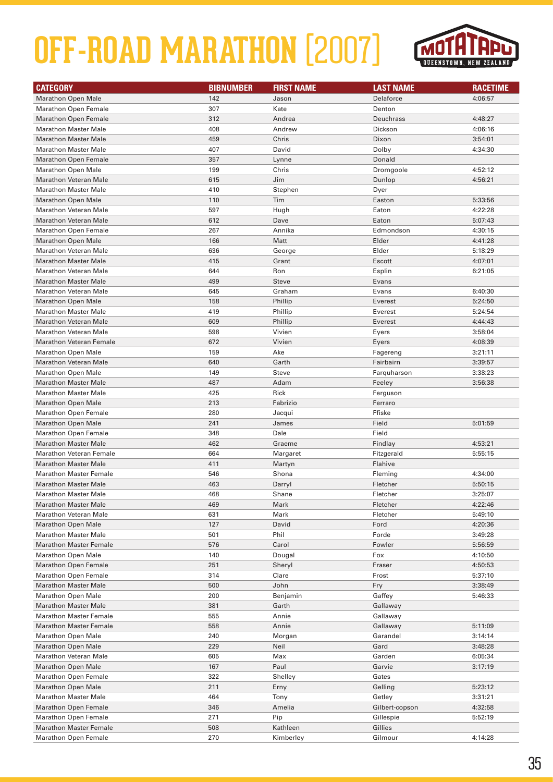

| <b>CATEGORY</b>                | <b>BIBNUMBER</b> | <b>FIRST NAME</b> | <b>LAST NAME</b> | <b>RACETIME</b> |
|--------------------------------|------------------|-------------------|------------------|-----------------|
| <b>Marathon Open Male</b>      | 142              | Jason             | Delaforce        | 4:06:57         |
| <b>Marathon Open Female</b>    | 307              | Kate              | Denton           |                 |
| <b>Marathon Open Female</b>    | 312              | Andrea            | Deuchrass        | 4:48:27         |
| <b>Marathon Master Male</b>    | 408              | Andrew            | Dickson          | 4:06:16         |
| <b>Marathon Master Male</b>    | 459              | Chris             | Dixon            | 3:54:01         |
| <b>Marathon Master Male</b>    | 407              | David             | Dolby            | 4:34:30         |
| <b>Marathon Open Female</b>    | 357              | Lynne             | Donald           |                 |
| <b>Marathon Open Male</b>      | 199              | Chris             | Dromgoole        | 4:52:12         |
| <b>Marathon Veteran Male</b>   | 615              | Jim               | Dunlop           | 4:56:21         |
| <b>Marathon Master Male</b>    | 410              | Stephen           | Dyer             |                 |
| <b>Marathon Open Male</b>      | 110              | Tim               | Easton           | 5:33:56         |
| <b>Marathon Veteran Male</b>   | 597              | Hugh              | Eaton            | 4:22:28         |
| <b>Marathon Veteran Male</b>   | 612              | Dave              | Eaton            | 5:07:43         |
| <b>Marathon Open Female</b>    | 267              | Annika            | Edmondson        | 4:30:15         |
| <b>Marathon Open Male</b>      | 166              | Matt              | Elder            | 4:41:28         |
| <b>Marathon Veteran Male</b>   | 636              | George            | Elder            | 5:18:29         |
| <b>Marathon Master Male</b>    | 415              | Grant             | Escott           | 4:07:01         |
| <b>Marathon Veteran Male</b>   | 644              | Ron               | Esplin           | 6:21:05         |
| <b>Marathon Master Male</b>    | 499              | <b>Steve</b>      | Evans            |                 |
| Marathon Veteran Male          | 645              | Graham            | Evans            | 6:40:30         |
| <b>Marathon Open Male</b>      | 158              | Phillip           | Everest          | 5:24:50         |
| <b>Marathon Master Male</b>    | 419              | Phillip           | Everest          | 5:24:54         |
| Marathon Veteran Male          | 609              | Phillip           | Everest          | 4:44:43         |
| <b>Marathon Veteran Male</b>   | 598              | Vivien            | Eyers            | 3:58:04         |
| <b>Marathon Veteran Female</b> | 672              | Vivien            | Eyers            | 4:08:39         |
| <b>Marathon Open Male</b>      | 159              | Ake               | Fagereng         | 3:21:11         |
| <b>Marathon Veteran Male</b>   | 640              | Garth             | Fairbairn        | 3:39:57         |
| <b>Marathon Open Male</b>      | 149              | <b>Steve</b>      | Farquharson      | 3:38:23         |
| <b>Marathon Master Male</b>    | 487              | Adam              | Feeley           | 3:56:38         |
| <b>Marathon Master Male</b>    | 425              | Rick              | Ferguson         |                 |
| <b>Marathon Open Male</b>      | 213              | Fabrizio          | Ferraro          |                 |
| <b>Marathon Open Female</b>    | 280              | Jacqui            | Ffiske           |                 |
| <b>Marathon Open Male</b>      | 241              | James             | Field            | 5:01:59         |
| <b>Marathon Open Female</b>    | 348              | Dale              | Field            |                 |
| <b>Marathon Master Male</b>    | 462              | Graeme            | Findlay          | 4:53:21         |
| <b>Marathon Veteran Female</b> | 664              | Margaret          | Fitzgerald       | 5:55:15         |
| <b>Marathon Master Male</b>    | 411              | Martyn            | Flahive          |                 |
| <b>Marathon Master Female</b>  | 546              | Shona             | Fleming          | 4:34:00         |
| <b>Marathon Master Male</b>    | 463              | Darryl            | Fletcher         | 5:50:15         |
| <b>Marathon Master Male</b>    | 468              | Shane             | Fletcher         | 3:25:07         |
| <b>Marathon Master Male</b>    | 469              | Mark              | Fletcher         | 4:22:46         |
| <b>Marathon Veteran Male</b>   | 631              | Mark              | Fletcher         | 5:49:10         |
| <b>Marathon Open Male</b>      | 127              | David             | Ford             | 4:20:36         |
| <b>Marathon Master Male</b>    | 501              | Phil              | Forde            | 3:49:28         |
| <b>Marathon Master Female</b>  | 576              | Carol             | Fowler           | 5:56:59         |
| <b>Marathon Open Male</b>      | 140              | Dougal            | Fox              | 4:10:50         |
| <b>Marathon Open Female</b>    | 251              | Sheryl            | Fraser           | 4:50:53         |
| <b>Marathon Open Female</b>    | 314              | Clare             | Frost            | 5:37:10         |
| <b>Marathon Master Male</b>    | 500              | John              | Fry              | 3:38:49         |
| <b>Marathon Open Male</b>      | 200              | Benjamin          | Gaffey           | 5:46:33         |
| <b>Marathon Master Male</b>    | 381              | Garth             | Gallaway         |                 |
| <b>Marathon Master Female</b>  | 555              | Annie             | Gallaway         |                 |
| <b>Marathon Master Female</b>  | 558              | Annie             | Gallaway         | 5:11:09         |
| <b>Marathon Open Male</b>      | 240              | Morgan            | Garandel         | 3:14:14         |
| <b>Marathon Open Male</b>      | 229              | Neil              | Gard             | 3:48:28         |
| <b>Marathon Veteran Male</b>   | 605              | Max               | Garden           | 6:05:34         |
| <b>Marathon Open Male</b>      | 167              | Paul              | Garvie           | 3:17:19         |
| <b>Marathon Open Female</b>    | 322              | Shelley           | Gates            |                 |
| <b>Marathon Open Male</b>      | 211              | Erny              | Gelling          | 5:23:12         |
| <b>Marathon Master Male</b>    | 464              | Tony              | Getley           | 3:31:21         |
| <b>Marathon Open Female</b>    | 346              | Amelia            | Gilbert-copson   | 4:32:58         |
| <b>Marathon Open Female</b>    | 271              | Pip               | Gillespie        | 5:52:19         |
| <b>Marathon Master Female</b>  | 508              | Kathleen          | Gillies          |                 |
| <b>Marathon Open Female</b>    | 270              | Kimberley         | Gilmour          | 4:14:28         |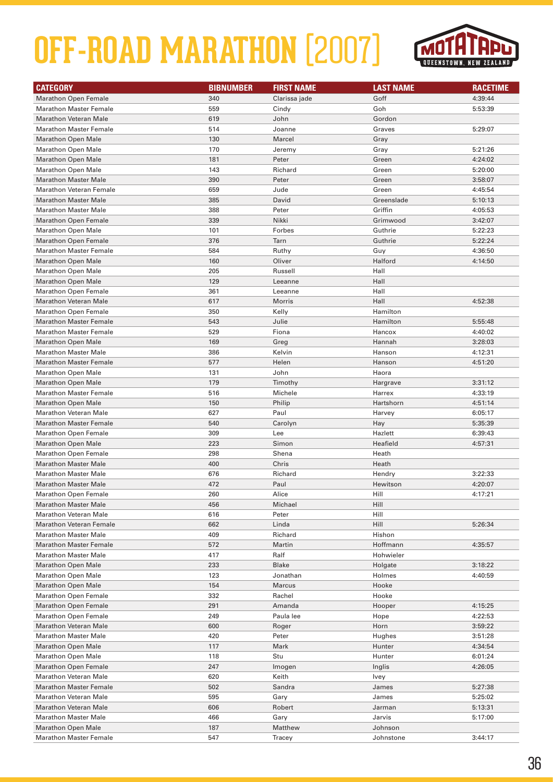

| <b>CATEGORY</b>                                             | <b>BIBNUMBER</b> | <b>FIRST NAME</b> | <b>LAST NAME</b> | <b>RACETIME</b>    |
|-------------------------------------------------------------|------------------|-------------------|------------------|--------------------|
| <b>Marathon Open Female</b>                                 | 340              | Clarissa jade     | Goff             | 4:39:44            |
| <b>Marathon Master Female</b>                               | 559              | Cindy             | Goh              | 5:53:39            |
| <b>Marathon Veteran Male</b>                                | 619              | John              | Gordon           |                    |
| <b>Marathon Master Female</b>                               | 514              | Joanne            | Graves           | 5:29:07            |
| <b>Marathon Open Male</b>                                   | 130              | Marcel            | Gray             |                    |
| <b>Marathon Open Male</b>                                   | 170              | Jeremy            | Gray             | 5:21:26            |
| <b>Marathon Open Male</b>                                   | 181              | Peter             | Green            | 4:24:02            |
| <b>Marathon Open Male</b>                                   | 143              | Richard           | Green            | 5:20:00            |
| <b>Marathon Master Male</b>                                 | 390              | Peter             | Green            | 3:58:07            |
| <b>Marathon Veteran Female</b>                              | 659              | Jude              | Green            | 4:45:54            |
| <b>Marathon Master Male</b>                                 | 385              | David             | Greenslade       | 5:10:13            |
| <b>Marathon Master Male</b>                                 | 388              | Peter             | Griffin          | 4:05:53            |
| <b>Marathon Open Female</b>                                 | 339              | Nikki             | Grimwood         | 3:42:07            |
| <b>Marathon Open Male</b>                                   | 101              | Forbes            | Guthrie          | 5:22:23            |
| <b>Marathon Open Female</b>                                 | 376              | Tarn              | Guthrie          | 5:22:24            |
| <b>Marathon Master Female</b>                               | 584              | Ruthy             | Guy              | 4:36:50            |
| <b>Marathon Open Male</b>                                   | 160              | Oliver            | Halford          | 4:14:50            |
| <b>Marathon Open Male</b>                                   | 205              | Russell           | Hall             |                    |
| <b>Marathon Open Male</b>                                   | 129              | Leeanne           | Hall             |                    |
| <b>Marathon Open Female</b>                                 | 361              | Leeanne           | Hall             |                    |
| <b>Marathon Veteran Male</b>                                | 617              | Morris            | Hall             | 4:52:38            |
| <b>Marathon Open Female</b>                                 | 350              | Kelly             | Hamilton         |                    |
| <b>Marathon Master Female</b>                               | 543              | Julie             | Hamilton         | 5:55:48            |
| <b>Marathon Master Female</b>                               | 529              | Fiona             | Hancox           | 4:40:02            |
| <b>Marathon Open Male</b>                                   | 169              | Greg              | Hannah           | 3:28:03            |
| <b>Marathon Master Male</b>                                 | 386              | Kelvin            | Hanson           | 4:12:31            |
| <b>Marathon Master Female</b>                               | 577              | Helen             | Hanson           | 4:51:20            |
| <b>Marathon Open Male</b>                                   | 131              | John              | Haora            |                    |
| <b>Marathon Open Male</b>                                   | 179              | Timothy           | Hargrave         | 3:31:12            |
| <b>Marathon Master Female</b>                               | 516              | Michele           | Harrex           | 4:33:19            |
| <b>Marathon Open Male</b>                                   | 150              | Philip            | Hartshorn        | 4:51:14            |
| <b>Marathon Veteran Male</b>                                | 627              | Paul              | Harvey           | 6:05:17            |
| <b>Marathon Master Female</b>                               | 540              | Carolyn           | Hay              | 5:35:39            |
| <b>Marathon Open Female</b>                                 | 309              | Lee               | Hazlett          | 6:39:43            |
| <b>Marathon Open Male</b>                                   | 223              | Simon             | Heafield         | 4:57:31            |
| <b>Marathon Open Female</b>                                 | 298              | Shena             | Heath            |                    |
| <b>Marathon Master Male</b>                                 | 400              | Chris             | Heath            |                    |
| <b>Marathon Master Male</b><br><b>Marathon Master Male</b>  | 676<br>472       | Richard<br>Paul   | Hendry           | 3:22:33            |
| <b>Marathon Open Female</b>                                 | 260              | Alice             | Hewitson<br>Hill | 4:20:07<br>4:17:21 |
|                                                             |                  |                   | Hill             |                    |
| <b>Marathon Master Male</b><br><b>Marathon Veteran Male</b> | 456<br>616       | Michael<br>Peter  | Hill             |                    |
| <b>Marathon Veteran Female</b>                              | 662              | Linda             | Hill             | 5:26:34            |
| <b>Marathon Master Male</b>                                 | 409              | Richard           | Hishon           |                    |
| <b>Marathon Master Female</b>                               | 572              | Martin            | Hoffmann         | 4:35:57            |
| <b>Marathon Master Male</b>                                 | 417              | Ralf              | Hohwieler        |                    |
| <b>Marathon Open Male</b>                                   | 233              | <b>Blake</b>      | Holgate          | 3:18:22            |
| <b>Marathon Open Male</b>                                   | 123              | Jonathan          | Holmes           | 4:40:59            |
| <b>Marathon Open Male</b>                                   | 154              | Marcus            | Hooke            |                    |
| <b>Marathon Open Female</b>                                 | 332              | Rachel            | Hooke            |                    |
| <b>Marathon Open Female</b>                                 | 291              | Amanda            | Hooper           | 4:15:25            |
| <b>Marathon Open Female</b>                                 | 249              | Paula lee         | Hope             | 4:22:53            |
| <b>Marathon Veteran Male</b>                                | 600              | Roger             | Horn             | 3:59:22            |
| <b>Marathon Master Male</b>                                 | 420              | Peter             | Hughes           | 3:51:28            |
| <b>Marathon Open Male</b>                                   | 117              | Mark              | Hunter           | 4:34:54            |
| <b>Marathon Open Male</b>                                   | 118              | Stu               | Hunter           | 6:01:24            |
| <b>Marathon Open Female</b>                                 | 247              | Imogen            | Inglis           | 4:26:05            |
| <b>Marathon Veteran Male</b>                                | 620              | Keith             | Ivey             |                    |
| <b>Marathon Master Female</b>                               | 502              | Sandra            | James            | 5:27:38            |
| <b>Marathon Veteran Male</b>                                | 595              | Gary              | James            | 5:25:02            |
| <b>Marathon Veteran Male</b>                                | 606              | Robert            | Jarman           | 5:13:31            |
| <b>Marathon Master Male</b>                                 | 466              | Gary              | Jarvis           | 5:17:00            |
| <b>Marathon Open Male</b>                                   | 187              | Matthew           | Johnson          |                    |
| <b>Marathon Master Female</b>                               | 547              | Tracey            | Johnstone        | 3:44:17            |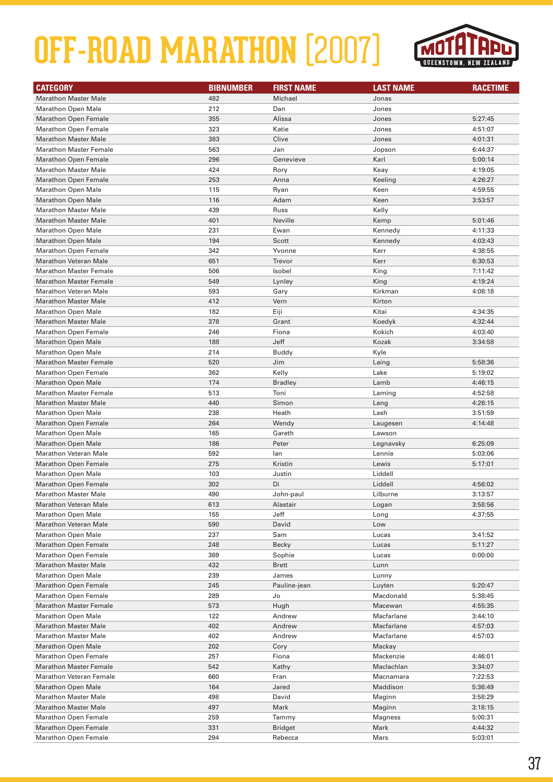

| <b>CATEGORY</b>                                          | <b>BIBNUMBER</b> | <b>FIRST NAME</b> | <b>LAST NAME</b>     | <b>RACETIME</b> |
|----------------------------------------------------------|------------------|-------------------|----------------------|-----------------|
| <b>Marathon Master Male</b>                              | 482              | Michael           | Jonas                |                 |
| <b>Marathon Open Male</b>                                | 212              | Dan               | Jones                |                 |
| <b>Marathon Open Female</b>                              | 355              | Alissa            | Jones                | 5:27:45         |
| <b>Marathon Open Female</b>                              | 323              | Katie             | Jones                | 4:51:07         |
| <b>Marathon Master Male</b>                              | 383              | Clive             | Jones                | 4:01:31         |
| <b>Marathon Master Female</b>                            | 563              | Jan               | Jopson               | 6:44:37         |
| <b>Marathon Open Female</b>                              | 296              | Genevieve         | Karl                 | 5:00:14         |
| <b>Marathon Master Male</b>                              | 424              | Rory              | Keay                 | 4:19:05         |
| <b>Marathon Open Female</b>                              | 253              | Anna              | Keeling              | 4:26:27         |
| <b>Marathon Open Male</b>                                | 115              | Ryan              | Keen                 | 4:59:55         |
| <b>Marathon Open Male</b>                                | 116              | Adam              | Keen                 | 3:53:57         |
| <b>Marathon Master Male</b>                              | 439              | Russ              | Kelly                |                 |
| <b>Marathon Master Male</b>                              | 401              | Neville           | Kemp                 | 5:01:46         |
| <b>Marathon Open Male</b>                                | 231              | Ewan              | Kennedy              | 4:11:33         |
| <b>Marathon Open Male</b>                                | 194              | Scott             | Kennedy              | 4:03:43         |
| <b>Marathon Open Female</b>                              | 342              | Yvonne            | Kerr                 | 4:38:55         |
| <b>Marathon Veteran Male</b>                             | 651              | Trevor            | Kerr                 | 6:30:53         |
| <b>Marathon Master Female</b>                            | 506              | Isobel            | King                 | 7:11:42         |
| <b>Marathon Master Female</b>                            | 549              | Lynley            | King                 | 4:19:24         |
| <b>Marathon Veteran Male</b>                             | 593              | Gary              | Kirkman              | 4:08:18         |
| <b>Marathon Master Male</b>                              | 412              | Vern              | Kirton               |                 |
| <b>Marathon Open Male</b>                                | 182              | Eiji              | Kitai                | 4:34:35         |
| <b>Marathon Master Male</b>                              | 378              | Grant             | Koedyk               | 4:32:44         |
| <b>Marathon Open Female</b>                              | 246              | Fiona             | Kokich               | 4:03:40         |
| <b>Marathon Open Male</b>                                | 188              | Jeff              | Kozak                | 3:34:58         |
| <b>Marathon Open Male</b>                                | 214              | <b>Buddy</b>      | Kyle                 |                 |
| <b>Marathon Master Female</b>                            | 520              | Jim               | Laing                | 5:58:36         |
| <b>Marathon Open Female</b>                              | 362              | Kelly             | Lake                 | 5:19:02         |
| <b>Marathon Open Male</b>                                | 174              | <b>Bradley</b>    | Lamb                 | 4:46:15         |
| <b>Marathon Master Female</b>                            | 513              | Toni              | Laming               | 4:52:58         |
| <b>Marathon Master Male</b>                              | 440              | Simon             | Lang                 | 4:26:15         |
| <b>Marathon Open Male</b>                                | 238              | Heath             | Lash                 | 3:51:59         |
| <b>Marathon Open Female</b>                              | 264              | Wendy             | Laugesen             | 4:14:48         |
| <b>Marathon Open Male</b>                                | 165              | Gareth            | Lawson               |                 |
| <b>Marathon Open Male</b>                                | 186              | Peter             | Legnavsky            | 6:25:09         |
| <b>Marathon Veteran Male</b>                             | 592              | lan               | Lennie               | 5:03:06         |
| <b>Marathon Open Female</b>                              | 275              | Kristin           | Lewis                | 5:17:01         |
| <b>Marathon Open Male</b>                                | 103              | Justin            | Liddell              |                 |
| <b>Marathon Open Female</b>                              | 302              | Di                | Liddell              | 4:56:02         |
| <b>Marathon Master Male</b>                              | 490              | John-paul         | Lilburne             | 3:13:57         |
| <b>Marathon Veteran Male</b>                             | 613              | Alastair          | Logan                | 3:58:56         |
| <b>Marathon Open Male</b>                                | 155              | Jeff              | Long                 | 4:37:55         |
| <b>Marathon Veteran Male</b>                             | 590              | David             | Low                  |                 |
| <b>Marathon Open Male</b>                                | 237              | Sam               | Lucas                | 3:41:52         |
| <b>Marathon Open Female</b>                              | 248              | Becky             | Lucas                | 5:11:27         |
| <b>Marathon Open Female</b>                              | 369              | Sophie            | Lucas                | 0:00:00         |
| <b>Marathon Master Male</b>                              | 432              | Brett             | Lunn                 |                 |
| <b>Marathon Open Male</b>                                | 239              | James             | Lunny                |                 |
| <b>Marathon Open Female</b>                              | 245              | Pauline-jean      | Luyten               | 5:20:47         |
| <b>Marathon Open Female</b>                              | 289              | Jo                | Macdonald            | 5:38:45         |
| <b>Marathon Master Female</b>                            | 573              | Hugh              | Macewan              | 4:55:35         |
| <b>Marathon Open Male</b>                                | 122              | Andrew            | Macfarlane           | 3:44:10         |
| <b>Marathon Master Male</b>                              | 402              | Andrew            | Macfarlane           | 4:57:03         |
| <b>Marathon Master Male</b><br><b>Marathon Open Male</b> | 402<br>202       | Andrew<br>Cory    | Macfarlane<br>Mackay | 4:57:03         |
| <b>Marathon Open Female</b>                              | 257              | Fiona             | Mackenzie            | 4:46:01         |
| <b>Marathon Master Female</b>                            | 542              | Kathy             | Maclachlan           | 3:34:07         |
| <b>Marathon Veteran Female</b>                           | 660              | Fran              | Macnamara            | 7:22:53         |
| <b>Marathon Open Male</b>                                | 164              | Jared             | Maddison             | 5:36:49         |
| <b>Marathon Master Male</b>                              | 498              | David             | Maginn               | 3:58:29         |
| <b>Marathon Master Male</b>                              | 497              | Mark              | Maginn               | 3:18:15         |
| <b>Marathon Open Female</b>                              | 259              | Tammy             | Magness              | 5:00:31         |
| <b>Marathon Open Female</b>                              | 331              | Bridget           | Mark                 | 4:44:32         |
| <b>Marathon Open Female</b>                              | 294              | Rebecca           | Mars                 | 5:03:01         |
|                                                          |                  |                   |                      |                 |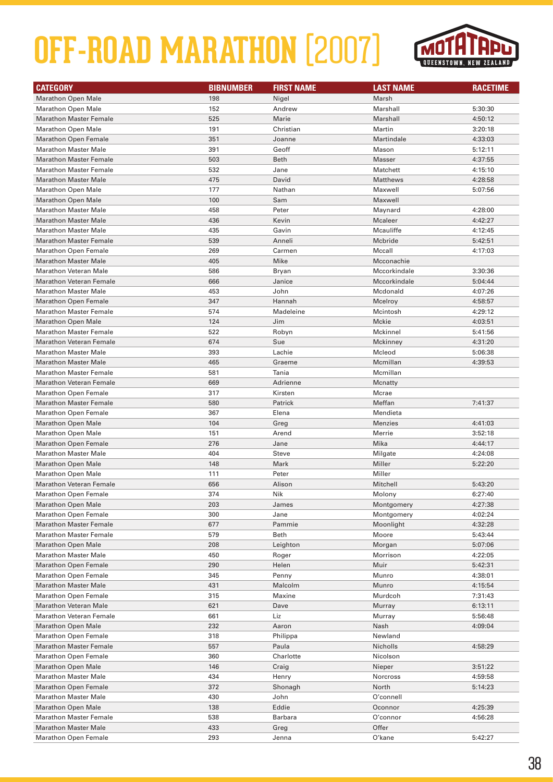

| <b>CATEGORY</b>                                              | <b>BIBNUMBER</b> | <b>FIRST NAME</b> | <b>LAST NAME</b>  | <b>RACETIME</b>    |
|--------------------------------------------------------------|------------------|-------------------|-------------------|--------------------|
| <b>Marathon Open Male</b>                                    | 198              | Nigel             | Marsh             |                    |
| <b>Marathon Open Male</b>                                    | 152              | Andrew            | Marshall          | 5:30:30            |
| <b>Marathon Master Female</b>                                | 525              | Marie             | Marshall          | 4:50:12            |
| <b>Marathon Open Male</b>                                    | 191              | Christian         | Martin            | 3:20:18            |
| <b>Marathon Open Female</b>                                  | 351              | Joanne            | Martindale        | 4:33:03            |
| <b>Marathon Master Male</b>                                  | 391              | Geoff             | Mason             | 5:12:11            |
| <b>Marathon Master Female</b>                                | 503              | Beth              | <b>Masser</b>     | 4:37:55            |
| <b>Marathon Master Female</b>                                | 532              | Jane              | Matchett          | 4:15:10            |
| <b>Marathon Master Male</b>                                  | 475              | David             | <b>Matthews</b>   | 4:28:58            |
| <b>Marathon Open Male</b>                                    | 177              | Nathan            | Maxwell           | 5:07:56            |
| <b>Marathon Open Male</b>                                    | 100              | Sam               | Maxwell           |                    |
| <b>Marathon Master Male</b>                                  | 458              | Peter             | Maynard           | 4:28:00            |
| <b>Marathon Master Male</b>                                  | 436              | Kevin             | <b>Mcaleer</b>    | 4:42:27            |
| <b>Marathon Master Male</b>                                  | 435              | Gavin             | Mcauliffe         | 4:12:45            |
| <b>Marathon Master Female</b>                                | 539              | Anneli            | Mcbride           | 5:42:51            |
| <b>Marathon Open Female</b>                                  | 269              | Carmen            | Mccall            | 4:17:03            |
| <b>Marathon Master Male</b>                                  | 405              | Mike              | Mcconachie        |                    |
| Marathon Veteran Male                                        | 586              | Bryan             | Mccorkindale      | 3:30:36            |
| <b>Marathon Veteran Female</b>                               | 666              | Janice            | Mccorkindale      | 5:04:44            |
| <b>Marathon Master Male</b>                                  | 453              | John              | Mcdonald          | 4:07:26            |
| <b>Marathon Open Female</b>                                  | 347              | Hannah            | Mcelroy           | 4:58:57            |
| <b>Marathon Master Female</b>                                | 574              | Madeleine         | Mcintosh          | 4:29:12            |
| <b>Marathon Open Male</b>                                    | 124              | Jim               | Mckie             | 4:03:51            |
| <b>Marathon Master Female</b>                                | 522              | Robyn             | Mckinnel          | 5:41:56            |
| Marathon Veteran Female                                      | 674              | Sue               | Mckinney          | 4:31:20            |
| <b>Marathon Master Male</b>                                  | 393              | Lachie            | Mcleod            | 5:06:38            |
| <b>Marathon Master Male</b>                                  | 465              | Graeme            | Mcmillan          | 4:39:53            |
| <b>Marathon Master Female</b>                                | 581              | Tania             | Mcmillan          |                    |
| <b>Marathon Veteran Female</b>                               | 669              | Adrienne          | Mcnatty           |                    |
| <b>Marathon Open Female</b>                                  | 317              | Kirsten           | Mcrae             |                    |
| <b>Marathon Master Female</b>                                | 580              | Patrick           | Meffan            | 7:41:37            |
| <b>Marathon Open Female</b>                                  | 367              | Elena             | Mendieta          |                    |
| <b>Marathon Open Male</b>                                    | 104              | Greg              | <b>Menzies</b>    | 4:41:03            |
| <b>Marathon Open Male</b>                                    | 151              | Arend             | Merrie            | 3:52:18            |
| <b>Marathon Open Female</b>                                  | 276              | Jane              | Mika              | 4:44:17            |
| <b>Marathon Master Male</b>                                  | 404              | <b>Steve</b>      | Milgate           | 4:24:08            |
| <b>Marathon Open Male</b>                                    | 148              | Mark              | Miller            | 5:22:20            |
| <b>Marathon Open Male</b>                                    | 111              | Peter             | Miller            |                    |
| <b>Marathon Veteran Female</b>                               | 656              | Alison            | Mitchell          | 5:43:20            |
| <b>Marathon Open Female</b>                                  | 374              | Nik               | Molony            | 6:27:40            |
| <b>Marathon Open Male</b>                                    | 203              | James             | Montgomery        | 4:27:38            |
| <b>Marathon Open Female</b>                                  | 300              | Jane              | Montgomery        | 4:02:24            |
| <b>Marathon Master Female</b>                                | 677              | Pammie            | Moonlight         | 4:32:28            |
| <b>Marathon Master Female</b>                                | 579              | Beth              | Moore             | 5:43:44            |
| <b>Marathon Open Male</b>                                    | 208              | Leighton          | Morgan            | 5:07:06            |
| <b>Marathon Master Male</b>                                  | 450              | Roger             | Morrison          | 4:22:05            |
| <b>Marathon Open Female</b>                                  | 290              | Helen             | Muir              | 5:42:31            |
| <b>Marathon Open Female</b>                                  | 345              | Penny             | Munro             | 4:38:01            |
| <b>Marathon Master Male</b>                                  | 431              | Malcolm           | Munro             | 4:15:54            |
| <b>Marathon Open Female</b>                                  | 315              | Maxine            | Murdcoh           | 7:31:43            |
| <b>Marathon Veteran Male</b>                                 | 621              | Dave              | Murray            | 6:13:11            |
| <b>Marathon Veteran Female</b>                               | 661<br>232       | Liz               | Murray            | 5:56:48            |
| <b>Marathon Open Male</b>                                    | 318              | Aaron             | Nash<br>Newland   | 4:09:04            |
| <b>Marathon Open Female</b><br><b>Marathon Master Female</b> | 557              | Philippa<br>Paula | Nicholls          | 4:58:29            |
| <b>Marathon Open Female</b>                                  | 360              | Charlotte         | Nicolson          |                    |
|                                                              |                  |                   |                   |                    |
| <b>Marathon Open Male</b><br><b>Marathon Master Male</b>     | 146              | Craig             | Nieper            | 3:51:22            |
| <b>Marathon Open Female</b>                                  | 434<br>372       | Henry             | Norcross<br>North | 4:59:58<br>5:14:23 |
| <b>Marathon Master Male</b>                                  | 430              | Shonagh<br>John   | O'connell         |                    |
| <b>Marathon Open Male</b>                                    | 138              | Eddie             | Oconnor           | 4:25:39            |
| <b>Marathon Master Female</b>                                | 538              | Barbara           | O'connor          | 4:56:28            |
| <b>Marathon Master Male</b>                                  | 433              | Greg              | Offer             |                    |
| <b>Marathon Open Female</b>                                  | 293              | Jenna             | O'kane            | 5:42:27            |
|                                                              |                  |                   |                   |                    |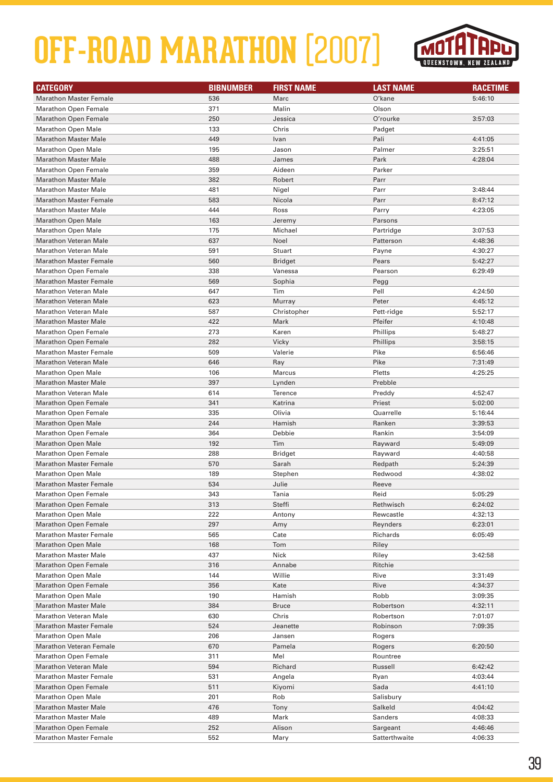

| <b>CATEGORY</b>                                          | <b>BIBNUMBER</b> | <b>FIRST NAME</b>      | <b>LAST NAME</b>      | <b>RACETIME</b>    |
|----------------------------------------------------------|------------------|------------------------|-----------------------|--------------------|
| <b>Marathon Master Female</b>                            | 536              | Marc                   | O'kane                | 5:46:10            |
| <b>Marathon Open Female</b>                              | 371              | Malin                  | Olson                 |                    |
| <b>Marathon Open Female</b>                              | 250              | Jessica                | O'rourke              | 3:57:03            |
| <b>Marathon Open Male</b>                                | 133              | Chris                  | Padget                |                    |
| <b>Marathon Master Male</b>                              | 449              | Ivan                   | Pali                  | 4:41:05            |
| <b>Marathon Open Male</b>                                | 195              | Jason                  | Palmer                | 3:25:51            |
| <b>Marathon Master Male</b>                              | 488              | James                  | Park                  | 4:28:04            |
| <b>Marathon Open Female</b>                              | 359              | Aideen                 | Parker                |                    |
| <b>Marathon Master Male</b>                              | 382              | Robert                 | Parr                  |                    |
| <b>Marathon Master Male</b>                              | 481              | Nigel                  | Parr                  | 3:48:44            |
| <b>Marathon Master Female</b>                            | 583              | Nicola                 | Parr                  | 8:47:12            |
| <b>Marathon Master Male</b>                              | 444              | Ross                   | Parry                 | 4:23:05            |
| <b>Marathon Open Male</b>                                | 163              | Jeremy                 | Parsons               |                    |
| <b>Marathon Open Male</b>                                | 175              | Michael                | Partridge             | 3:07:53            |
| <b>Marathon Veteran Male</b>                             | 637              | Noel                   | Patterson             | 4:48:36            |
| <b>Marathon Veteran Male</b>                             | 591              | Stuart                 | Payne                 | 4:30:27            |
| <b>Marathon Master Female</b>                            | 560              | <b>Bridget</b>         | Pears                 | 5:42:27            |
| <b>Marathon Open Female</b>                              | 338              | Vanessa                | Pearson               | 6:29:49            |
| <b>Marathon Master Female</b>                            | 569              | Sophia                 | Pegg                  |                    |
| <b>Marathon Veteran Male</b>                             | 647              | Tim                    | Pell                  | 4:24:50            |
| <b>Marathon Veteran Male</b>                             | 623              | Murray                 | Peter                 | 4:45:12            |
| <b>Marathon Veteran Male</b>                             | 587              | Christopher            | Pett-ridge            | 5:52:17            |
| <b>Marathon Master Male</b>                              | 422              | Mark                   | Pfeifer               | 4:10:48            |
| <b>Marathon Open Female</b>                              | 273              | Karen                  | Phillips              | 5:48:27            |
| <b>Marathon Open Female</b>                              | 282              | Vicky                  | Phillips              | 3:58:15            |
| <b>Marathon Master Female</b>                            | 509              | Valerie                | Pike                  | 6:56:46            |
| <b>Marathon Veteran Male</b>                             | 646              | Ray                    | Pike                  | 7:31:49            |
| <b>Marathon Open Male</b>                                | 106              | Marcus                 | Pletts                | 4:25:25            |
| <b>Marathon Master Male</b>                              | 397              | Lynden                 | Prebble               |                    |
| <b>Marathon Veteran Male</b>                             | 614              | <b>Terence</b>         | Preddy                | 4:52:47            |
| <b>Marathon Open Female</b>                              | 341              | Katrina                | Priest                | 5:02:00            |
| <b>Marathon Open Female</b>                              | 335              | Olivia                 | Quarrelle             | 5:16:44            |
| <b>Marathon Open Male</b>                                | 244              | Hamish                 | Ranken                | 3:39:53            |
| <b>Marathon Open Female</b>                              | 364              | Debbie                 | Rankin                | 3:54:09            |
| <b>Marathon Open Male</b>                                | 192              | Tim                    | Rayward               | 5:49:09            |
| <b>Marathon Open Female</b>                              | 288              | <b>Bridget</b>         | Rayward               | 4:40:58            |
| <b>Marathon Master Female</b>                            | 570              | Sarah                  | Redpath               | 5:24:39            |
| <b>Marathon Open Male</b>                                | 189              | Stephen                | Redwood               | 4:38:02            |
| <b>Marathon Master Female</b>                            | 534              | Julie                  | Reeve                 |                    |
| <b>Marathon Open Female</b>                              | 343              | Tania                  | Reid                  | 5:05:29            |
| <b>Marathon Open Female</b>                              | 313              | Steffi                 | Rethwisch             | 6:24:02            |
| <b>Marathon Open Male</b>                                | 222              | Antony                 | Rewcastle             | 4:32:13            |
| <b>Marathon Open Female</b>                              | 297              | Amy                    | Reynders              | 6:23:01            |
| <b>Marathon Master Female</b>                            | 565              | Cate                   | Richards              | 6:05:49            |
| <b>Marathon Open Male</b>                                | 168              | Tom                    | Riley                 |                    |
| <b>Marathon Master Male</b>                              | 437              | Nick                   | Riley                 | 3:42:58            |
| <b>Marathon Open Female</b>                              | 316              | Annabe                 | Ritchie               |                    |
| <b>Marathon Open Male</b>                                | 144              | Willie                 | Rive                  | 3:31:49            |
| <b>Marathon Open Female</b>                              | 356              | Kate                   | Rive                  | 4:34:37            |
| <b>Marathon Open Male</b><br><b>Marathon Master Male</b> | 190<br>384       | Hamish<br><b>Bruce</b> | Robb                  | 3:09:35            |
| <b>Marathon Veteran Male</b>                             | 630              | Chris                  | Robertson             | 4:32:11            |
| <b>Marathon Master Female</b>                            | 524              | Jeanette               | Robertson<br>Robinson | 7:01:07<br>7:09:35 |
| <b>Marathon Open Male</b>                                | 206              | Jansen                 | Rogers                |                    |
| <b>Marathon Veteran Female</b>                           | 670              | Pamela                 | Rogers                | 6:20:50            |
| <b>Marathon Open Female</b>                              | 311              | Mel                    | Rountree              |                    |
| <b>Marathon Veteran Male</b>                             | 594              | Richard                | Russell               | 6:42:42            |
| <b>Marathon Master Female</b>                            | 531              | Angela                 | Ryan                  | 4:03:44            |
| <b>Marathon Open Female</b>                              | 511              | Kiyomi                 | Sada                  | 4:41:10            |
| <b>Marathon Open Male</b>                                | 201              | Rob                    | Salisbury             |                    |
| <b>Marathon Master Male</b>                              | 476              | Tony                   | Salkeld               | 4:04:42            |
| <b>Marathon Master Male</b>                              | 489              | Mark                   | Sanders               | 4:08:33            |
| <b>Marathon Open Female</b>                              | 252              | Alison                 | Sargeant              | 4:46:46            |
| <b>Marathon Master Female</b>                            | 552              | Mary                   | Satterthwaite         | 4:06:33            |
|                                                          |                  |                        |                       |                    |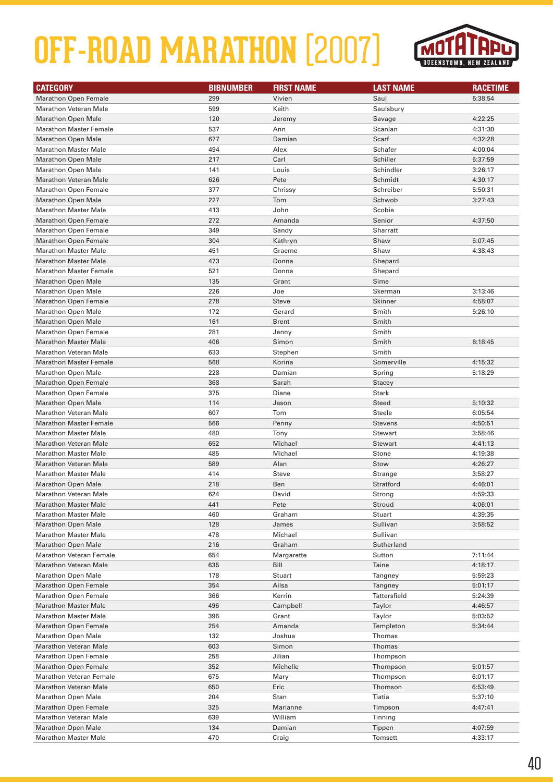

| <b>CATEGORY</b>                | <b>BIBNUMBER</b> | <b>FIRST NAME</b> | <b>LAST NAME</b> | <b>RACETIME</b> |
|--------------------------------|------------------|-------------------|------------------|-----------------|
| <b>Marathon Open Female</b>    | 299              | Vivien            | Saul             | 5:38:54         |
| <b>Marathon Veteran Male</b>   | 599              | Keith             | Saulsbury        |                 |
| <b>Marathon Open Male</b>      | 120              | Jeremy            | Savage           | 4:22:25         |
| <b>Marathon Master Female</b>  | 537              | Ann               | Scanlan          | 4:31:30         |
| <b>Marathon Open Male</b>      | 677              | Damian            | Scarf            | 4:32:28         |
| <b>Marathon Master Male</b>    | 494              | Alex              | Schafer          | 4:00:04         |
| <b>Marathon Open Male</b>      | 217              | Carl              | Schiller         | 5:37:59         |
| <b>Marathon Open Male</b>      | 141              | Louis             | Schindler        | 3:26:17         |
| <b>Marathon Veteran Male</b>   | 626              | Pete              | Schmidt          | 4:30:17         |
| <b>Marathon Open Female</b>    | 377              | Chrissy           | Schreiber        | 5:50:31         |
| <b>Marathon Open Male</b>      | 227              | Tom               | Schwob           | 3:27:43         |
| <b>Marathon Master Male</b>    | 413              | John              | Scobie           |                 |
| <b>Marathon Open Female</b>    | 272              | Amanda            | Senior           | 4:37:50         |
| <b>Marathon Open Female</b>    | 349              | Sandy             | Sharratt         |                 |
| <b>Marathon Open Female</b>    | 304              | Kathryn           | Shaw             | 5:07:45         |
| <b>Marathon Master Male</b>    | 451              | Graeme            | Shaw             | 4:38:43         |
| <b>Marathon Master Male</b>    | 473              | Donna             | Shepard          |                 |
| <b>Marathon Master Female</b>  | 521              | Donna             | Shepard          |                 |
| <b>Marathon Open Male</b>      | 135              | Grant             | Sime             |                 |
| <b>Marathon Open Male</b>      | 226              | Joe               | Skerman          | 3:13:46         |
| <b>Marathon Open Female</b>    | 278              | <b>Steve</b>      | Skinner          | 4:58:07         |
| <b>Marathon Open Male</b>      | 172              | Gerard            | Smith            | 5:26:10         |
| <b>Marathon Open Male</b>      | 161              | <b>Brent</b>      | Smith            |                 |
| <b>Marathon Open Female</b>    | 281              | Jenny             | Smith            |                 |
| <b>Marathon Master Male</b>    | 406              | Simon             | Smith            | 6:18:45         |
| <b>Marathon Veteran Male</b>   | 633              | Stephen           | Smith            |                 |
| <b>Marathon Master Female</b>  | 568              | Korina            | Somerville       | 4:15:32         |
| <b>Marathon Open Male</b>      | 228              | Damian            | Spring           | 5:18:29         |
| <b>Marathon Open Female</b>    | 368              | Sarah             | <b>Stacey</b>    |                 |
| <b>Marathon Open Female</b>    | 375              | Diane             | Stark            |                 |
| <b>Marathon Open Male</b>      | 114              | Jason             | <b>Steed</b>     | 5:10:32         |
| <b>Marathon Veteran Male</b>   | 607              | Tom               | <b>Steele</b>    | 6:05:54         |
| <b>Marathon Master Female</b>  | 566              | Penny             | <b>Stevens</b>   | 4:50:51         |
| <b>Marathon Master Male</b>    | 480              | Tony              | <b>Stewart</b>   | 3:58:46         |
| <b>Marathon Veteran Male</b>   | 652              | Michael           | <b>Stewart</b>   | 4:41:13         |
| <b>Marathon Master Male</b>    | 485              | Michael           | Stone            | 4:19:38         |
| Marathon Veteran Male          | 589              | Alan              | Stow             | 4:26:27         |
| <b>Marathon Master Male</b>    | 414              | <b>Steve</b>      | Strange          | 3:58:27         |
| <b>Marathon Open Male</b>      | 218              | Ben               | Stratford        | 4:46:01         |
| Marathon Veteran Male          | 624              | David             | Strong           | 4:59:33         |
| <b>Marathon Master Male</b>    | 441              | Pete              | Stroud           | 4:06:01         |
| <b>Marathon Master Male</b>    | 460              | Graham            | Stuart           | 4:39:35         |
| <b>Marathon Open Male</b>      | 128              | James             | Sullivan         | 3:58:52         |
| <b>Marathon Master Male</b>    | 478              | Michael           | Sullivan         |                 |
| <b>Marathon Open Male</b>      | 216              | Graham            | Sutherland       |                 |
| <b>Marathon Veteran Female</b> | 654              | Margarette        | Sutton           | 7:11:44         |
| <b>Marathon Veteran Male</b>   | 635              | Bill              | Taine            | 4:18:17         |
| <b>Marathon Open Male</b>      | 178              | Stuart            | Tangney          | 5:59:23         |
| <b>Marathon Open Female</b>    | 354              | Ailsa             | Tangney          | 5:01:17         |
| <b>Marathon Open Female</b>    | 366              | Kerrin            | Tattersfield     | 5:24:39         |
| <b>Marathon Master Male</b>    | 496              | Campbell          | Taylor           | 4:46:57         |
| <b>Marathon Master Male</b>    | 396              | Grant             | Taylor           | 5:03:52         |
| <b>Marathon Open Female</b>    | 254              | Amanda            | Templeton        | 5:34:44         |
| <b>Marathon Open Male</b>      | 132              | Joshua            | Thomas           |                 |
| <b>Marathon Veteran Male</b>   | 603              | Simon             | Thomas           |                 |
| <b>Marathon Open Female</b>    | 258              | Jilian            | Thompson         |                 |
| <b>Marathon Open Female</b>    | 352              | Michelle          | Thompson         | 5:01:57         |
| <b>Marathon Veteran Female</b> | 675              | Mary              | Thompson         | 6:01:17         |
| <b>Marathon Veteran Male</b>   | 650              | Eric              | Thomson          | 6:53:49         |
| <b>Marathon Open Male</b>      | 204              | Stan              | Tiatia           | 5:37:10         |
| <b>Marathon Open Female</b>    | 325              | Marianne          | Timpson          | 4:47:41         |
| <b>Marathon Veteran Male</b>   | 639              | William           | Tinning          |                 |
| <b>Marathon Open Male</b>      | 134              | Damian            | Tippen           | 4:07:59         |
| <b>Marathon Master Male</b>    | 470              | Craig             | <b>Tomsett</b>   | 4:33:17         |